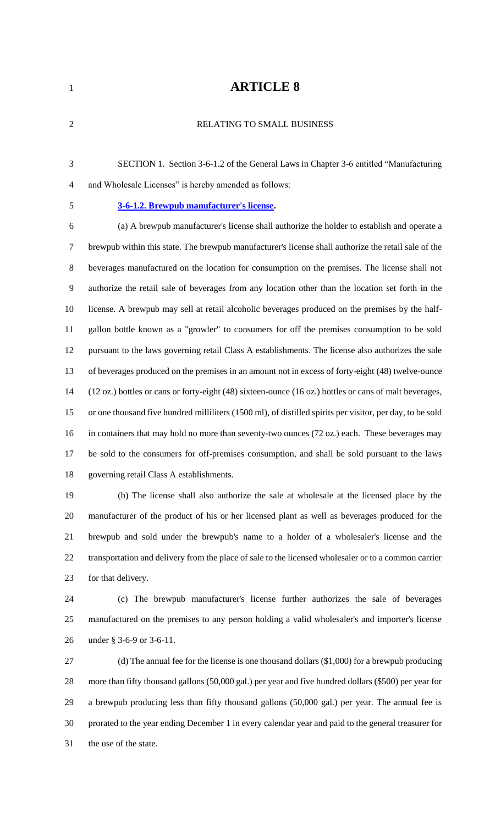# **ARTICLE 8**

#### RELATING TO SMALL BUSINESS

 SECTION 1. Section 3-6-1.2 of the General Laws in Chapter 3-6 entitled "Manufacturing and Wholesale Licenses" is hereby amended as follows:

**3-6-1.2. Brewpub manufacturer's license.**

 (a) A brewpub manufacturer's license shall authorize the holder to establish and operate a brewpub within this state. The brewpub manufacturer's license shall authorize the retail sale of the beverages manufactured on the location for consumption on the premises. The license shall not authorize the retail sale of beverages from any location other than the location set forth in the license. A brewpub may sell at retail alcoholic beverages produced on the premises by the half- gallon bottle known as a "growler" to consumers for off the premises consumption to be sold pursuant to the laws governing retail Class A establishments. The license also authorizes the sale of beverages produced on the premises in an amount not in excess of forty-eight (48) twelve-ounce (12 oz.) bottles or cans or forty-eight (48) sixteen-ounce (16 oz.) bottles or cans of malt beverages, or one thousand five hundred milliliters (1500 ml), of distilled spirits per visitor, per day, to be sold in containers that may hold no more than seventy-two ounces (72 oz.) each. These beverages may be sold to the consumers for off-premises consumption, and shall be sold pursuant to the laws governing retail Class A establishments.

 (b) The license shall also authorize the sale at wholesale at the licensed place by the manufacturer of the product of his or her licensed plant as well as beverages produced for the brewpub and sold under the brewpub's name to a holder of a wholesaler's license and the transportation and delivery from the place of sale to the licensed wholesaler or to a common carrier for that delivery.

 (c) The brewpub manufacturer's license further authorizes the sale of beverages manufactured on the premises to any person holding a valid wholesaler's and importer's license under § 3-6-9 or 3-6-11.

 (d) The annual fee for the license is one thousand dollars (\$1,000) for a brewpub producing more than fifty thousand gallons (50,000 gal.) per year and five hundred dollars (\$500) per year for a brewpub producing less than fifty thousand gallons (50,000 gal.) per year. The annual fee is prorated to the year ending December 1 in every calendar year and paid to the general treasurer for the use of the state.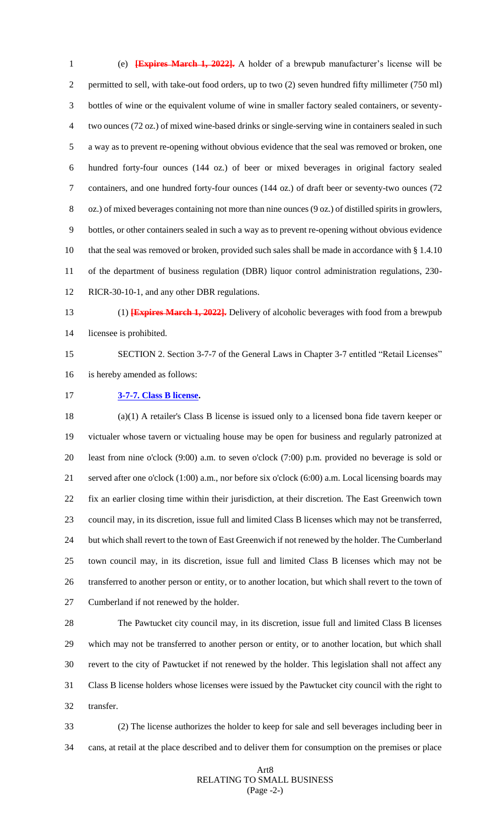(e) **[Expires March 1, 2022].** A holder of a brewpub manufacturer's license will be permitted to sell, with take-out food orders, up to two (2) seven hundred fifty millimeter (750 ml) bottles of wine or the equivalent volume of wine in smaller factory sealed containers, or seventy- two ounces (72 oz.) of mixed wine-based drinks or single-serving wine in containers sealed in such a way as to prevent re-opening without obvious evidence that the seal was removed or broken, one hundred forty-four ounces (144 oz.) of beer or mixed beverages in original factory sealed containers, and one hundred forty-four ounces (144 oz.) of draft beer or seventy-two ounces (72 oz.) of mixed beverages containing not more than nine ounces (9 oz.) of distilled spirits in growlers, bottles, or other containers sealed in such a way as to prevent re-opening without obvious evidence 10 that the seal was removed or broken, provided such sales shall be made in accordance with § 1.4.10 of the department of business regulation (DBR) liquor control administration regulations, 230- RICR-30-10-1, and any other DBR regulations.

 (1) **[Expires March 1, 2022].** Delivery of alcoholic beverages with food from a brewpub licensee is prohibited.

 SECTION 2. Section 3-7-7 of the General Laws in Chapter 3-7 entitled "Retail Licenses" is hereby amended as follows:

**3-7-7. Class B license.** 

 (a)(1) A retailer's Class B license is issued only to a licensed bona fide tavern keeper or victualer whose tavern or victualing house may be open for business and regularly patronized at least from nine o'clock (9:00) a.m. to seven o'clock (7:00) p.m. provided no beverage is sold or served after one o'clock (1:00) a.m., nor before six o'clock (6:00) a.m. Local licensing boards may fix an earlier closing time within their jurisdiction, at their discretion. The East Greenwich town council may, in its discretion, issue full and limited Class B licenses which may not be transferred, but which shall revert to the town of East Greenwich if not renewed by the holder. The Cumberland town council may, in its discretion, issue full and limited Class B licenses which may not be transferred to another person or entity, or to another location, but which shall revert to the town of Cumberland if not renewed by the holder.

 The Pawtucket city council may, in its discretion, issue full and limited Class B licenses which may not be transferred to another person or entity, or to another location, but which shall revert to the city of Pawtucket if not renewed by the holder. This legislation shall not affect any Class B license holders whose licenses were issued by the Pawtucket city council with the right to transfer.

 (2) The license authorizes the holder to keep for sale and sell beverages including beer in cans, at retail at the place described and to deliver them for consumption on the premises or place

# Art8 RELATING TO SMALL BUSINESS (Page -2-)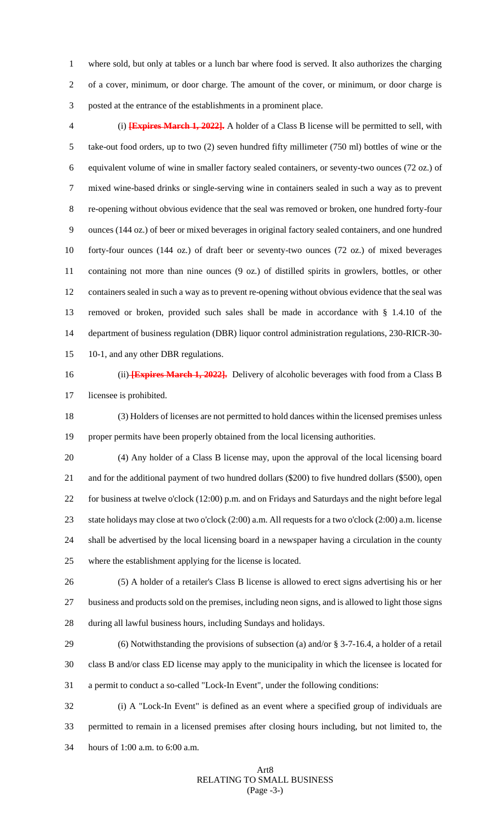where sold, but only at tables or a lunch bar where food is served. It also authorizes the charging of a cover, minimum, or door charge. The amount of the cover, or minimum, or door charge is posted at the entrance of the establishments in a prominent place.

 (i) **[Expires March 1, 2022].** A holder of a Class B license will be permitted to sell, with take-out food orders, up to two (2) seven hundred fifty millimeter (750 ml) bottles of wine or the equivalent volume of wine in smaller factory sealed containers, or seventy-two ounces (72 oz.) of mixed wine-based drinks or single-serving wine in containers sealed in such a way as to prevent re-opening without obvious evidence that the seal was removed or broken, one hundred forty-four ounces (144 oz.) of beer or mixed beverages in original factory sealed containers, and one hundred forty-four ounces (144 oz.) of draft beer or seventy-two ounces (72 oz.) of mixed beverages containing not more than nine ounces (9 oz.) of distilled spirits in growlers, bottles, or other containers sealed in such a way as to prevent re-opening without obvious evidence that the seal was removed or broken, provided such sales shall be made in accordance with § 1.4.10 of the department of business regulation (DBR) liquor control administration regulations, 230-RICR-30- 10-1, and any other DBR regulations.

 (ii) **[Expires March 1, 2022].** Delivery of alcoholic beverages with food from a Class B licensee is prohibited.

 (3) Holders of licenses are not permitted to hold dances within the licensed premises unless proper permits have been properly obtained from the local licensing authorities.

 (4) Any holder of a Class B license may, upon the approval of the local licensing board and for the additional payment of two hundred dollars (\$200) to five hundred dollars (\$500), open for business at twelve o'clock (12:00) p.m. and on Fridays and Saturdays and the night before legal state holidays may close at two o'clock (2:00) a.m. All requests for a two o'clock (2:00) a.m. license shall be advertised by the local licensing board in a newspaper having a circulation in the county where the establishment applying for the license is located.

 (5) A holder of a retailer's Class B license is allowed to erect signs advertising his or her business and products sold on the premises, including neon signs, and is allowed to light those signs during all lawful business hours, including Sundays and holidays.

 (6) Notwithstanding the provisions of subsection (a) and/or § 3-7-16.4, a holder of a retail class B and/or class ED license may apply to the municipality in which the licensee is located for a permit to conduct a so-called "Lock-In Event", under the following conditions:

 (i) A "Lock-In Event" is defined as an event where a specified group of individuals are permitted to remain in a licensed premises after closing hours including, but not limited to, the hours of 1:00 a.m. to 6:00 a.m.

# Art8 RELATING TO SMALL BUSINESS (Page -3-)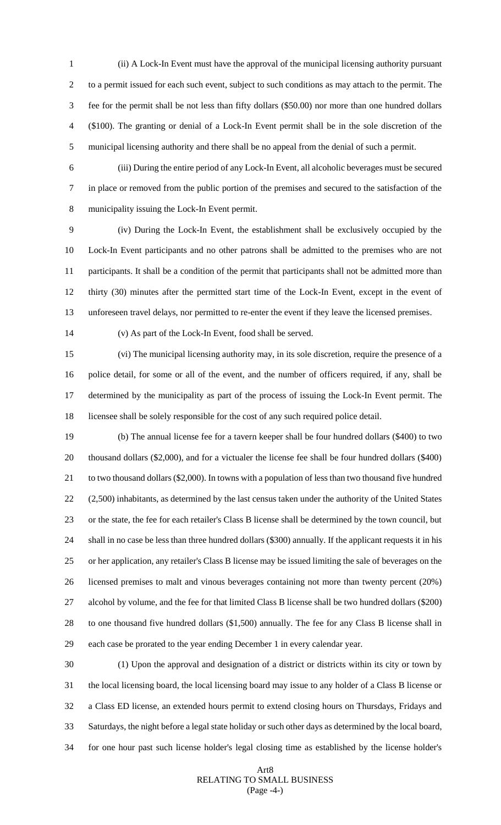(ii) A Lock-In Event must have the approval of the municipal licensing authority pursuant to a permit issued for each such event, subject to such conditions as may attach to the permit. The fee for the permit shall be not less than fifty dollars (\$50.00) nor more than one hundred dollars (\$100). The granting or denial of a Lock-In Event permit shall be in the sole discretion of the municipal licensing authority and there shall be no appeal from the denial of such a permit.

 (iii) During the entire period of any Lock-In Event, all alcoholic beverages must be secured in place or removed from the public portion of the premises and secured to the satisfaction of the municipality issuing the Lock-In Event permit.

 (iv) During the Lock-In Event, the establishment shall be exclusively occupied by the Lock-In Event participants and no other patrons shall be admitted to the premises who are not participants. It shall be a condition of the permit that participants shall not be admitted more than thirty (30) minutes after the permitted start time of the Lock-In Event, except in the event of unforeseen travel delays, nor permitted to re-enter the event if they leave the licensed premises.

(v) As part of the Lock-In Event, food shall be served.

 (vi) The municipal licensing authority may, in its sole discretion, require the presence of a police detail, for some or all of the event, and the number of officers required, if any, shall be determined by the municipality as part of the process of issuing the Lock-In Event permit. The licensee shall be solely responsible for the cost of any such required police detail.

 (b) The annual license fee for a tavern keeper shall be four hundred dollars (\$400) to two thousand dollars (\$2,000), and for a victualer the license fee shall be four hundred dollars (\$400) 21 to two thousand dollars (\$2,000). In towns with a population of less than two thousand five hundred (2,500) inhabitants, as determined by the last census taken under the authority of the United States or the state, the fee for each retailer's Class B license shall be determined by the town council, but shall in no case be less than three hundred dollars (\$300) annually. If the applicant requests it in his or her application, any retailer's Class B license may be issued limiting the sale of beverages on the licensed premises to malt and vinous beverages containing not more than twenty percent (20%) alcohol by volume, and the fee for that limited Class B license shall be two hundred dollars (\$200) to one thousand five hundred dollars (\$1,500) annually. The fee for any Class B license shall in each case be prorated to the year ending December 1 in every calendar year.

 (1) Upon the approval and designation of a district or districts within its city or town by the local licensing board, the local licensing board may issue to any holder of a Class B license or a Class ED license, an extended hours permit to extend closing hours on Thursdays, Fridays and Saturdays, the night before a legal state holiday or such other days as determined by the local board, for one hour past such license holder's legal closing time as established by the license holder's

### Art8 RELATING TO SMALL BUSINESS (Page -4-)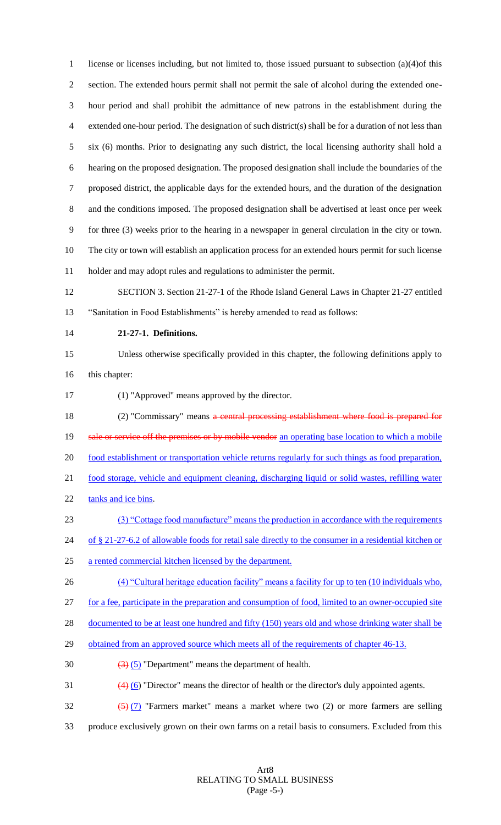license or licenses including, but not limited to, those issued pursuant to subsection (a)(4)of this section. The extended hours permit shall not permit the sale of alcohol during the extended one- hour period and shall prohibit the admittance of new patrons in the establishment during the extended one-hour period. The designation of such district(s) shall be for a duration of not less than six (6) months. Prior to designating any such district, the local licensing authority shall hold a hearing on the proposed designation. The proposed designation shall include the boundaries of the proposed district, the applicable days for the extended hours, and the duration of the designation and the conditions imposed. The proposed designation shall be advertised at least once per week for three (3) weeks prior to the hearing in a newspaper in general circulation in the city or town. The city or town will establish an application process for an extended hours permit for such license holder and may adopt rules and regulations to administer the permit. SECTION 3. Section 21-27-1 of the Rhode Island General Laws in Chapter 21-27 entitled "Sanitation in Food Establishments" is hereby amended to read as follows: **21-27-1. Definitions.** Unless otherwise specifically provided in this chapter, the following definitions apply to this chapter: (1) "Approved" means approved by the director. 18 (2) "Commissary" means a central processing establishment where food is prepared for 19 sale or service off the premises or by mobile vendor an operating base location to which a mobile food establishment or transportation vehicle returns regularly for such things as food preparation, food storage, vehicle and equipment cleaning, discharging liquid or solid wastes, refilling water

- tanks and ice bins.
- (3) "Cottage food manufacture" means the production in accordance with the requirements
- 24 of § 21-27-6.2 of allowable foods for retail sale directly to the consumer in a residential kitchen or
- a rented commercial kitchen licensed by the department.
- (4) "Cultural heritage education facility" means a facility for up to ten (10 individuals who,
- for a fee, participate in the preparation and consumption of food, limited to an owner-occupied site
- 28 documented to be at least one hundred and fifty (150) years old and whose drinking water shall be
- 29 obtained from an approved source which meets all of the requirements of chapter 46-13.
- 30  $\left(\frac{3}{2}\right)$  "Department" means the department of health.
- $\frac{(4)}{(6)}$  "Director" means the director of health or the director's duly appointed agents.

32  $\left(\frac{5}{7}\right)$  "Farmers market" means a market where two (2) or more farmers are selling produce exclusively grown on their own farms on a retail basis to consumers. Excluded from this

# Art8 RELATING TO SMALL BUSINESS (Page -5-)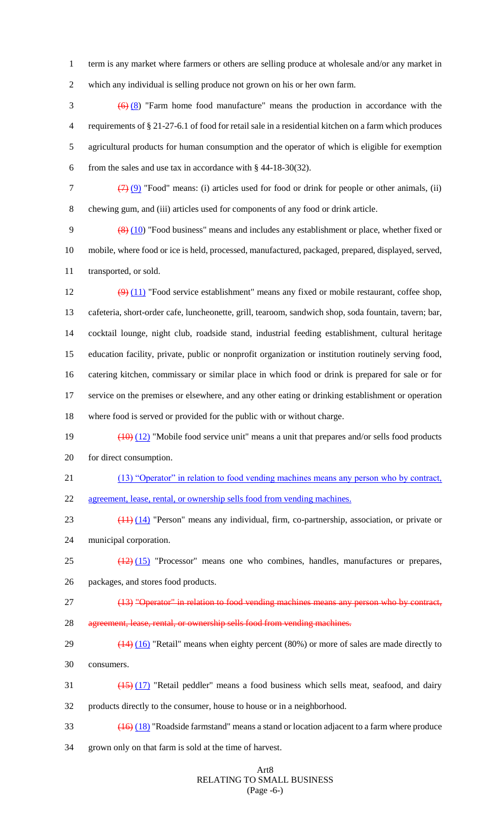1 term is any market where farmers or others are selling produce at wholesale and/or any market in 2 which any individual is selling produce not grown on his or her own farm.

 $\frac{3}{10}$  (6) (8) "Farm home food manufacture" means the production in accordance with the 4 requirements of § 21-27-6.1 of food for retail sale in a residential kitchen on a farm which produces 5 agricultural products for human consumption and the operator of which is eligible for exemption 6 from the sales and use tax in accordance with  $\S$  44-18-30(32).

7 (7)  $(7)$  (9) "Food" means: (i) articles used for food or drink for people or other animals, (ii) 8 chewing gum, and (iii) articles used for components of any food or drink article.

9 (8) (10) "Food business" means and includes any establishment or place, whether fixed or 10 mobile, where food or ice is held, processed, manufactured, packaged, prepared, displayed, served, 11 transported, or sold.

 $(9)(11)$  "Food service establishment" means any fixed or mobile restaurant, coffee shop, cafeteria, short-order cafe, luncheonette, grill, tearoom, sandwich shop, soda fountain, tavern; bar, cocktail lounge, night club, roadside stand, industrial feeding establishment, cultural heritage education facility, private, public or nonprofit organization or institution routinely serving food, catering kitchen, commissary or similar place in which food or drink is prepared for sale or for service on the premises or elsewhere, and any other eating or drinking establishment or operation where food is served or provided for the public with or without charge.

- 19  $\left(\frac{10}{12}\right)$  "Mobile food service unit" means a unit that prepares and/or sells food products 20 for direct consumption.
- 21 (13) "Operator" in relation to food vending machines means any person who by contract, 22 agreement, lease, rental, or ownership sells food from vending machines.
- 23 (11) (14) "Person" means any individual, firm, co-partnership, association, or private or 24 municipal corporation.
- $\frac{(12)(15)}{(12)(15)}$  "Processor" means one who combines, handles, manufactures or prepares, 26 packages, and stores food products.
- 27 (13) "Operator" in relation to food vending machines means any person who by contract,
- 28 agreement, lease, rental, or ownership sells food from vending machines.
- 29  $\left(\frac{14}{16}\right)$  "Retail" means when eighty percent (80%) or more of sales are made directly to 30 consumers.
- $\frac{(15)(17)}{15}$  "Retail peddler" means a food business which sells meat, seafood, and dairy
- 32 products directly to the consumer, house to house or in a neighborhood.
- $\frac{(16)(18)}{(18)}$  "Roadside farmstand" means a stand or location adjacent to a farm where produce
- 34 grown only on that farm is sold at the time of harvest.

### Art8 RELATING TO SMALL BUSINESS (Page -6-)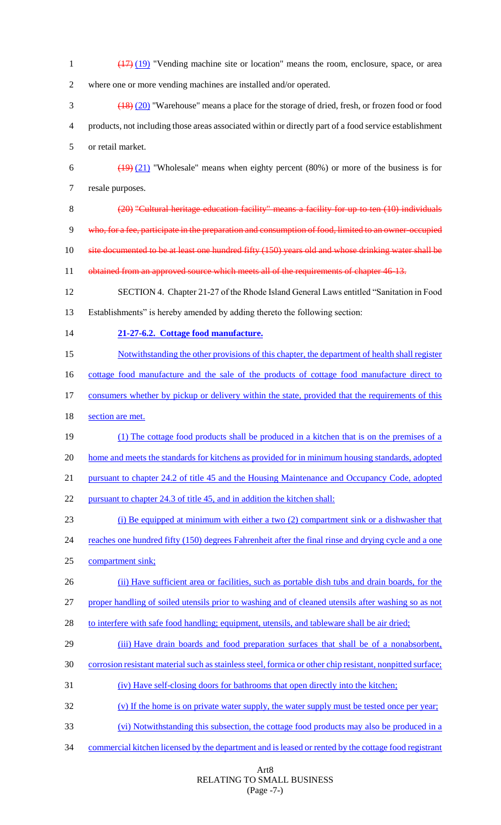(17) (19) "Vending machine site or location" means the room, enclosure, space, or area where one or more vending machines are installed and/or operated.

 (18) (20) "Warehouse" means a place for the storage of dried, fresh, or frozen food or food products, not including those areas associated within or directly part of a food service establishment or retail market.

- 6  $\left(\frac{(19)}{(21)}\right)$  "Wholesale" means when eighty percent (80%) or more of the business is for resale purposes.
- (20) "Cultural heritage education facility" means a facility for up to ten (10) individuals who, for a fee, participate in the preparation and consumption of food, limited to an owner-occupied 10 site documented to be at least one hundred fifty (150) years old and whose drinking water shall be 11 obtained from an approved source which meets all of the requirements of chapter 46-13.

 SECTION 4. Chapter 21-27 of the Rhode Island General Laws entitled "Sanitation in Food Establishments" is hereby amended by adding thereto the following section:

# **21-27-6.2. Cottage food manufacture.**

Notwithstanding the other provisions of this chapter, the department of health shall register

16 cottage food manufacture and the sale of the products of cottage food manufacture direct to

17 consumers whether by pickup or delivery within the state, provided that the requirements of this 18 section are met.

 (1) The cottage food products shall be produced in a kitchen that is on the premises of a home and meets the standards for kitchens as provided for in minimum housing standards, adopted

pursuant to chapter 24.2 of title 45 and the Housing Maintenance and Occupancy Code, adopted

22 pursuant to chapter 24.3 of title 45, and in addition the kitchen shall:

(i) Be equipped at minimum with either a two (2) compartment sink or a dishwasher that

24 reaches one hundred fifty (150) degrees Fahrenheit after the final rinse and drying cycle and a one

- compartment sink;
- (ii) Have sufficient area or facilities, such as portable dish tubs and drain boards, for the

proper handling of soiled utensils prior to washing and of cleaned utensils after washing so as not

- 28 to interfere with safe food handling; equipment, utensils, and tableware shall be air dried;
- 29 (iii) Have drain boards and food preparation surfaces that shall be of a nonabsorbent,
- corrosion resistant material such as stainless steel, formica or other chip resistant, nonpitted surface;
- (iv) Have self-closing doors for bathrooms that open directly into the kitchen;
- (v) If the home is on private water supply, the water supply must be tested once per year;
- (vi) Notwithstanding this subsection, the cottage food products may also be produced in a
- commercial kitchen licensed by the department and is leased or rented by the cottage food registrant

# Art8 RELATING TO SMALL BUSINESS (Page -7-)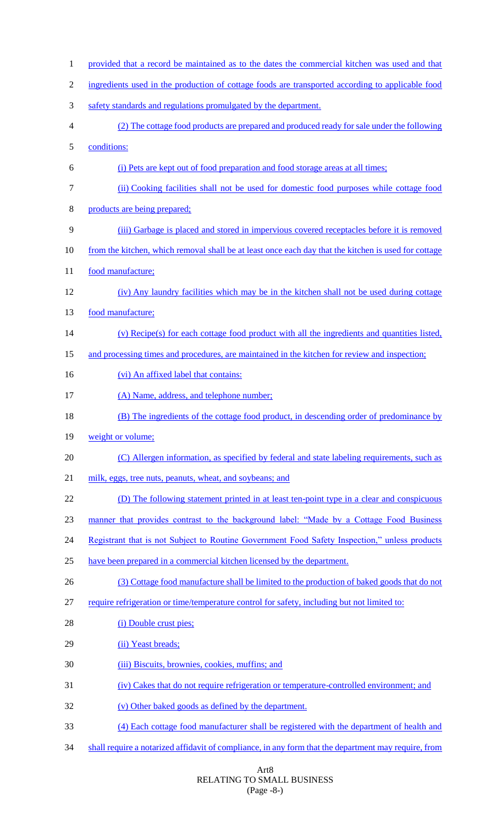| $\mathbf{1}$   | provided that a record be maintained as to the dates the commercial kitchen was used and that        |
|----------------|------------------------------------------------------------------------------------------------------|
| $\overline{2}$ | ingredients used in the production of cottage foods are transported according to applicable food     |
| 3              | safety standards and regulations promulgated by the department.                                      |
| 4              | (2) The cottage food products are prepared and produced ready for sale under the following           |
| 5              | conditions:                                                                                          |
| 6              | (i) Pets are kept out of food preparation and food storage areas at all times;                       |
| 7              | (ii) Cooking facilities shall not be used for domestic food purposes while cottage food              |
| 8              | products are being prepared;                                                                         |
| 9              | (iii) Garbage is placed and stored in impervious covered receptacles before it is removed            |
| 10             | from the kitchen, which removal shall be at least once each day that the kitchen is used for cottage |
| 11             | food manufacture;                                                                                    |
| 12             | (iv) Any laundry facilities which may be in the kitchen shall not be used during cottage             |
| 13             | food manufacture;                                                                                    |
| 14             | (v) Recipe(s) for each cottage food product with all the ingredients and quantities listed,          |
| 15             | and processing times and procedures, are maintained in the kitchen for review and inspection;        |
| 16             | (vi) An affixed label that contains:                                                                 |
| 17             | (A) Name, address, and telephone number;                                                             |
| 18             | (B) The ingredients of the cottage food product, in descending order of predominance by              |
| 19             | weight or volume;                                                                                    |
| 20             | (C) Allergen information, as specified by federal and state labeling requirements, such as           |
| 21             | milk, eggs, tree nuts, peanuts, wheat, and soybeans; and                                             |
| 22             | (D) The following statement printed in at least ten-point type in a clear and conspicuous            |
| 23             | manner that provides contrast to the background label: "Made by a Cottage Food Business              |
| 24             | Registrant that is not Subject to Routine Government Food Safety Inspection," unless products        |
| 25             | have been prepared in a commercial kitchen licensed by the department.                               |
| 26             | (3) Cottage food manufacture shall be limited to the production of baked goods that do not           |
| 27             | require refrigeration or time/temperature control for safety, including but not limited to:          |
| 28             | (i) Double crust pies;                                                                               |
| 29             | (ii) Yeast breads;                                                                                   |
| 30             | (iii) Biscuits, brownies, cookies, muffins; and                                                      |
| 31             | (iv) Cakes that do not require refrigeration or temperature-controlled environment; and              |
| 32             | (v) Other baked goods as defined by the department.                                                  |
| 33             | (4) Each cottage food manufacturer shall be registered with the department of health and             |
| 34             | shall require a notarized affidavit of compliance, in any form that the department may require, from |

### Art8 RELATING TO SMALL BUSINESS (Page -8-)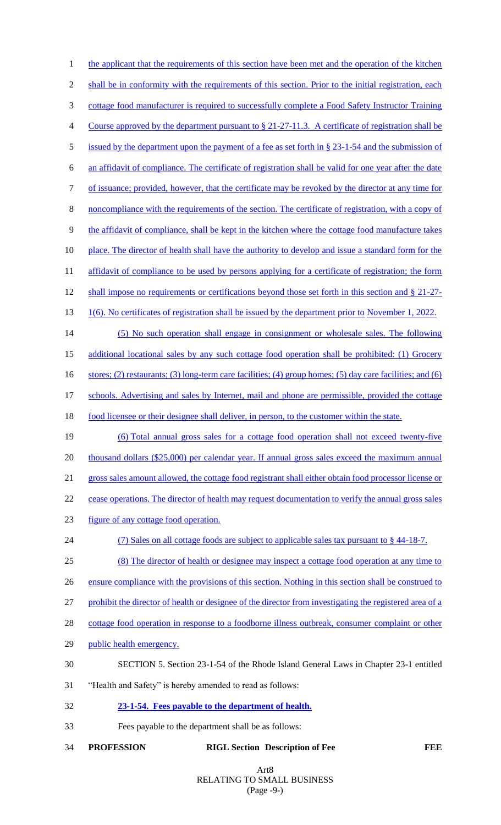1 the applicant that the requirements of this section have been met and the operation of the kitchen 2 shall be in conformity with the requirements of this section. Prior to the initial registration, each 3 cottage food manufacturer is required to successfully complete a Food Safety Instructor Training Course approved by the department pursuant to § 21-27-11.3. A certificate of registration shall be 5 issued by the department upon the payment of a fee as set forth in § 23-1-54 and the submission of an affidavit of compliance. The certificate of registration shall be valid for one year after the date of issuance; provided, however, that the certificate may be revoked by the director at any time for noncompliance with the requirements of the section. The certificate of registration, with a copy of the affidavit of compliance, shall be kept in the kitchen where the cottage food manufacture takes 10 place. The director of health shall have the authority to develop and issue a standard form for the 11 affidavit of compliance to be used by persons applying for a certificate of registration; the form 12 shall impose no requirements or certifications beyond those set forth in this section and § 21-27-13 16). No certificates of registration shall be issued by the department prior to November 1, 2022. (5) No such operation shall engage in consignment or wholesale sales. The following additional locational sales by any such cottage food operation shall be prohibited: (1) Grocery 16 stores; (2) restaurants; (3) long-term care facilities; (4) group homes; (5) day care facilities; and (6) schools. Advertising and sales by Internet, mail and phone are permissible, provided the cottage food licensee or their designee shall deliver, in person, to the customer within the state. (6) Total annual gross sales for a cottage food operation shall not exceed twenty-five thousand dollars (\$25,000) per calendar year. If annual gross sales exceed the maximum annual gross sales amount allowed, the cottage food registrant shall either obtain food processor license or cease operations. The director of health may request documentation to verify the annual gross sales figure of any cottage food operation. (7) Sales on all cottage foods are subject to applicable sales tax pursuant to § 44-18-7. (8) The director of health or designee may inspect a cottage food operation at any time to ensure compliance with the provisions of this section. Nothing in this section shall be construed to prohibit the director of health or designee of the director from investigating the registered area of a 28 cottage food operation in response to a foodborne illness outbreak, consumer complaint or other public health emergency. SECTION 5. Section 23-1-54 of the Rhode Island General Laws in Chapter 23-1 entitled "Health and Safety" is hereby amended to read as follows: **23-1-54. Fees payable to the department of health.** Fees payable to the department shall be as follows: **PROFESSION RIGL Section Description of Fee FEE**

### Art8 RELATING TO SMALL BUSINESS (Page -9-)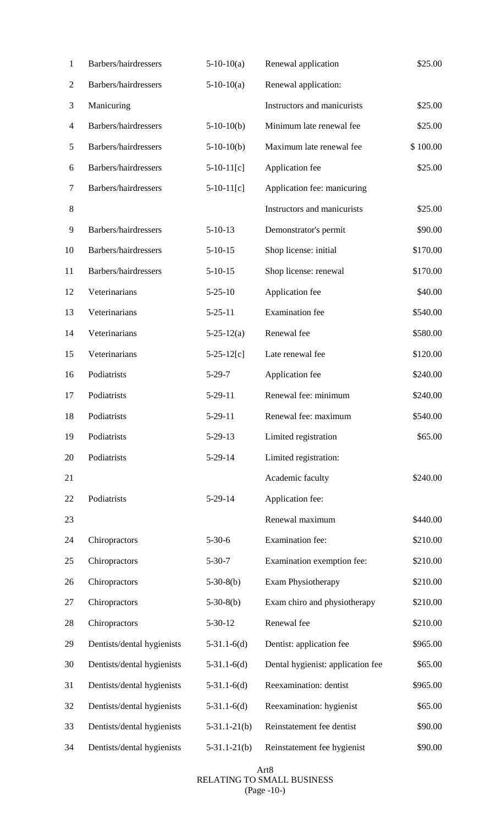| $\mathbf{1}$   | Barbers/hairdressers       | $5-10-10(a)$     | Renewal application               | \$25.00  |
|----------------|----------------------------|------------------|-----------------------------------|----------|
| $\mathfrak{2}$ | Barbers/hairdressers       | $5-10-10(a)$     | Renewal application:              |          |
| 3              | Manicuring                 |                  | Instructors and manicurists       | \$25.00  |
| 4              | Barbers/hairdressers       | $5-10-10(b)$     | Minimum late renewal fee          | \$25.00  |
| 5              | Barbers/hairdressers       | $5-10-10(b)$     | Maximum late renewal fee          | \$100.00 |
| 6              | Barbers/hairdressers       | $5-10-11[c]$     | Application fee                   | \$25.00  |
| 7              | Barbers/hairdressers       | $5-10-11[c]$     | Application fee: manicuring       |          |
| $8\,$          |                            |                  | Instructors and manicurists       | \$25.00  |
| 9              | Barbers/hairdressers       | $5-10-13$        | Demonstrator's permit             | \$90.00  |
| 10             | Barbers/hairdressers       | $5-10-15$        | Shop license: initial             | \$170.00 |
| 11             | Barbers/hairdressers       | $5-10-15$        | Shop license: renewal             | \$170.00 |
| 12             | Veterinarians              | $5 - 25 - 10$    | Application fee                   | \$40.00  |
| 13             | Veterinarians              | $5 - 25 - 11$    | <b>Examination</b> fee            | \$540.00 |
| 14             | Veterinarians              | $5-25-12(a)$     | Renewal fee                       | \$580.00 |
| 15             | Veterinarians              | $5 - 25 - 12[c]$ | Late renewal fee                  | \$120.00 |
| 16             | Podiatrists                | $5-29-7$         | Application fee                   | \$240.00 |
| 17             | Podiatrists                | $5-29-11$        | Renewal fee: minimum              | \$240.00 |
| 18             | Podiatrists                | $5-29-11$        | Renewal fee: maximum              | \$540.00 |
| 19             | Podiatrists                | $5-29-13$        | Limited registration              | \$65.00  |
| 20             | Podiatrists                | $5-29-14$        | Limited registration:             |          |
| 21             |                            |                  | Academic faculty                  | \$240.00 |
| 22             | Podiatrists                | $5-29-14$        | Application fee:                  |          |
| 23             |                            |                  | Renewal maximum                   | \$440.00 |
| 24             | Chiropractors              | $5 - 30 - 6$     | Examination fee:                  | \$210.00 |
| 25             | Chiropractors              | $5 - 30 - 7$     | Examination exemption fee:        | \$210.00 |
| 26             | Chiropractors              | $5-30-8(b)$      | Exam Physiotherapy                | \$210.00 |
| 27             | Chiropractors              | $5-30-8(b)$      | Exam chiro and physiotherapy      | \$210.00 |
| 28             | Chiropractors              | $5 - 30 - 12$    | Renewal fee                       | \$210.00 |
| 29             | Dentists/dental hygienists | $5-31.1-6(d)$    | Dentist: application fee          | \$965.00 |
| 30             | Dentists/dental hygienists | $5-31.1-6(d)$    | Dental hygienist: application fee | \$65.00  |
| 31             | Dentists/dental hygienists | $5-31.1-6(d)$    | Reexamination: dentist            | \$965.00 |
| 32             | Dentists/dental hygienists | $5-31.1-6(d)$    | Reexamination: hygienist          | \$65.00  |
| 33             | Dentists/dental hygienists | $5-31.1-21(b)$   | Reinstatement fee dentist         | \$90.00  |
| 34             | Dentists/dental hygienists | $5-31.1-21(b)$   | Reinstatement fee hygienist       | \$90.00  |

Art8 RELATING TO SMALL BUSINESS (Page -10-)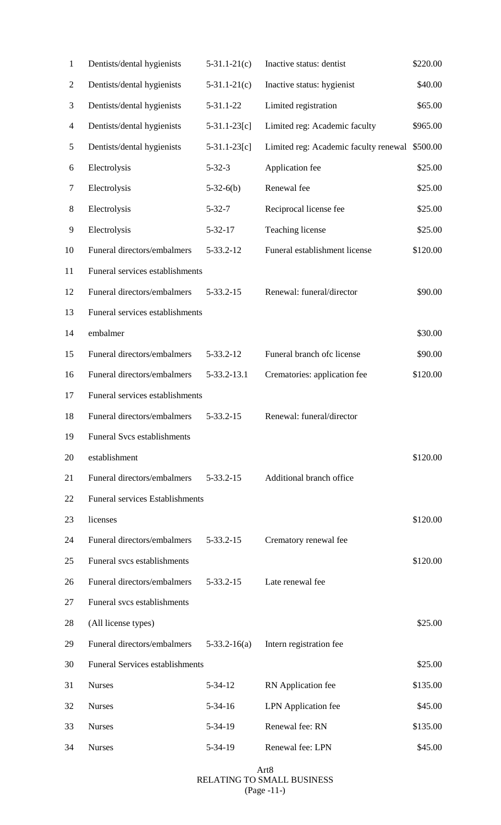| $\mathbf{1}$   | Dentists/dental hygienists             | $5-31.1-21(c)$  | Inactive status: dentist              | \$220.00 |
|----------------|----------------------------------------|-----------------|---------------------------------------|----------|
| $\overline{c}$ | Dentists/dental hygienists             | $5-31.1-21(c)$  | Inactive status: hygienist            | \$40.00  |
| $\mathfrak{Z}$ | Dentists/dental hygienists             | 5-31.1-22       | Limited registration                  | \$65.00  |
| $\overline{4}$ | Dentists/dental hygienists             | $5-31.1-23[c]$  | Limited reg: Academic faculty         | \$965.00 |
| 5              | Dentists/dental hygienists             | $5-31.1-23[c]$  | Limited reg: Academic faculty renewal | \$500.00 |
| 6              | Electrolysis                           | $5 - 32 - 3$    | Application fee                       | \$25.00  |
| $\tau$         | Electrolysis                           | $5-32-6(b)$     | Renewal fee                           | \$25.00  |
| $8\,$          | Electrolysis                           | $5 - 32 - 7$    | Reciprocal license fee                | \$25.00  |
| 9              | Electrolysis                           | $5 - 32 - 17$   | Teaching license                      | \$25.00  |
| 10             | Funeral directors/embalmers            | 5-33.2-12       | Funeral establishment license         | \$120.00 |
| 11             | Funeral services establishments        |                 |                                       |          |
| 12             | Funeral directors/embalmers            | $5 - 33.2 - 15$ | Renewal: funeral/director             | \$90.00  |
| 13             | Funeral services establishments        |                 |                                       |          |
| 14             | embalmer                               |                 |                                       | \$30.00  |
| 15             | Funeral directors/embalmers            | 5-33.2-12       | Funeral branch ofc license            | \$90.00  |
| 16             | Funeral directors/embalmers            | 5-33.2-13.1     | Crematories: application fee          | \$120.00 |
| 17             | Funeral services establishments        |                 |                                       |          |
| 18             | Funeral directors/embalmers            | 5-33.2-15       | Renewal: funeral/director             |          |
| 19             | <b>Funeral Svcs establishments</b>     |                 |                                       |          |
| 20             | establishment                          |                 |                                       | \$120.00 |
| 21             | Funeral directors/embalmers            | $5 - 33.2 - 15$ | Additional branch office              |          |
| 22             | <b>Funeral services Establishments</b> |                 |                                       |          |
| 23             | licenses                               |                 |                                       | \$120.00 |
| 24             | Funeral directors/embalmers            | 5-33.2-15       | Crematory renewal fee                 |          |
| 25             | Funeral svcs establishments            |                 |                                       | \$120.00 |
| 26             | Funeral directors/embalmers            | $5 - 33.2 - 15$ | Late renewal fee                      |          |
| 27             | Funeral svcs establishments            |                 |                                       |          |
| 28             | (All license types)                    |                 |                                       | \$25.00  |
| 29             | Funeral directors/embalmers            | $5-33.2-16(a)$  | Intern registration fee               |          |
| 30             | <b>Funeral Services establishments</b> |                 |                                       | \$25.00  |
| 31             | <b>Nurses</b>                          | $5 - 34 - 12$   | RN Application fee                    | \$135.00 |
| 32             | <b>Nurses</b>                          | $5 - 34 - 16$   | LPN Application fee                   | \$45.00  |
| 33             | <b>Nurses</b>                          | 5-34-19         | Renewal fee: RN                       | \$135.00 |
| 34             | <b>Nurses</b>                          | 5-34-19         | Renewal fee: LPN                      | \$45.00  |
|                |                                        |                 |                                       |          |

# Art8 RELATING TO SMALL BUSINESS (Page -11-)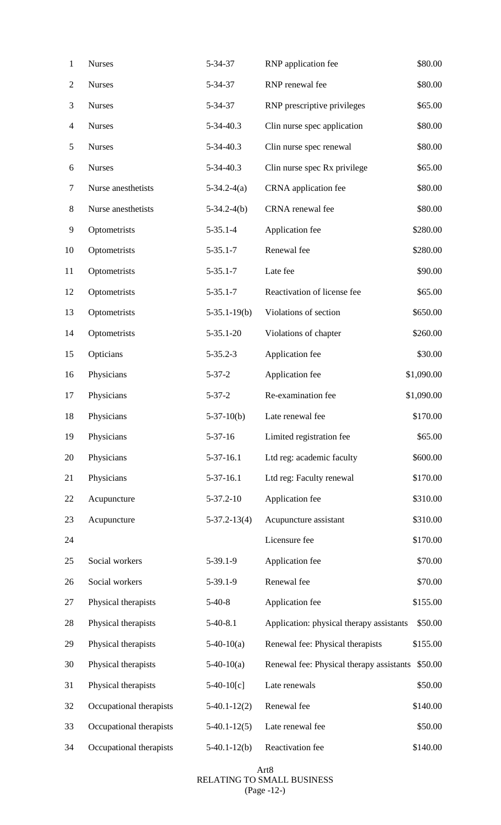| $\mathbf{1}$   | <b>Nurses</b>           | 5-34-37         | RNP application fee                      | \$80.00    |
|----------------|-------------------------|-----------------|------------------------------------------|------------|
| $\overline{2}$ | <b>Nurses</b>           | 5-34-37         | RNP renewal fee                          | \$80.00    |
| 3              | <b>Nurses</b>           | 5-34-37         | RNP prescriptive privileges              | \$65.00    |
| $\overline{4}$ | <b>Nurses</b>           | 5-34-40.3       | Clin nurse spec application              | \$80.00    |
| $\mathfrak{S}$ | <b>Nurses</b>           | 5-34-40.3       | Clin nurse spec renewal                  | \$80.00    |
| 6              | <b>Nurses</b>           | 5-34-40.3       | Clin nurse spec Rx privilege             | \$65.00    |
| $\tau$         | Nurse anesthetists      | $5-34.2-4(a)$   | CRNA application fee                     | \$80.00    |
| $8\,$          | Nurse anesthetists      | $5-34.2-4(b)$   | CRNA renewal fee                         | \$80.00    |
| $\mathbf{9}$   | Optometrists            | $5 - 35.1 - 4$  | Application fee                          | \$280.00   |
| 10             | Optometrists            | $5 - 35.1 - 7$  | Renewal fee                              | \$280.00   |
| 11             | Optometrists            | $5 - 35.1 - 7$  | Late fee                                 | \$90.00    |
| 12             | Optometrists            | $5 - 35.1 - 7$  | Reactivation of license fee              | \$65.00    |
| 13             | Optometrists            | $5-35.1-19(b)$  | Violations of section                    | \$650.00   |
| 14             | Optometrists            | $5 - 35.1 - 20$ | Violations of chapter                    | \$260.00   |
| 15             | Opticians               | $5 - 35.2 - 3$  | Application fee                          | \$30.00    |
| 16             | Physicians              | $5 - 37 - 2$    | Application fee                          | \$1,090.00 |
| 17             | Physicians              | $5 - 37 - 2$    | Re-examination fee                       | \$1,090.00 |
| 18             | Physicians              | $5-37-10(b)$    | Late renewal fee                         | \$170.00   |
| 19             | Physicians              | $5 - 37 - 16$   | Limited registration fee                 | \$65.00    |
| 20             | Physicians              | $5-37-16.1$     | Ltd reg: academic faculty                | \$600.00   |
| 21             | Physicians              | $5-37-16.1$     | Ltd reg: Faculty renewal                 | \$170.00   |
| 22             | Acupuncture             | $5 - 37.2 - 10$ | Application fee                          | \$310.00   |
| 23             | Acupuncture             | $5-37.2-13(4)$  | Acupuncture assistant                    | \$310.00   |
| 24             |                         |                 | Licensure fee                            | \$170.00   |
| 25             | Social workers          | $5-39.1-9$      | Application fee                          | \$70.00    |
| 26             | Social workers          | 5-39.1-9        | Renewal fee                              | \$70.00    |
| 27             | Physical therapists     | $5-40-8$        | Application fee                          | \$155.00   |
| 28             | Physical therapists     | $5-40-8.1$      | Application: physical therapy assistants | \$50.00    |
| 29             | Physical therapists     | $5-40-10(a)$    | Renewal fee: Physical therapists         | \$155.00   |
| 30             | Physical therapists     | $5-40-10(a)$    | Renewal fee: Physical therapy assistants | \$50.00    |
| 31             | Physical therapists     | $5-40-10[c]$    | Late renewals                            | \$50.00    |
| 32             | Occupational therapists | $5-40.1-12(2)$  | Renewal fee                              | \$140.00   |
| 33             | Occupational therapists | $5-40.1-12(5)$  | Late renewal fee                         | \$50.00    |
| 34             | Occupational therapists | $5-40.1-12(b)$  | Reactivation fee                         | \$140.00   |

#### Art8 RELATING TO SMALL BUSINESS (Page -12-)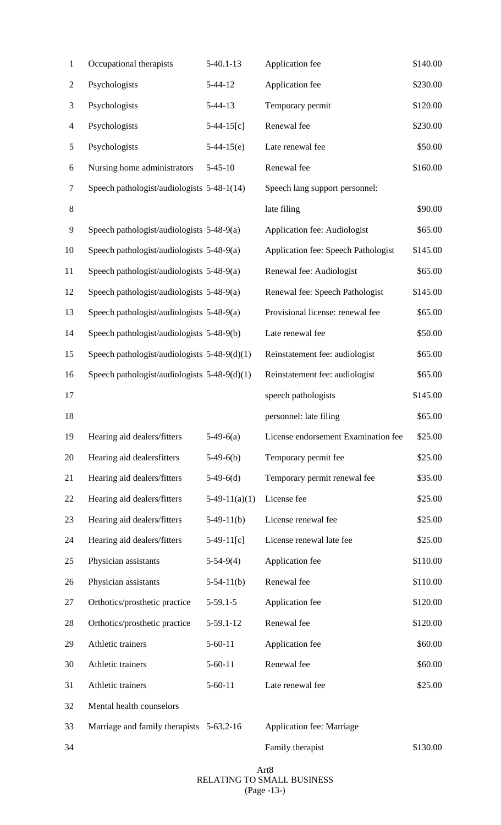| $\mathbf{1}$   | Occupational therapists                      | $5-40.1-13$     | Application fee                     | \$140.00 |
|----------------|----------------------------------------------|-----------------|-------------------------------------|----------|
| $\overline{2}$ | Psychologists                                | $5 - 44 - 12$   | Application fee                     | \$230.00 |
| 3              | Psychologists                                | $5-44-13$       | Temporary permit                    | \$120.00 |
| $\overline{4}$ | Psychologists                                | $5-44-15[c]$    | Renewal fee                         | \$230.00 |
| $\mathfrak{S}$ | Psychologists                                | $5-44-15(e)$    | Late renewal fee                    | \$50.00  |
| 6              | Nursing home administrators                  | $5 - 45 - 10$   | Renewal fee                         | \$160.00 |
| $\tau$         | Speech pathologist/audiologists 5-48-1(14)   |                 | Speech lang support personnel:      |          |
| $8\,$          |                                              |                 | late filing                         | \$90.00  |
| 9              | Speech pathologist/audiologists 5-48-9(a)    |                 | Application fee: Audiologist        | \$65.00  |
| 10             | Speech pathologist/audiologists 5-48-9(a)    |                 | Application fee: Speech Pathologist | \$145.00 |
| 11             | Speech pathologist/audiologists 5-48-9(a)    |                 | Renewal fee: Audiologist            | \$65.00  |
| 12             | Speech pathologist/audiologists 5-48-9(a)    |                 | Renewal fee: Speech Pathologist     | \$145.00 |
| 13             | Speech pathologist/audiologists 5-48-9(a)    |                 | Provisional license: renewal fee    | \$65.00  |
| 14             | Speech pathologist/audiologists 5-48-9(b)    |                 | Late renewal fee                    | \$50.00  |
| 15             | Speech pathologist/audiologists 5-48-9(d)(1) |                 | Reinstatement fee: audiologist      | \$65.00  |
| 16             | Speech pathologist/audiologists 5-48-9(d)(1) |                 | Reinstatement fee: audiologist      | \$65.00  |
| 17             |                                              |                 | speech pathologists                 | \$145.00 |
| 18             |                                              |                 | personnel: late filing              | \$65.00  |
| 19             | Hearing aid dealers/fitters                  | $5-49-6(a)$     | License endorsement Examination fee | \$25.00  |
| 20             | Hearing aid dealersfitters                   | $5-49-6(b)$     | Temporary permit fee                | \$25.00  |
| 21             | Hearing aid dealers/fitters                  | $5-49-6(d)$     | Temporary permit renewal fee        | \$35.00  |
| 22             | Hearing aid dealers/fitters                  | $5-49-11(a)(1)$ | License fee                         | \$25.00  |
| 23             | Hearing aid dealers/fitters                  | $5-49-11(b)$    | License renewal fee                 | \$25.00  |
| 24             | Hearing aid dealers/fitters                  | $5-49-11[c]$    | License renewal late fee            | \$25.00  |
| 25             | Physician assistants                         | $5-54-9(4)$     | Application fee                     | \$110.00 |
| 26             | Physician assistants                         | $5-54-11(b)$    | Renewal fee                         | \$110.00 |
| 27             | Orthotics/prosthetic practice                | $5-59.1-5$      | Application fee                     | \$120.00 |
| 28             | Orthotics/prosthetic practice                | $5-59.1-12$     | Renewal fee                         | \$120.00 |
| 29             | Athletic trainers                            | $5 - 60 - 11$   | Application fee                     | \$60.00  |
| 30             | Athletic trainers                            | $5 - 60 - 11$   | Renewal fee                         | \$60.00  |
| 31             | Athletic trainers                            | $5-60-11$       | Late renewal fee                    | \$25.00  |
| 32             | Mental health counselors                     |                 |                                     |          |
| 33             | Marriage and family therapists               | $5-63.2-16$     | Application fee: Marriage           |          |
| 34             |                                              |                 | Family therapist                    | \$130.00 |

### Art8 RELATING TO SMALL BUSINESS (Page -13-)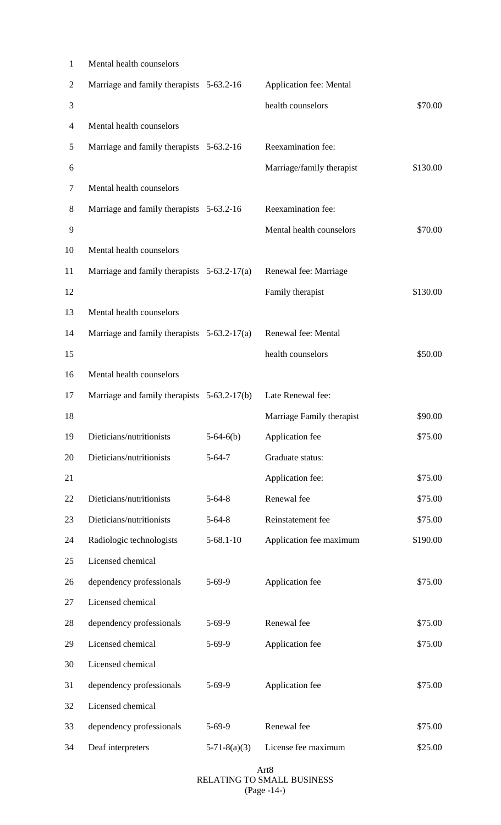| $\mathbf{1}$   | Mental health counselors                      |                 |                           |          |
|----------------|-----------------------------------------------|-----------------|---------------------------|----------|
| $\overline{2}$ | Marriage and family therapists 5-63.2-16      |                 | Application fee: Mental   |          |
| 3              |                                               |                 | health counselors         | \$70.00  |
| 4              | Mental health counselors                      |                 |                           |          |
| 5              | Marriage and family therapists 5-63.2-16      |                 | Reexamination fee:        |          |
| 6              |                                               |                 | Marriage/family therapist | \$130.00 |
| $\tau$         | Mental health counselors                      |                 |                           |          |
| $8\,$          | Marriage and family therapists 5-63.2-16      |                 | Reexamination fee:        |          |
| 9              |                                               |                 | Mental health counselors  | \$70.00  |
| 10             | Mental health counselors                      |                 |                           |          |
| 11             | Marriage and family therapists $5-63.2-17(a)$ |                 | Renewal fee: Marriage     |          |
| 12             |                                               |                 | Family therapist          | \$130.00 |
| 13             | Mental health counselors                      |                 |                           |          |
| 14             | Marriage and family therapists 5-63.2-17(a)   |                 | Renewal fee: Mental       |          |
| 15             |                                               |                 | health counselors         | \$50.00  |
| 16             | Mental health counselors                      |                 |                           |          |
| 17             | Marriage and family therapists 5-63.2-17(b)   |                 | Late Renewal fee:         |          |
| 18             |                                               |                 | Marriage Family therapist | \$90.00  |
| 19             | Dieticians/nutritionists                      | $5-64-6(b)$     | Application fee           | \$75.00  |
| 20             | Dieticians/nutritionists                      | $5 - 64 - 7$    | Graduate status:          |          |
| 21             |                                               |                 | Application fee:          | \$75.00  |
| 22             | Dieticians/nutritionists                      | $5 - 64 - 8$    | Renewal fee               | \$75.00  |
| 23             | Dieticians/nutritionists                      | $5 - 64 - 8$    | Reinstatement fee         | \$75.00  |
| 24             | Radiologic technologists                      | $5 - 68.1 - 10$ | Application fee maximum   | \$190.00 |
| 25             | Licensed chemical                             |                 |                           |          |
| 26             | dependency professionals                      | $5-69-9$        | Application fee           | \$75.00  |
| 27             | Licensed chemical                             |                 |                           |          |
| 28             | dependency professionals                      | $5-69-9$        | Renewal fee               | \$75.00  |
| 29             | Licensed chemical                             | $5 - 69 - 9$    | Application fee           | \$75.00  |
| 30             | Licensed chemical                             |                 |                           |          |
| 31             | dependency professionals                      | $5 - 69 - 9$    | Application fee           | \$75.00  |
| 32             | Licensed chemical                             |                 |                           |          |
| 33             | dependency professionals                      | $5-69-9$        | Renewal fee               | \$75.00  |
| 34             | Deaf interpreters                             | $5-71-8(a)(3)$  | License fee maximum       | \$25.00  |

#### Art8 RELATING TO SMALL BUSINESS (Page -14-)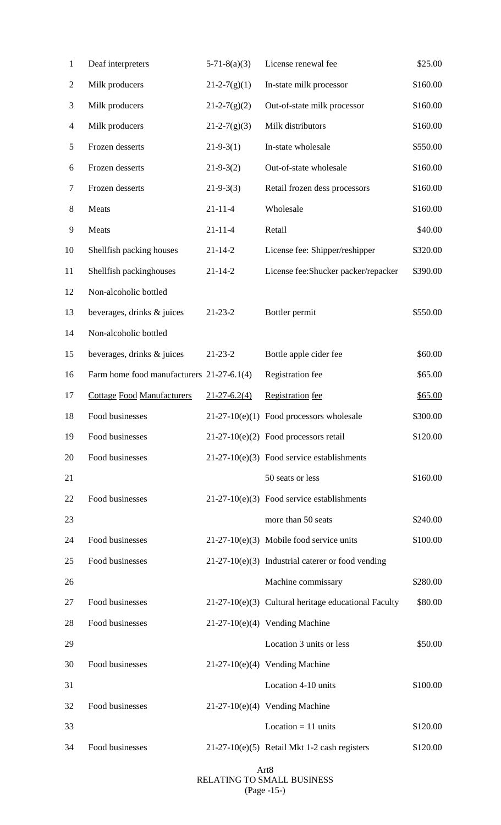| $\mathbf{1}$   | Deaf interpreters                         | $5-71-8(a)(3)$     | License renewal fee                                  | \$25.00  |
|----------------|-------------------------------------------|--------------------|------------------------------------------------------|----------|
| $\overline{2}$ | Milk producers                            | $21 - 2 - 7(g)(1)$ | In-state milk processor                              | \$160.00 |
| $\mathfrak{Z}$ | Milk producers                            | $21 - 2 - 7(g)(2)$ | Out-of-state milk processor                          | \$160.00 |
| $\overline{4}$ | Milk producers                            | $21 - 2 - 7(g)(3)$ | Milk distributors                                    | \$160.00 |
| 5              | Frozen desserts                           | $21-9-3(1)$        | In-state wholesale                                   | \$550.00 |
| 6              | Frozen desserts                           | $21-9-3(2)$        | Out-of-state wholesale                               | \$160.00 |
| 7              | Frozen desserts                           | $21 - 9 - 3(3)$    | Retail frozen dess processors                        | \$160.00 |
| $8\,$          | Meats                                     | $21 - 11 - 4$      | Wholesale                                            | \$160.00 |
| 9              | Meats                                     | $21 - 11 - 4$      | Retail                                               | \$40.00  |
| 10             | Shellfish packing houses                  | $21 - 14 - 2$      | License fee: Shipper/reshipper                       | \$320.00 |
| 11             | Shellfish packinghouses                   | $21 - 14 - 2$      | License fee:Shucker packer/repacker                  | \$390.00 |
| 12             | Non-alcoholic bottled                     |                    |                                                      |          |
| 13             | beverages, drinks & juices                | $21 - 23 - 2$      | Bottler permit                                       | \$550.00 |
| 14             | Non-alcoholic bottled                     |                    |                                                      |          |
| 15             | beverages, drinks & juices                | $21 - 23 - 2$      | Bottle apple cider fee                               | \$60.00  |
| 16             | Farm home food manufacturers 21-27-6.1(4) |                    | Registration fee                                     | \$65.00  |
| 17             | <b>Cottage Food Manufacturers</b>         | $21 - 27 - 6.2(4)$ | Registration fee                                     | \$65.00  |
| 18             | Food businesses                           |                    | $21-27-10(e)(1)$ Food processors wholesale           | \$300.00 |
| 19             | Food businesses                           |                    | $21-27-10(e)(2)$ Food processors retail              | \$120.00 |
| 20             | Food businesses                           |                    | $21-27-10(e)(3)$ Food service establishments         |          |
| 21             |                                           |                    | 50 seats or less                                     | \$160.00 |
| 22             | Food businesses                           |                    | $21-27-10(e)(3)$ Food service establishments         |          |
| 23             |                                           |                    | more than 50 seats                                   | \$240.00 |
| 24             | Food businesses                           |                    | $21-27-10(e)(3)$ Mobile food service units           | \$100.00 |
| 25             | Food businesses                           |                    | $21-27-10(e)(3)$ Industrial caterer or food vending  |          |
| 26             |                                           |                    | Machine commissary                                   | \$280.00 |
| 27             | Food businesses                           |                    | 21-27-10(e)(3) Cultural heritage educational Faculty | \$80.00  |
| 28             | Food businesses                           |                    | $21-27-10(e)(4)$ Vending Machine                     |          |
| 29             |                                           |                    | Location 3 units or less                             | \$50.00  |
| 30             | Food businesses                           |                    | $21-27-10(e)(4)$ Vending Machine                     |          |
| 31             |                                           |                    | Location 4-10 units                                  | \$100.00 |
| 32             | Food businesses                           |                    | $21-27-10(e)(4)$ Vending Machine                     |          |
| 33             |                                           |                    | Location $= 11$ units                                | \$120.00 |
| 34             | Food businesses                           |                    | $21-27-10(e)(5)$ Retail Mkt 1-2 cash registers       | \$120.00 |
|                |                                           |                    |                                                      |          |

### Art8 RELATING TO SMALL BUSINESS (Page -15-)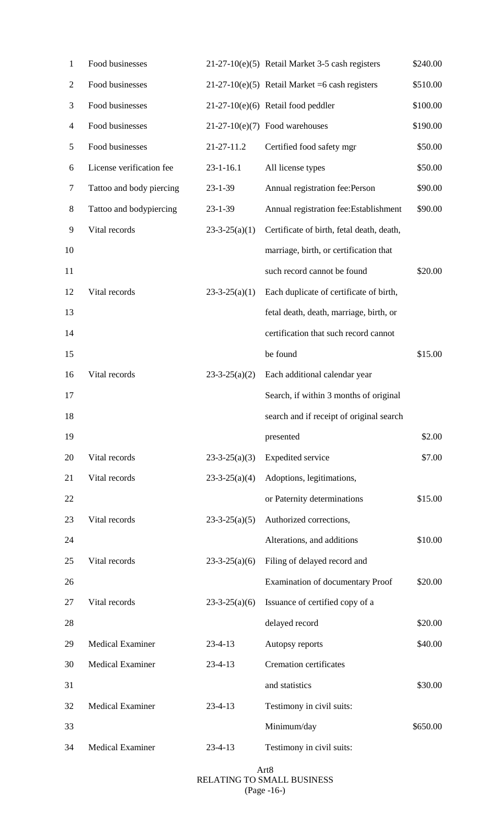| 1              | Food businesses          |                     | 21-27-10(e)(5) Retail Market 3-5 cash registers  | \$240.00 |
|----------------|--------------------------|---------------------|--------------------------------------------------|----------|
| $\overline{2}$ | Food businesses          |                     | $21-27-10(e)(5)$ Retail Market =6 cash registers | \$510.00 |
| 3              | Food businesses          |                     | $21-27-10(e)(6)$ Retail food peddler             | \$100.00 |
| 4              | Food businesses          |                     | $21-27-10(e)(7)$ Food warehouses                 | \$190.00 |
| 5              | Food businesses          | 21-27-11.2          | Certified food safety mgr                        | \$50.00  |
| 6              | License verification fee | $23 - 1 - 16.1$     | All license types                                | \$50.00  |
| 7              | Tattoo and body piercing | $23 - 1 - 39$       | Annual registration fee: Person                  | \$90.00  |
| 8              | Tattoo and bodypiercing  | $23 - 1 - 39$       | Annual registration fee: Establishment           | \$90.00  |
| 9              | Vital records            | $23-3-25(a)(1)$     | Certificate of birth, fetal death, death,        |          |
| 10             |                          |                     | marriage, birth, or certification that           |          |
| 11             |                          |                     | such record cannot be found                      | \$20.00  |
| 12             | Vital records            | $23-3-25(a)(1)$     | Each duplicate of certificate of birth,          |          |
| 13             |                          |                     | fetal death, death, marriage, birth, or          |          |
| 14             |                          |                     | certification that such record cannot            |          |
| 15             |                          |                     | be found                                         | \$15.00  |
| 16             | Vital records            | $23 - 3 - 25(a)(2)$ | Each additional calendar year                    |          |
| 17             |                          |                     | Search, if within 3 months of original           |          |
| 18             |                          |                     | search and if receipt of original search         |          |
| 19             |                          |                     | presented                                        | \$2.00   |
| 20             | Vital records            | $23 - 3 - 25(a)(3)$ | Expedited service                                | \$7.00   |
| 21             | Vital records            | $23-3-25(a)(4)$     | Adoptions, legitimations,                        |          |
| 22             |                          |                     | or Paternity determinations                      | \$15.00  |
| 23             | Vital records            | $23 - 3 - 25(a)(5)$ | Authorized corrections,                          |          |
| 24             |                          |                     | Alterations, and additions                       | \$10.00  |
| 25             | Vital records            | $23 - 3 - 25(a)(6)$ | Filing of delayed record and                     |          |
| 26             |                          |                     | Examination of documentary Proof                 | \$20.00  |
| 27             | Vital records            | $23-3-25(a)(6)$     | Issuance of certified copy of a                  |          |
| 28             |                          |                     | delayed record                                   | \$20.00  |
| 29             | <b>Medical Examiner</b>  | $23 - 4 - 13$       | Autopsy reports                                  | \$40.00  |
| 30             | <b>Medical Examiner</b>  | $23 - 4 - 13$       | <b>Cremation certificates</b>                    |          |
| 31             |                          |                     | and statistics                                   | \$30.00  |
| 32             | <b>Medical Examiner</b>  | $23 - 4 - 13$       | Testimony in civil suits:                        |          |
| 33             |                          |                     | Minimum/day                                      | \$650.00 |
| 34             | <b>Medical Examiner</b>  | $23 - 4 - 13$       | Testimony in civil suits:                        |          |
|                |                          |                     |                                                  |          |

Art8 RELATING TO SMALL BUSINESS (Page -16-)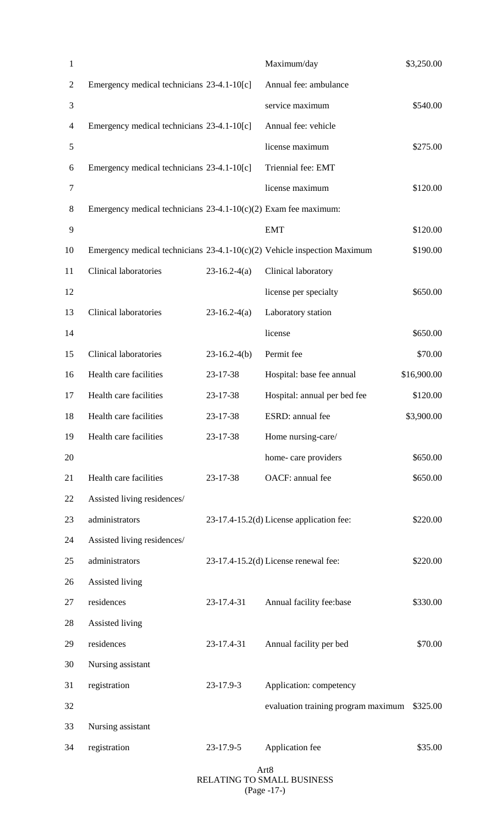| $\mathbf{1}$   |                                                                            |                | Maximum/day                              | \$3,250.00  |
|----------------|----------------------------------------------------------------------------|----------------|------------------------------------------|-------------|
| $\overline{2}$ | Emergency medical technicians 23-4.1-10[c]                                 |                | Annual fee: ambulance                    |             |
| 3              |                                                                            |                | service maximum                          | \$540.00    |
| $\overline{4}$ | Emergency medical technicians 23-4.1-10[c]                                 |                | Annual fee: vehicle                      |             |
| $\mathfrak s$  |                                                                            |                | license maximum                          | \$275.00    |
| 6              | Emergency medical technicians 23-4.1-10[c]                                 |                | Triennial fee: EMT                       |             |
| $\tau$         |                                                                            |                | license maximum                          | \$120.00    |
| 8              | Emergency medical technicians $23-4.1-10(c)(2)$ Exam fee maximum:          |                |                                          |             |
| 9              |                                                                            |                | <b>EMT</b>                               | \$120.00    |
| 10             | Emergency medical technicians $23-4.1-10(c)(2)$ Vehicle inspection Maximum |                |                                          | \$190.00    |
| 11             | <b>Clinical laboratories</b>                                               | $23-16.2-4(a)$ | Clinical laboratory                      |             |
| 12             |                                                                            |                | license per specialty                    | \$650.00    |
| 13             | <b>Clinical laboratories</b>                                               | $23-16.2-4(a)$ | Laboratory station                       |             |
| 14             |                                                                            |                | license                                  | \$650.00    |
| 15             | Clinical laboratories                                                      | $23-16.2-4(b)$ | Permit fee                               | \$70.00     |
| 16             | Health care facilities                                                     | 23-17-38       | Hospital: base fee annual                | \$16,900.00 |
| 17             | Health care facilities                                                     | 23-17-38       | Hospital: annual per bed fee             | \$120.00    |
| 18             | Health care facilities                                                     | 23-17-38       | ESRD: annual fee                         | \$3,900.00  |
| 19             | Health care facilities                                                     | 23-17-38       | Home nursing-care/                       |             |
| 20             |                                                                            |                | home-care providers                      | \$650.00    |
| 21             | Health care facilities                                                     | 23-17-38       | OACF: annual fee                         | \$650.00    |
| 22             | Assisted living residences/                                                |                |                                          |             |
| 23             | administrators                                                             |                | 23-17.4-15.2(d) License application fee: | \$220.00    |
| 24             | Assisted living residences/                                                |                |                                          |             |
| 25             | administrators                                                             |                | 23-17.4-15.2(d) License renewal fee:     | \$220.00    |
| 26             | Assisted living                                                            |                |                                          |             |
| 27             | residences                                                                 | 23-17.4-31     | Annual facility fee:base                 | \$330.00    |
| 28             | Assisted living                                                            |                |                                          |             |
| 29             | residences                                                                 | 23-17.4-31     | Annual facility per bed                  | \$70.00     |
| 30             | Nursing assistant                                                          |                |                                          |             |
| 31             | registration                                                               | 23-17.9-3      | Application: competency                  |             |
| 32             |                                                                            |                | evaluation training program maximum      | \$325.00    |
| 33             | Nursing assistant                                                          |                |                                          |             |
| 34             | registration                                                               | 23-17.9-5      | Application fee                          | \$35.00     |
|                |                                                                            |                | $A + Q$                                  |             |

#### Art8 RELATING TO SMALL BUSINESS (Page -17-)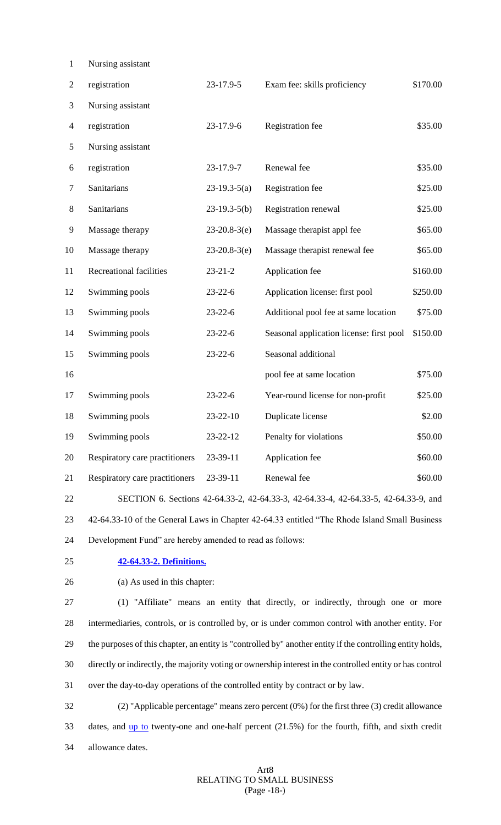| $\mathbf{1}$   | Nursing assistant              |                |                                                                                                |          |
|----------------|--------------------------------|----------------|------------------------------------------------------------------------------------------------|----------|
| $\overline{c}$ | registration                   | 23-17.9-5      | Exam fee: skills proficiency                                                                   | \$170.00 |
| 3              | Nursing assistant              |                |                                                                                                |          |
| 4              | registration                   | 23-17.9-6      | Registration fee                                                                               | \$35.00  |
| 5              | Nursing assistant              |                |                                                                                                |          |
| 6              | registration                   | 23-17.9-7      | Renewal fee                                                                                    | \$35.00  |
| 7              | Sanitarians                    | $23-19.3-5(a)$ | Registration fee                                                                               | \$25.00  |
| 8              | Sanitarians                    | $23-19.3-5(b)$ | Registration renewal                                                                           | \$25.00  |
| 9              | Massage therapy                | $23-20.8-3(e)$ | Massage therapist appl fee                                                                     | \$65.00  |
| 10             | Massage therapy                | $23-20.8-3(e)$ | Massage therapist renewal fee                                                                  | \$65.00  |
| 11             | Recreational facilities        | $23 - 21 - 2$  | Application fee                                                                                | \$160.00 |
| 12             | Swimming pools                 | $23 - 22 - 6$  | Application license: first pool                                                                | \$250.00 |
| 13             | Swimming pools                 | $23 - 22 - 6$  | Additional pool fee at same location                                                           | \$75.00  |
| 14             | Swimming pools                 | $23 - 22 - 6$  | Seasonal application license: first pool                                                       | \$150.00 |
| 15             | Swimming pools                 | $23 - 22 - 6$  | Seasonal additional                                                                            |          |
| 16             |                                |                | pool fee at same location                                                                      | \$75.00  |
| 17             | Swimming pools                 | $23 - 22 - 6$  | Year-round license for non-profit                                                              | \$25.00  |
| 18             | Swimming pools                 | 23-22-10       | Duplicate license                                                                              | \$2.00   |
| 19             | Swimming pools                 | 23-22-12       | Penalty for violations                                                                         | \$50.00  |
| 20             | Respiratory care practitioners | 23-39-11       | Application fee                                                                                | \$60.00  |
| 21             | Respiratory care practitioners | 23-39-11       | Renewal fee                                                                                    | \$60.00  |
| 22             |                                |                | SECTION 6. Sections 42-64.33-2, 42-64.33-3, 42-64.33-4, 42-64.33-5, 42-64.33-9, and            |          |
| 23             |                                |                | 42-64.33-10 of the General Laws in Chapter 42-64.33 entitled "The Rhode Island Small Business" |          |

Development Fund" are hereby amended to read as follows:

#### **42-64.33-2. Definitions.**

# (a) As used in this chapter:

 (1) "Affiliate" means an entity that directly, or indirectly, through one or more intermediaries, controls, or is controlled by, or is under common control with another entity. For the purposes of this chapter, an entity is "controlled by" another entity if the controlling entity holds, directly or indirectly, the majority voting or ownership interest in the controlled entity or has control over the day-to-day operations of the controlled entity by contract or by law.

 (2) "Applicable percentage" means zero percent (0%) for the first three (3) credit allowance 33 dates, and up to twenty-one and one-half percent (21.5%) for the fourth, fifth, and sixth credit allowance dates.

# Art8 RELATING TO SMALL BUSINESS (Page -18-)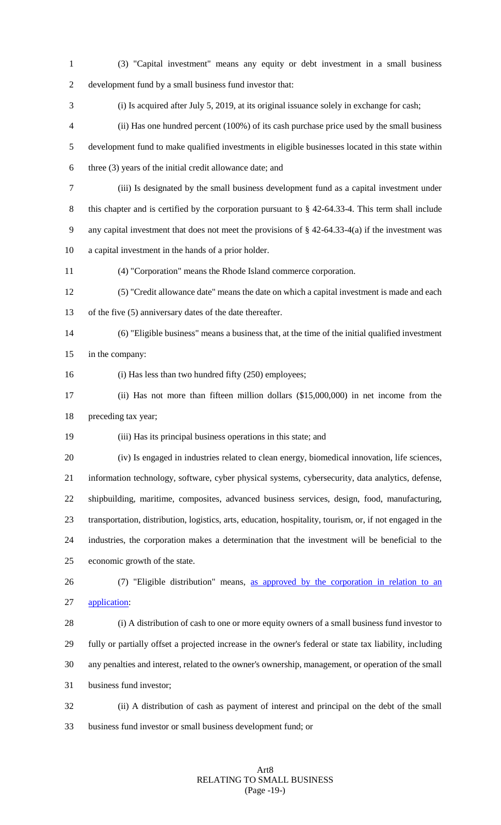(3) "Capital investment" means any equity or debt investment in a small business development fund by a small business fund investor that: (i) Is acquired after July 5, 2019, at its original issuance solely in exchange for cash; (ii) Has one hundred percent (100%) of its cash purchase price used by the small business development fund to make qualified investments in eligible businesses located in this state within three (3) years of the initial credit allowance date; and (iii) Is designated by the small business development fund as a capital investment under this chapter and is certified by the corporation pursuant to § 42-64.33-4. This term shall include any capital investment that does not meet the provisions of § 42-64.33-4(a) if the investment was a capital investment in the hands of a prior holder. (4) "Corporation" means the Rhode Island commerce corporation. (5) "Credit allowance date" means the date on which a capital investment is made and each of the five (5) anniversary dates of the date thereafter. (6) "Eligible business" means a business that, at the time of the initial qualified investment in the company: (i) Has less than two hundred fifty (250) employees; (ii) Has not more than fifteen million dollars (\$15,000,000) in net income from the preceding tax year; (iii) Has its principal business operations in this state; and (iv) Is engaged in industries related to clean energy, biomedical innovation, life sciences, information technology, software, cyber physical systems, cybersecurity, data analytics, defense, shipbuilding, maritime, composites, advanced business services, design, food, manufacturing, transportation, distribution, logistics, arts, education, hospitality, tourism, or, if not engaged in the industries, the corporation makes a determination that the investment will be beneficial to the economic growth of the state. 26 (7) "Eligible distribution" means, as approved by the corporation in relation to an application: (i) A distribution of cash to one or more equity owners of a small business fund investor to fully or partially offset a projected increase in the owner's federal or state tax liability, including any penalties and interest, related to the owner's ownership, management, or operation of the small business fund investor; (ii) A distribution of cash as payment of interest and principal on the debt of the small

business fund investor or small business development fund; or

# Art8 RELATING TO SMALL BUSINESS (Page -19-)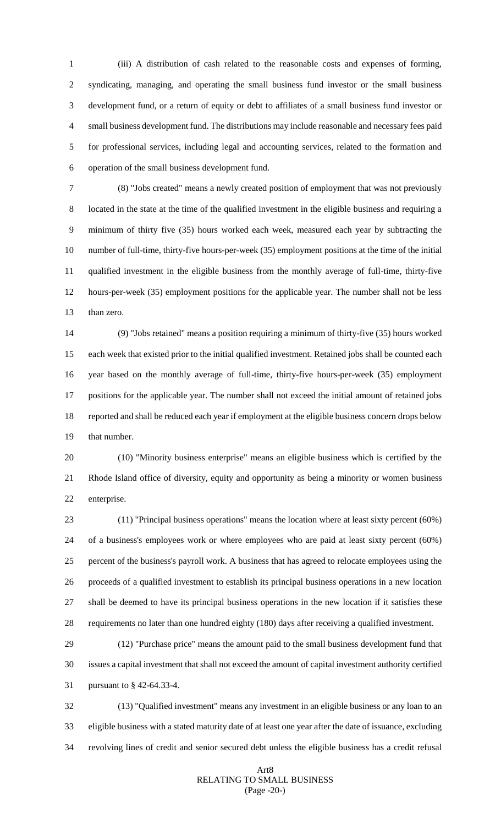(iii) A distribution of cash related to the reasonable costs and expenses of forming, syndicating, managing, and operating the small business fund investor or the small business development fund, or a return of equity or debt to affiliates of a small business fund investor or small business development fund. The distributions may include reasonable and necessary fees paid for professional services, including legal and accounting services, related to the formation and operation of the small business development fund.

 (8) "Jobs created" means a newly created position of employment that was not previously located in the state at the time of the qualified investment in the eligible business and requiring a minimum of thirty five (35) hours worked each week, measured each year by subtracting the number of full-time, thirty-five hours-per-week (35) employment positions at the time of the initial qualified investment in the eligible business from the monthly average of full-time, thirty-five hours-per-week (35) employment positions for the applicable year. The number shall not be less than zero.

 (9) "Jobs retained" means a position requiring a minimum of thirty-five (35) hours worked each week that existed prior to the initial qualified investment. Retained jobs shall be counted each year based on the monthly average of full-time, thirty-five hours-per-week (35) employment positions for the applicable year. The number shall not exceed the initial amount of retained jobs reported and shall be reduced each year if employment at the eligible business concern drops below that number.

 (10) "Minority business enterprise" means an eligible business which is certified by the Rhode Island office of diversity, equity and opportunity as being a minority or women business enterprise.

 (11) "Principal business operations" means the location where at least sixty percent (60%) of a business's employees work or where employees who are paid at least sixty percent (60%) percent of the business's payroll work. A business that has agreed to relocate employees using the proceeds of a qualified investment to establish its principal business operations in a new location shall be deemed to have its principal business operations in the new location if it satisfies these requirements no later than one hundred eighty (180) days after receiving a qualified investment.

 (12) "Purchase price" means the amount paid to the small business development fund that issues a capital investment that shall not exceed the amount of capital investment authority certified pursuant to § 42-64.33-4.

 (13) "Qualified investment" means any investment in an eligible business or any loan to an eligible business with a stated maturity date of at least one year after the date of issuance, excluding revolving lines of credit and senior secured debt unless the eligible business has a credit refusal

### Art8 RELATING TO SMALL BUSINESS (Page -20-)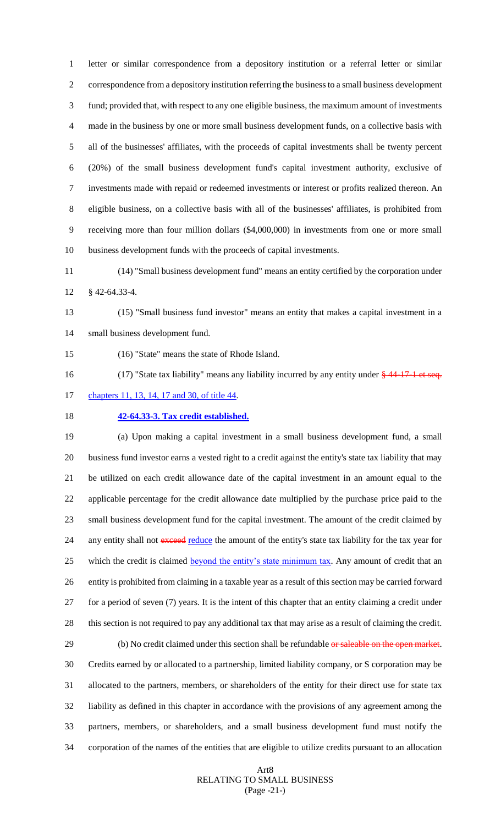letter or similar correspondence from a depository institution or a referral letter or similar correspondence from a depository institution referring the business to a small business development fund; provided that, with respect to any one eligible business, the maximum amount of investments 4 made in the business by one or more small business development funds, on a collective basis with all of the businesses' affiliates, with the proceeds of capital investments shall be twenty percent (20%) of the small business development fund's capital investment authority, exclusive of investments made with repaid or redeemed investments or interest or profits realized thereon. An eligible business, on a collective basis with all of the businesses' affiliates, is prohibited from receiving more than four million dollars (\$4,000,000) in investments from one or more small business development funds with the proceeds of capital investments.

 (14) "Small business development fund" means an entity certified by the corporation under § 42-64.33-4.

 (15) "Small business fund investor" means an entity that makes a capital investment in a small business development fund.

(16) "State" means the state of Rhode Island.

16 (17) "State tax liability" means any liability incurred by any entity under  $\frac{2}{3}$  44-17-1 et seq.

17 chapters 11, 13, 14, 17 and 30, of title 44.

# **42-64.33-3. Tax credit established.**

 (a) Upon making a capital investment in a small business development fund, a small business fund investor earns a vested right to a credit against the entity's state tax liability that may be utilized on each credit allowance date of the capital investment in an amount equal to the applicable percentage for the credit allowance date multiplied by the purchase price paid to the small business development fund for the capital investment. The amount of the credit claimed by 24 any entity shall not exceed reduce the amount of the entity's state tax liability for the tax year for 25 which the credit is claimed beyond the entity's state minimum tax. Any amount of credit that an entity is prohibited from claiming in a taxable year as a result of this section may be carried forward for a period of seven (7) years. It is the intent of this chapter that an entity claiming a credit under this section is not required to pay any additional tax that may arise as a result of claiming the credit. 29 (b) No credit claimed under this section shall be refundable or saleable on the open market.

 Credits earned by or allocated to a partnership, limited liability company, or S corporation may be allocated to the partners, members, or shareholders of the entity for their direct use for state tax liability as defined in this chapter in accordance with the provisions of any agreement among the partners, members, or shareholders, and a small business development fund must notify the corporation of the names of the entities that are eligible to utilize credits pursuant to an allocation

# Art8 RELATING TO SMALL BUSINESS (Page -21-)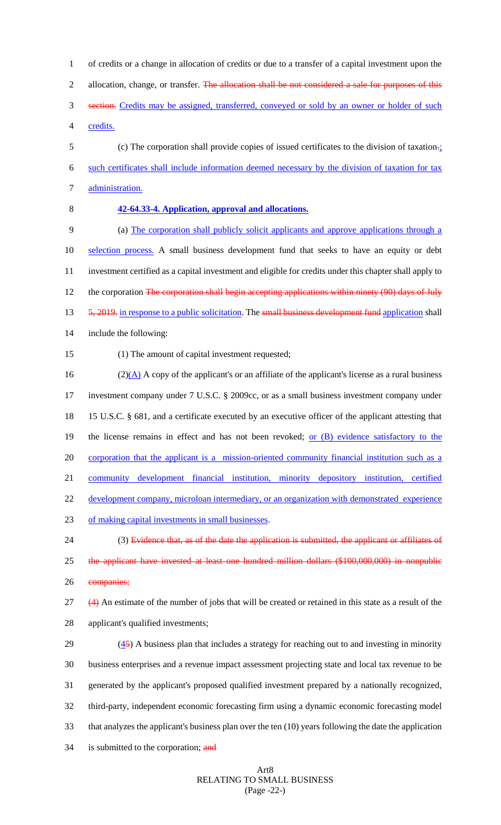1 of credits or a change in allocation of credits or due to a transfer of a capital investment upon the 2 allocation, change, or transfer. The allocation shall be not considered a sale for purposes of this 3 section. Credits may be assigned, transferred, conveyed or sold by an owner or holder of such 4 credits.

5 (c) The corporation shall provide copies of issued certificates to the division of taxation $\frac{1}{2}$ 6 such certificates shall include information deemed necessary by the division of taxation for tax 7 administration.

# 8 **42-64.33-4. Application, approval and allocations.**

9 (a) The corporation shall publicly solicit applicants and approve applications through a 10 selection process. A small business development fund that seeks to have an equity or debt 11 investment certified as a capital investment and eligible for credits under this chapter shall apply to 12 the corporation The corporation shall begin accepting applications within ninety (90) days of July 13 5, 2019. in response to a public solicitation. The small business development fund application shall 14 include the following:

15 (1) The amount of capital investment requested;

16 (2) $(A)$  A copy of the applicant's or an affiliate of the applicant's license as a rural business investment company under 7 U.S.C. § 2009cc, or as a small business investment company under 15 U.S.C. § 681, and a certificate executed by an executive officer of the applicant attesting that 19 the license remains in effect and has not been revoked; <u>or (B) evidence satisfactory to the</u> corporation that the applicant is a mission-oriented community financial institution such as a community development financial institution, minority depository institution, certified 22 development company, microloan intermediary, or an organization with demonstrated experience of making capital investments in small businesses.

24 (3) Evidence that, as of the date the application is submitted, the applicant or affiliates of 25 the applicant have invested at least one hundred million dollars (\$100,000,000) in nonpublic 26 companies;

27 (4) An estimate of the number of jobs that will be created or retained in this state as a result of the 28 applicant's qualified investments;

 ( $\frac{45}{7}$ ) A business plan that includes a strategy for reaching out to and investing in minority business enterprises and a revenue impact assessment projecting state and local tax revenue to be generated by the applicant's proposed qualified investment prepared by a nationally recognized, third-party, independent economic forecasting firm using a dynamic economic forecasting model that analyzes the applicant's business plan over the ten (10) years following the date the application 34 is submitted to the corporation; and

# Art8 RELATING TO SMALL BUSINESS (Page -22-)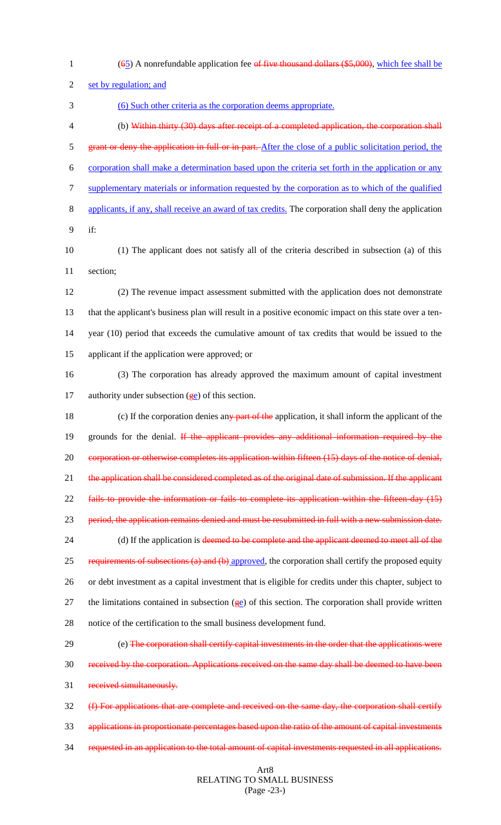1 (65) A nonrefundable application fee of five thousand dollars (\$5,000), which fee shall be set by regulation; and (6) Such other criteria as the corporation deems appropriate. (b) Within thirty (30) days after receipt of a completed application, the corporation shall 5 grant or deny the application in full or in part. After the close of a public solicitation period, the corporation shall make a determination based upon the criteria set forth in the application or any supplementary materials or information requested by the corporation as to which of the qualified applicants, if any, shall receive an award of tax credits. The corporation shall deny the application if: (1) The applicant does not satisfy all of the criteria described in subsection (a) of this section; (2) The revenue impact assessment submitted with the application does not demonstrate that the applicant's business plan will result in a positive economic impact on this state over a ten- year (10) period that exceeds the cumulative amount of tax credits that would be issued to the applicant if the application were approved; or (3) The corporation has already approved the maximum amount of capital investment 17 authority under subsection  $(ge)$  of this section. 18 (c) If the corporation denies any part of the application, it shall inform the applicant of the 19 grounds for the denial. If the applicant provides any additional information required by the 20 corporation or otherwise completes its application within fifteen (15) days of the notice of denial, 21 the application shall be considered completed as of the original date of submission. If the applicant fails to provide the information or fails to complete its application within the fifteen-day (15) 23 period, the application remains denied and must be resubmitted in full with a new submission date. 24 (d) If the application is deemed to be complete and the applicant deemed to meet all of the 25 requirements of subsections (a) and (b) approved, the corporation shall certify the proposed equity or debt investment as a capital investment that is eligible for credits under this chapter, subject to 27 the limitations contained in subsection  $(ge)$  of this section. The corporation shall provide written notice of the certification to the small business development fund. (e) The corporation shall certify capital investments in the order that the applications were received by the corporation. Applications received on the same day shall be deemed to have been received simultaneously. (f) For applications that are complete and received on the same day, the corporation shall certify applications in proportionate percentages based upon the ratio of the amount of capital investments requested in an application to the total amount of capital investments requested in all applications.

#### Art8 RELATING TO SMALL BUSINESS (Page -23-)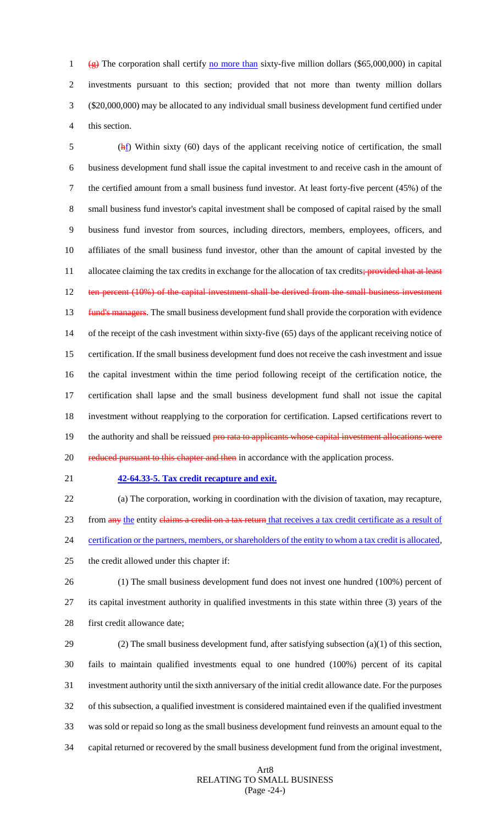1 (g) The corporation shall certify no more than sixty-five million dollars (\$65,000,000) in capital investments pursuant to this section; provided that not more than twenty million dollars (\$20,000,000) may be allocated to any individual small business development fund certified under this section.

 (hf) Within sixty (60) days of the applicant receiving notice of certification, the small business development fund shall issue the capital investment to and receive cash in the amount of the certified amount from a small business fund investor. At least forty-five percent (45%) of the small business fund investor's capital investment shall be composed of capital raised by the small business fund investor from sources, including directors, members, employees, officers, and affiliates of the small business fund investor, other than the amount of capital invested by the 11 allocatee claiming the tax credits in exchange for the allocation of tax credits; provided that at least 12 ten percent (10%) of the capital investment shall be derived from the small business investment 13 fund's managers. The small business development fund shall provide the corporation with evidence 14 of the receipt of the cash investment within sixty-five (65) days of the applicant receiving notice of certification. If the small business development fund does not receive the cash investment and issue the capital investment within the time period following receipt of the certification notice, the certification shall lapse and the small business development fund shall not issue the capital investment without reapplying to the corporation for certification. Lapsed certifications revert to 19 the authority and shall be reissued pro rata to applicants whose capital investment allocations were 20 reduced pursuant to this chapter and then in accordance with the application process.

#### **42-64.33-5. Tax credit recapture and exit.**

 (a) The corporation, working in coordination with the division of taxation, may recapture, 23 from any the entity claims a credit on a tax return that receives a tax credit certificate as a result of 24 certification or the partners, members, or shareholders of the entity to whom a tax credit is allocated, the credit allowed under this chapter if:

 (1) The small business development fund does not invest one hundred (100%) percent of its capital investment authority in qualified investments in this state within three (3) years of the first credit allowance date;

 (2) The small business development fund, after satisfying subsection (a)(1) of this section, fails to maintain qualified investments equal to one hundred (100%) percent of its capital investment authority until the sixth anniversary of the initial credit allowance date. For the purposes of this subsection, a qualified investment is considered maintained even if the qualified investment was sold or repaid so long as the small business development fund reinvests an amount equal to the capital returned or recovered by the small business development fund from the original investment,

### Art8 RELATING TO SMALL BUSINESS (Page -24-)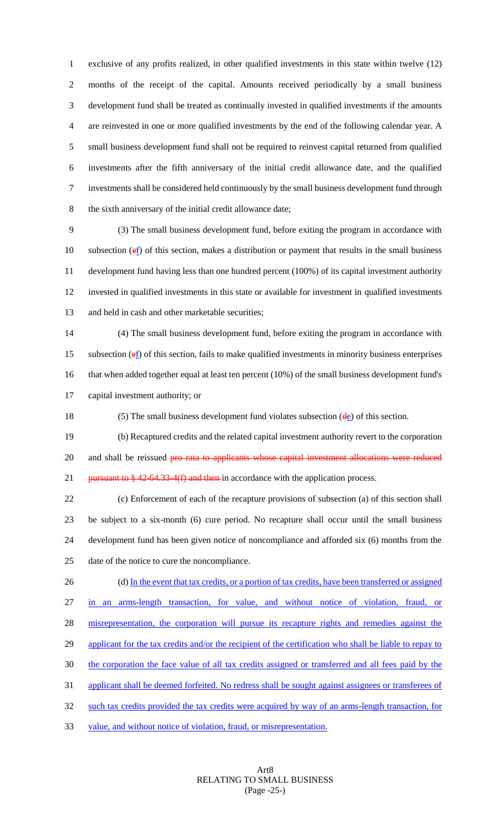exclusive of any profits realized, in other qualified investments in this state within twelve (12) months of the receipt of the capital. Amounts received periodically by a small business development fund shall be treated as continually invested in qualified investments if the amounts are reinvested in one or more qualified investments by the end of the following calendar year. A small business development fund shall not be required to reinvest capital returned from qualified investments after the fifth anniversary of the initial credit allowance date, and the qualified investments shall be considered held continuously by the small business development fund through the sixth anniversary of the initial credit allowance date;

 (3) The small business development fund, before exiting the program in accordance with 10 subsection  $(ef)$  of this section, makes a distribution or payment that results in the small business development fund having less than one hundred percent (100%) of its capital investment authority invested in qualified investments in this state or available for investment in qualified investments and held in cash and other marketable securities;

 (4) The small business development fund, before exiting the program in accordance with 15 subsection  $(\text{ef})$  of this section, fails to make qualified investments in minority business enterprises that when added together equal at least ten percent (10%) of the small business development fund's capital investment authority; or

18 (5) The small business development fund violates subsection  $(\frac{d_e}{d_e})$  of this section.

 (b) Recaptured credits and the related capital investment authority revert to the corporation 20 and shall be reissued pro rata to applicants whose capital investment allocations were reduced 21 pursuant to  $\frac{6}{5}$  42-64.33-4(f) and then in accordance with the application process.

 (c) Enforcement of each of the recapture provisions of subsection (a) of this section shall be subject to a six-month (6) cure period. No recapture shall occur until the small business development fund has been given notice of noncompliance and afforded six (6) months from the date of the notice to cure the noncompliance.

26 (d) In the event that tax credits, or a portion of tax credits, have been transferred or assigned in an arms-length transaction, for value, and without notice of violation, fraud, or 28 misrepresentation, the corporation will pursue its recapture rights and remedies against the 29 applicant for the tax credits and/or the recipient of the certification who shall be liable to repay to the corporation the face value of all tax credits assigned or transferred and all fees paid by the applicant shall be deemed forfeited. No redress shall be sought against assignees or transferees of such tax credits provided the tax credits were acquired by way of an arms-length transaction, for value, and without notice of violation, fraud, or misrepresentation.

> Art8 RELATING TO SMALL BUSINESS (Page -25-)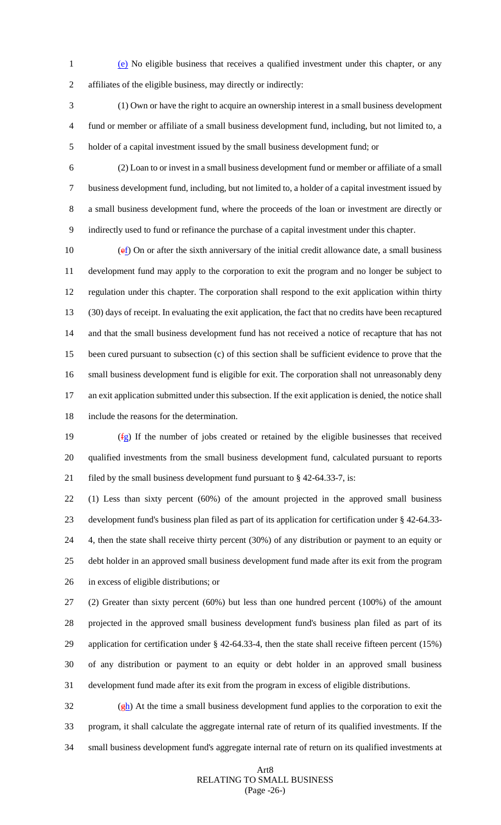(e) No eligible business that receives a qualified investment under this chapter, or any affiliates of the eligible business, may directly or indirectly:

 (1) Own or have the right to acquire an ownership interest in a small business development fund or member or affiliate of a small business development fund, including, but not limited to, a holder of a capital investment issued by the small business development fund; or

 (2) Loan to or invest in a small business development fund or member or affiliate of a small business development fund, including, but not limited to, a holder of a capital investment issued by a small business development fund, where the proceeds of the loan or investment are directly or indirectly used to fund or refinance the purchase of a capital investment under this chapter.

10 ( $\epsilon$ f) On or after the sixth anniversary of the initial credit allowance date, a small business development fund may apply to the corporation to exit the program and no longer be subject to regulation under this chapter. The corporation shall respond to the exit application within thirty (30) days of receipt. In evaluating the exit application, the fact that no credits have been recaptured and that the small business development fund has not received a notice of recapture that has not been cured pursuant to subsection (c) of this section shall be sufficient evidence to prove that the small business development fund is eligible for exit. The corporation shall not unreasonably deny an exit application submitted under this subsection. If the exit application is denied, the notice shall include the reasons for the determination.

19  $(fg)$  If the number of jobs created or retained by the eligible businesses that received qualified investments from the small business development fund, calculated pursuant to reports 21 filed by the small business development fund pursuant to § 42-64.33-7, is:

 (1) Less than sixty percent (60%) of the amount projected in the approved small business development fund's business plan filed as part of its application for certification under § 42-64.33- 4, then the state shall receive thirty percent (30%) of any distribution or payment to an equity or debt holder in an approved small business development fund made after its exit from the program in excess of eligible distributions; or

 (2) Greater than sixty percent (60%) but less than one hundred percent (100%) of the amount projected in the approved small business development fund's business plan filed as part of its application for certification under § 42-64.33-4, then the state shall receive fifteen percent (15%) of any distribution or payment to an equity or debt holder in an approved small business development fund made after its exit from the program in excess of eligible distributions.

 $\frac{1}{2}$  (gh) At the time a small business development fund applies to the corporation to exit the program, it shall calculate the aggregate internal rate of return of its qualified investments. If the small business development fund's aggregate internal rate of return on its qualified investments at

# Art8 RELATING TO SMALL BUSINESS (Page -26-)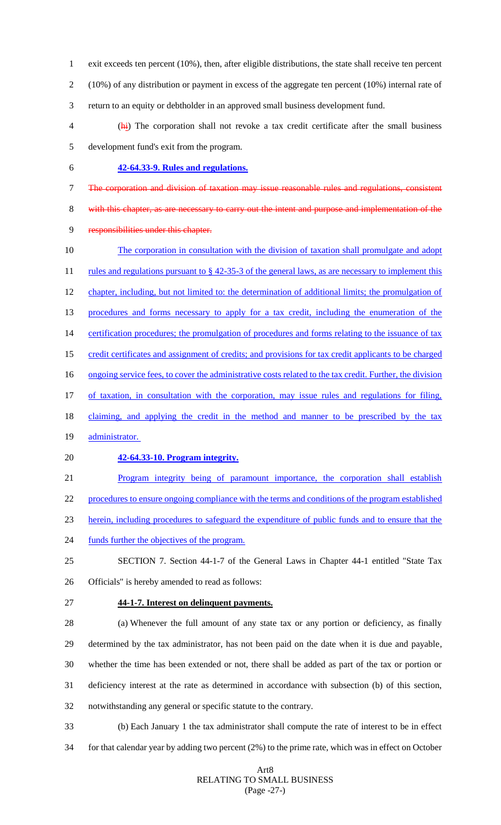- exit exceeds ten percent (10%), then, after eligible distributions, the state shall receive ten percent (10%) of any distribution or payment in excess of the aggregate ten percent (10%) internal rate of return to an equity or debtholder in an approved small business development fund.
- (hi) The corporation shall not revoke a tax credit certificate after the small business development fund's exit from the program.
- **42-64.33-9. Rules and regulations.**
- The corporation and division of taxation may issue reasonable rules and regulations, consistent
- with this chapter, as are necessary to carry out the intent and purpose and implementation of the
- responsibilities under this chapter.
- The corporation in consultation with the division of taxation shall promulgate and adopt 11 rules and regulations pursuant to § 42-35-3 of the general laws, as are necessary to implement this 12 chapter, including, but not limited to: the determination of additional limits; the promulgation of procedures and forms necessary to apply for a tax credit, including the enumeration of the 14 certification procedures; the promulgation of procedures and forms relating to the issuance of tax credit certificates and assignment of credits; and provisions for tax credit applicants to be charged 16 ongoing service fees, to cover the administrative costs related to the tax credit. Further, the division 17 of taxation, in consultation with the corporation, may issue rules and regulations for filing, 18 claiming, and applying the credit in the method and manner to be prescribed by the tax 19 administrator. **42-64.33-10. Program integrity.** Program integrity being of paramount importance, the corporation shall establish 22 procedures to ensure ongoing compliance with the terms and conditions of the program established herein, including procedures to safeguard the expenditure of public funds and to ensure that the
- 24 funds further the objectives of the program.
- SECTION 7. Section 44-1-7 of the General Laws in Chapter 44-1 entitled "State Tax Officials" is hereby amended to read as follows:
- **44-1-7. Interest on delinquent payments.**
- (a) Whenever the full amount of any state tax or any portion or deficiency, as finally determined by the tax administrator, has not been paid on the date when it is due and payable, whether the time has been extended or not, there shall be added as part of the tax or portion or deficiency interest at the rate as determined in accordance with subsection (b) of this section, notwithstanding any general or specific statute to the contrary.
- (b) Each January 1 the tax administrator shall compute the rate of interest to be in effect
- for that calendar year by adding two percent (2%) to the prime rate, which was in effect on October

### Art8 RELATING TO SMALL BUSINESS (Page -27-)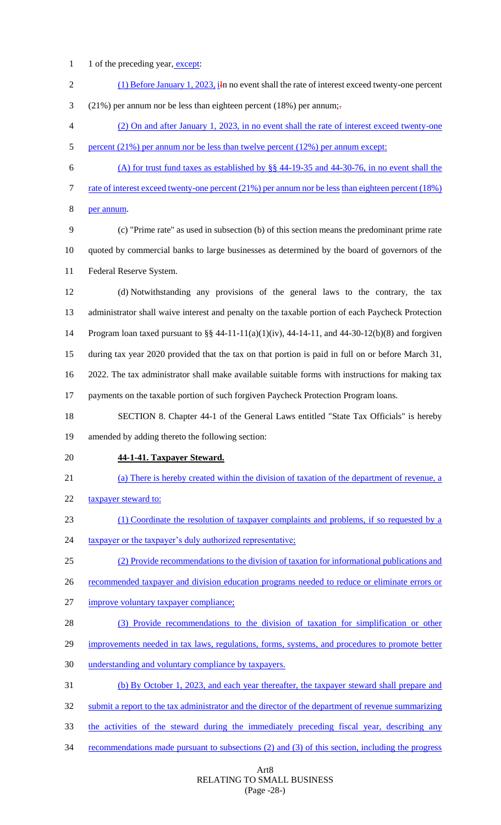- 1 1 of the preceding year, except:
- 2 (1) Before January 1, 2023, i<sub>I</sub>m no event shall the rate of interest exceed twenty-one percent
- (21%) per annum nor be less than eighteen percent (18%) per annum;.
- (2) On and after January 1, 2023, in no event shall the rate of interest exceed twenty-one
- 5 percent (21%) per annum nor be less than twelve percent (12%) per annum except:
- (A) for trust fund taxes as established by §§ 44-19-35 and 44-30-76, in no event shall the
- 7 rate of interest exceed twenty-one percent (21%) per annum nor be less than eighteen percent (18%)
- per annum.
- (c) "Prime rate" as used in subsection (b) of this section means the predominant prime rate quoted by commercial banks to large businesses as determined by the board of governors of the Federal Reserve System.
- (d) Notwithstanding any provisions of the general laws to the contrary, the tax administrator shall waive interest and penalty on the taxable portion of each Paycheck Protection Program loan taxed pursuant to §§ 44-11-11(a)(1)(iv), 44-14-11, and 44-30-12(b)(8) and forgiven during tax year 2020 provided that the tax on that portion is paid in full on or before March 31, 2022. The tax administrator shall make available suitable forms with instructions for making tax payments on the taxable portion of such forgiven Paycheck Protection Program loans.
- SECTION 8. Chapter 44-1 of the General Laws entitled "State Tax Officials" is hereby amended by adding thereto the following section:
- **44-1-41. Taxpayer Steward.**
- (a) There is hereby created within the division of taxation of the department of revenue, a
- 22 taxpayer steward to:
- (1) Coordinate the resolution of taxpayer complaints and problems, if so requested by a
- 24 taxpayer or the taxpayer's duly authorized representative;
- (2) Provide recommendations to the division of taxation for informational publications and
- 26 recommended taxpayer and division education programs needed to reduce or eliminate errors or
- improve voluntary taxpayer compliance;
- (3) Provide recommendations to the division of taxation for simplification or other
- 29 improvements needed in tax laws, regulations, forms, systems, and procedures to promote better
- understanding and voluntary compliance by taxpayers.
- (b) By October 1, 2023, and each year thereafter, the taxpayer steward shall prepare and
- 32 submit a report to the tax administrator and the director of the department of revenue summarizing
- the activities of the steward during the immediately preceding fiscal year, describing any
- 34 recommendations made pursuant to subsections (2) and (3) of this section, including the progress

Art8 RELATING TO SMALL BUSINESS (Page -28-)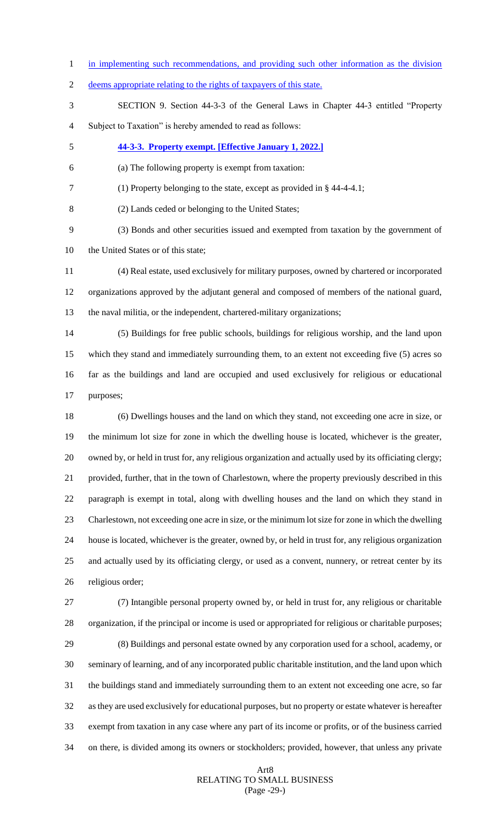- 1 in implementing such recommendations, and providing such other information as the division
- deems appropriate relating to the rights of taxpayers of this state.
- SECTION 9. Section 44-3-3 of the General Laws in Chapter 44-3 entitled "Property
- Subject to Taxation" is hereby amended to read as follows:
- **44-3-3. Property exempt. [Effective January 1, 2022.]**
- (a) The following property is exempt from taxation:
- (1) Property belonging to the state, except as provided in § 44-4-4.1;
- (2) Lands ceded or belonging to the United States;
	-
- (3) Bonds and other securities issued and exempted from taxation by the government of 10 the United States or of this state;
- (4) Real estate, used exclusively for military purposes, owned by chartered or incorporated organizations approved by the adjutant general and composed of members of the national guard, the naval militia, or the independent, chartered-military organizations;
- (5) Buildings for free public schools, buildings for religious worship, and the land upon which they stand and immediately surrounding them, to an extent not exceeding five (5) acres so far as the buildings and land are occupied and used exclusively for religious or educational purposes;
- (6) Dwellings houses and the land on which they stand, not exceeding one acre in size, or the minimum lot size for zone in which the dwelling house is located, whichever is the greater, owned by, or held in trust for, any religious organization and actually used by its officiating clergy; provided, further, that in the town of Charlestown, where the property previously described in this paragraph is exempt in total, along with dwelling houses and the land on which they stand in Charlestown, not exceeding one acre in size, or the minimum lot size for zone in which the dwelling house is located, whichever is the greater, owned by, or held in trust for, any religious organization and actually used by its officiating clergy, or used as a convent, nunnery, or retreat center by its religious order;
- (7) Intangible personal property owned by, or held in trust for, any religious or charitable organization, if the principal or income is used or appropriated for religious or charitable purposes; (8) Buildings and personal estate owned by any corporation used for a school, academy, or seminary of learning, and of any incorporated public charitable institution, and the land upon which the buildings stand and immediately surrounding them to an extent not exceeding one acre, so far as they are used exclusively for educational purposes, but no property or estate whatever is hereafter exempt from taxation in any case where any part of its income or profits, or of the business carried on there, is divided among its owners or stockholders; provided, however, that unless any private

# Art8 RELATING TO SMALL BUSINESS (Page -29-)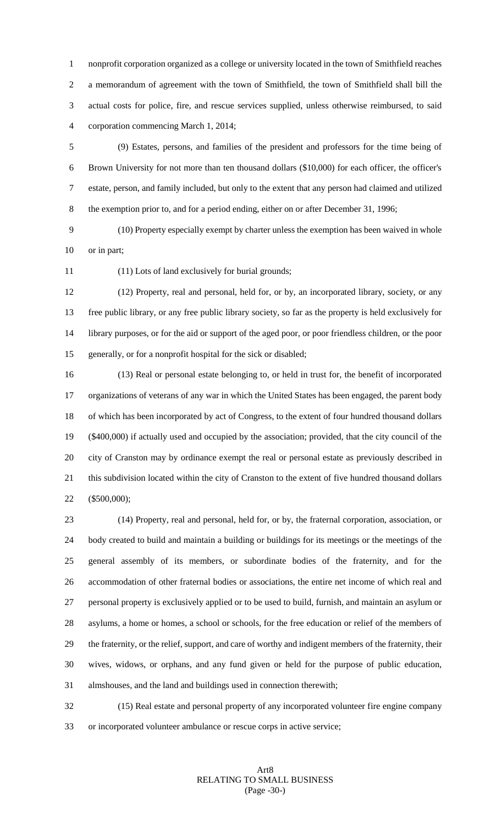nonprofit corporation organized as a college or university located in the town of Smithfield reaches a memorandum of agreement with the town of Smithfield, the town of Smithfield shall bill the actual costs for police, fire, and rescue services supplied, unless otherwise reimbursed, to said corporation commencing March 1, 2014;

 (9) Estates, persons, and families of the president and professors for the time being of Brown University for not more than ten thousand dollars (\$10,000) for each officer, the officer's estate, person, and family included, but only to the extent that any person had claimed and utilized the exemption prior to, and for a period ending, either on or after December 31, 1996;

 (10) Property especially exempt by charter unless the exemption has been waived in whole or in part;

(11) Lots of land exclusively for burial grounds;

 (12) Property, real and personal, held for, or by, an incorporated library, society, or any free public library, or any free public library society, so far as the property is held exclusively for library purposes, or for the aid or support of the aged poor, or poor friendless children, or the poor generally, or for a nonprofit hospital for the sick or disabled;

 (13) Real or personal estate belonging to, or held in trust for, the benefit of incorporated organizations of veterans of any war in which the United States has been engaged, the parent body of which has been incorporated by act of Congress, to the extent of four hundred thousand dollars (\$400,000) if actually used and occupied by the association; provided, that the city council of the city of Cranston may by ordinance exempt the real or personal estate as previously described in this subdivision located within the city of Cranston to the extent of five hundred thousand dollars (\$500,000);

 (14) Property, real and personal, held for, or by, the fraternal corporation, association, or body created to build and maintain a building or buildings for its meetings or the meetings of the general assembly of its members, or subordinate bodies of the fraternity, and for the accommodation of other fraternal bodies or associations, the entire net income of which real and personal property is exclusively applied or to be used to build, furnish, and maintain an asylum or asylums, a home or homes, a school or schools, for the free education or relief of the members of the fraternity, or the relief, support, and care of worthy and indigent members of the fraternity, their wives, widows, or orphans, and any fund given or held for the purpose of public education, almshouses, and the land and buildings used in connection therewith;

 (15) Real estate and personal property of any incorporated volunteer fire engine company or incorporated volunteer ambulance or rescue corps in active service;

# Art8 RELATING TO SMALL BUSINESS (Page -30-)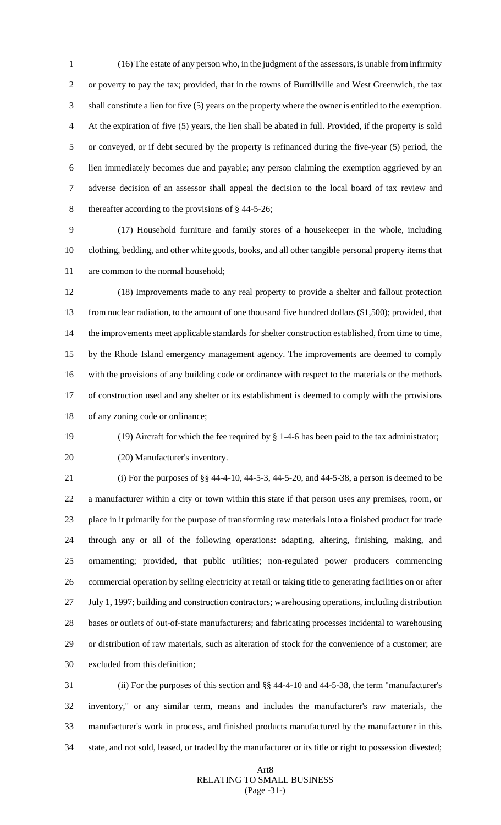(16) The estate of any person who, in the judgment of the assessors, is unable from infirmity or poverty to pay the tax; provided, that in the towns of Burrillville and West Greenwich, the tax shall constitute a lien for five (5) years on the property where the owner is entitled to the exemption. At the expiration of five (5) years, the lien shall be abated in full. Provided, if the property is sold or conveyed, or if debt secured by the property is refinanced during the five-year (5) period, the lien immediately becomes due and payable; any person claiming the exemption aggrieved by an adverse decision of an assessor shall appeal the decision to the local board of tax review and thereafter according to the provisions of § 44-5-26;

 (17) Household furniture and family stores of a housekeeper in the whole, including clothing, bedding, and other white goods, books, and all other tangible personal property items that are common to the normal household;

 (18) Improvements made to any real property to provide a shelter and fallout protection 13 from nuclear radiation, to the amount of one thousand five hundred dollars (\$1,500); provided, that the improvements meet applicable standards for shelter construction established, from time to time, by the Rhode Island emergency management agency. The improvements are deemed to comply with the provisions of any building code or ordinance with respect to the materials or the methods of construction used and any shelter or its establishment is deemed to comply with the provisions of any zoning code or ordinance;

 (19) Aircraft for which the fee required by § 1-4-6 has been paid to the tax administrator; (20) Manufacturer's inventory.

 (i) For the purposes of §§ 44-4-10, 44-5-3, 44-5-20, and 44-5-38, a person is deemed to be a manufacturer within a city or town within this state if that person uses any premises, room, or place in it primarily for the purpose of transforming raw materials into a finished product for trade through any or all of the following operations: adapting, altering, finishing, making, and ornamenting; provided, that public utilities; non-regulated power producers commencing commercial operation by selling electricity at retail or taking title to generating facilities on or after July 1, 1997; building and construction contractors; warehousing operations, including distribution bases or outlets of out-of-state manufacturers; and fabricating processes incidental to warehousing or distribution of raw materials, such as alteration of stock for the convenience of a customer; are excluded from this definition;

 (ii) For the purposes of this section and §§ 44-4-10 and 44-5-38, the term "manufacturer's inventory," or any similar term, means and includes the manufacturer's raw materials, the manufacturer's work in process, and finished products manufactured by the manufacturer in this state, and not sold, leased, or traded by the manufacturer or its title or right to possession divested;

# Art8 RELATING TO SMALL BUSINESS (Page -31-)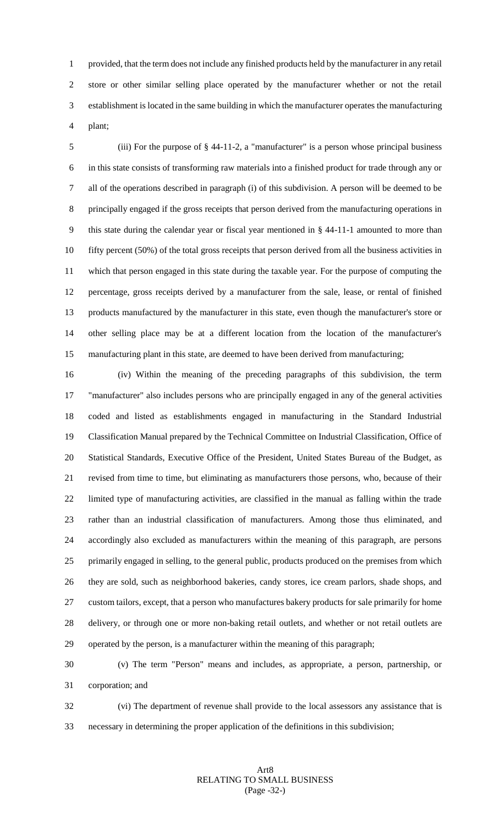provided, that the term does not include any finished products held by the manufacturer in any retail store or other similar selling place operated by the manufacturer whether or not the retail establishment is located in the same building in which the manufacturer operates the manufacturing plant;

 (iii) For the purpose of § 44-11-2, a "manufacturer" is a person whose principal business in this state consists of transforming raw materials into a finished product for trade through any or all of the operations described in paragraph (i) of this subdivision. A person will be deemed to be principally engaged if the gross receipts that person derived from the manufacturing operations in this state during the calendar year or fiscal year mentioned in § 44-11-1 amounted to more than fifty percent (50%) of the total gross receipts that person derived from all the business activities in which that person engaged in this state during the taxable year. For the purpose of computing the percentage, gross receipts derived by a manufacturer from the sale, lease, or rental of finished products manufactured by the manufacturer in this state, even though the manufacturer's store or other selling place may be at a different location from the location of the manufacturer's manufacturing plant in this state, are deemed to have been derived from manufacturing;

 (iv) Within the meaning of the preceding paragraphs of this subdivision, the term "manufacturer" also includes persons who are principally engaged in any of the general activities coded and listed as establishments engaged in manufacturing in the Standard Industrial Classification Manual prepared by the Technical Committee on Industrial Classification, Office of Statistical Standards, Executive Office of the President, United States Bureau of the Budget, as revised from time to time, but eliminating as manufacturers those persons, who, because of their limited type of manufacturing activities, are classified in the manual as falling within the trade rather than an industrial classification of manufacturers. Among those thus eliminated, and accordingly also excluded as manufacturers within the meaning of this paragraph, are persons primarily engaged in selling, to the general public, products produced on the premises from which they are sold, such as neighborhood bakeries, candy stores, ice cream parlors, shade shops, and custom tailors, except, that a person who manufactures bakery products for sale primarily for home delivery, or through one or more non-baking retail outlets, and whether or not retail outlets are operated by the person, is a manufacturer within the meaning of this paragraph;

 (v) The term "Person" means and includes, as appropriate, a person, partnership, or corporation; and

 (vi) The department of revenue shall provide to the local assessors any assistance that is necessary in determining the proper application of the definitions in this subdivision;

# Art8 RELATING TO SMALL BUSINESS (Page -32-)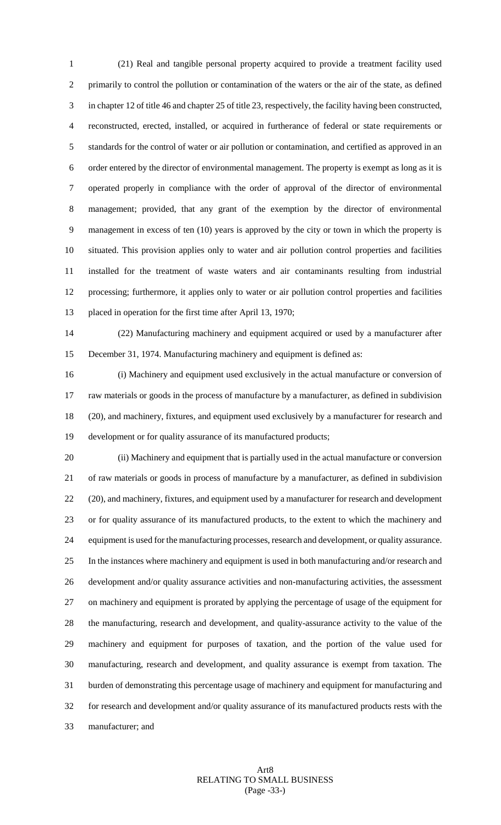(21) Real and tangible personal property acquired to provide a treatment facility used primarily to control the pollution or contamination of the waters or the air of the state, as defined in chapter 12 of title 46 and chapter 25 of title 23, respectively, the facility having been constructed, reconstructed, erected, installed, or acquired in furtherance of federal or state requirements or standards for the control of water or air pollution or contamination, and certified as approved in an order entered by the director of environmental management. The property is exempt as long as it is operated properly in compliance with the order of approval of the director of environmental management; provided, that any grant of the exemption by the director of environmental management in excess of ten (10) years is approved by the city or town in which the property is situated. This provision applies only to water and air pollution control properties and facilities installed for the treatment of waste waters and air contaminants resulting from industrial processing; furthermore, it applies only to water or air pollution control properties and facilities placed in operation for the first time after April 13, 1970;

 (22) Manufacturing machinery and equipment acquired or used by a manufacturer after December 31, 1974. Manufacturing machinery and equipment is defined as:

 (i) Machinery and equipment used exclusively in the actual manufacture or conversion of raw materials or goods in the process of manufacture by a manufacturer, as defined in subdivision (20), and machinery, fixtures, and equipment used exclusively by a manufacturer for research and development or for quality assurance of its manufactured products;

 (ii) Machinery and equipment that is partially used in the actual manufacture or conversion of raw materials or goods in process of manufacture by a manufacturer, as defined in subdivision 22 (20), and machinery, fixtures, and equipment used by a manufacturer for research and development or for quality assurance of its manufactured products, to the extent to which the machinery and equipment is used for the manufacturing processes, research and development, or quality assurance. In the instances where machinery and equipment is used in both manufacturing and/or research and development and/or quality assurance activities and non-manufacturing activities, the assessment on machinery and equipment is prorated by applying the percentage of usage of the equipment for the manufacturing, research and development, and quality-assurance activity to the value of the machinery and equipment for purposes of taxation, and the portion of the value used for manufacturing, research and development, and quality assurance is exempt from taxation. The burden of demonstrating this percentage usage of machinery and equipment for manufacturing and for research and development and/or quality assurance of its manufactured products rests with the manufacturer; and

# Art8 RELATING TO SMALL BUSINESS (Page -33-)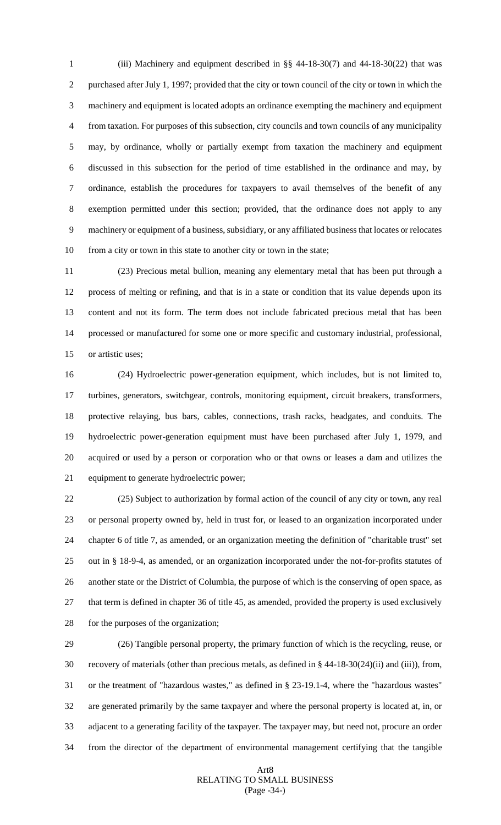(iii) Machinery and equipment described in §§ 44-18-30(7) and 44-18-30(22) that was purchased after July 1, 1997; provided that the city or town council of the city or town in which the machinery and equipment is located adopts an ordinance exempting the machinery and equipment from taxation. For purposes of this subsection, city councils and town councils of any municipality may, by ordinance, wholly or partially exempt from taxation the machinery and equipment discussed in this subsection for the period of time established in the ordinance and may, by ordinance, establish the procedures for taxpayers to avail themselves of the benefit of any exemption permitted under this section; provided, that the ordinance does not apply to any machinery or equipment of a business, subsidiary, or any affiliated business that locates or relocates 10 from a city or town in this state to another city or town in the state;

 (23) Precious metal bullion, meaning any elementary metal that has been put through a process of melting or refining, and that is in a state or condition that its value depends upon its content and not its form. The term does not include fabricated precious metal that has been processed or manufactured for some one or more specific and customary industrial, professional, or artistic uses;

 (24) Hydroelectric power-generation equipment, which includes, but is not limited to, turbines, generators, switchgear, controls, monitoring equipment, circuit breakers, transformers, protective relaying, bus bars, cables, connections, trash racks, headgates, and conduits. The hydroelectric power-generation equipment must have been purchased after July 1, 1979, and acquired or used by a person or corporation who or that owns or leases a dam and utilizes the equipment to generate hydroelectric power;

 (25) Subject to authorization by formal action of the council of any city or town, any real or personal property owned by, held in trust for, or leased to an organization incorporated under chapter 6 of title 7, as amended, or an organization meeting the definition of "charitable trust" set out in § 18-9-4, as amended, or an organization incorporated under the not-for-profits statutes of another state or the District of Columbia, the purpose of which is the conserving of open space, as that term is defined in chapter 36 of title 45, as amended, provided the property is used exclusively for the purposes of the organization;

 (26) Tangible personal property, the primary function of which is the recycling, reuse, or recovery of materials (other than precious metals, as defined in § 44-18-30(24)(ii) and (iii)), from, or the treatment of "hazardous wastes," as defined in § 23-19.1-4, where the "hazardous wastes" are generated primarily by the same taxpayer and where the personal property is located at, in, or adjacent to a generating facility of the taxpayer. The taxpayer may, but need not, procure an order from the director of the department of environmental management certifying that the tangible

### Art8 RELATING TO SMALL BUSINESS (Page -34-)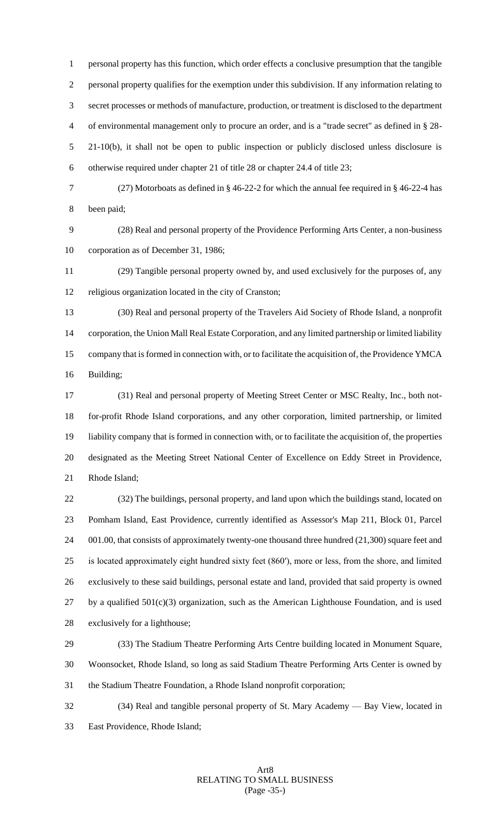personal property has this function, which order effects a conclusive presumption that the tangible personal property qualifies for the exemption under this subdivision. If any information relating to secret processes or methods of manufacture, production, or treatment is disclosed to the department of environmental management only to procure an order, and is a "trade secret" as defined in § 28- 21-10(b), it shall not be open to public inspection or publicly disclosed unless disclosure is otherwise required under chapter 21 of title 28 or chapter 24.4 of title 23;

(27) Motorboats as defined in § 46-22-2 for which the annual fee required in § 46-22-4 has

been paid;

 (28) Real and personal property of the Providence Performing Arts Center, a non-business corporation as of December 31, 1986;

 (29) Tangible personal property owned by, and used exclusively for the purposes of, any religious organization located in the city of Cranston;

 (30) Real and personal property of the Travelers Aid Society of Rhode Island, a nonprofit corporation, the Union Mall Real Estate Corporation, and any limited partnership or limited liability company that is formed in connection with, or to facilitate the acquisition of, the Providence YMCA Building;

 (31) Real and personal property of Meeting Street Center or MSC Realty, Inc., both not- for-profit Rhode Island corporations, and any other corporation, limited partnership, or limited liability company that is formed in connection with, or to facilitate the acquisition of, the properties designated as the Meeting Street National Center of Excellence on Eddy Street in Providence, Rhode Island;

 (32) The buildings, personal property, and land upon which the buildings stand, located on Pomham Island, East Providence, currently identified as Assessor's Map 211, Block 01, Parcel 24 001.00, that consists of approximately twenty-one thousand three hundred (21,300) square feet and is located approximately eight hundred sixty feet (860′), more or less, from the shore, and limited exclusively to these said buildings, personal estate and land, provided that said property is owned 27 by a qualified  $501(c)(3)$  organization, such as the American Lighthouse Foundation, and is used exclusively for a lighthouse;

 (33) The Stadium Theatre Performing Arts Centre building located in Monument Square, Woonsocket, Rhode Island, so long as said Stadium Theatre Performing Arts Center is owned by the Stadium Theatre Foundation, a Rhode Island nonprofit corporation;

 (34) Real and tangible personal property of St. Mary Academy — Bay View, located in East Providence, Rhode Island;

# Art8 RELATING TO SMALL BUSINESS (Page -35-)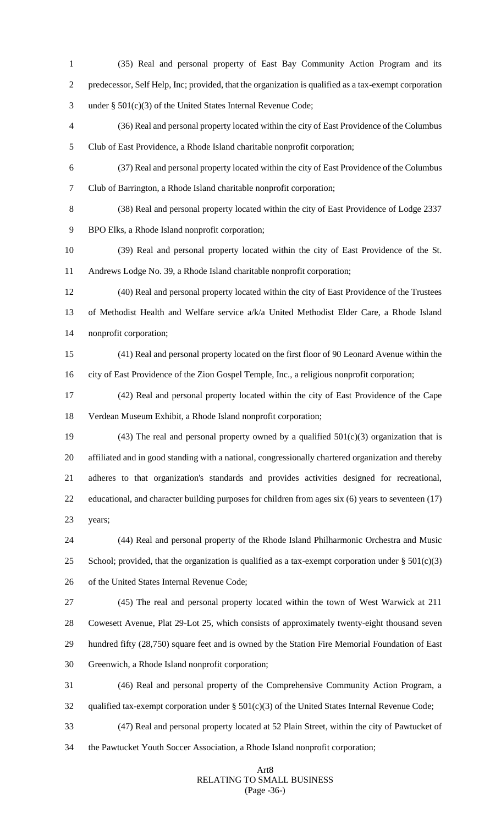(35) Real and personal property of East Bay Community Action Program and its predecessor, Self Help, Inc; provided, that the organization is qualified as a tax-exempt corporation under § 501(c)(3) of the United States Internal Revenue Code;

 (36) Real and personal property located within the city of East Providence of the Columbus Club of East Providence, a Rhode Island charitable nonprofit corporation;

(37) Real and personal property located within the city of East Providence of the Columbus

Club of Barrington, a Rhode Island charitable nonprofit corporation;

 (38) Real and personal property located within the city of East Providence of Lodge 2337 BPO Elks, a Rhode Island nonprofit corporation;

 (39) Real and personal property located within the city of East Providence of the St. Andrews Lodge No. 39, a Rhode Island charitable nonprofit corporation;

 (40) Real and personal property located within the city of East Providence of the Trustees of Methodist Health and Welfare service a/k/a United Methodist Elder Care, a Rhode Island nonprofit corporation;

 (41) Real and personal property located on the first floor of 90 Leonard Avenue within the city of East Providence of the Zion Gospel Temple, Inc., a religious nonprofit corporation;

 (42) Real and personal property located within the city of East Providence of the Cape Verdean Museum Exhibit, a Rhode Island nonprofit corporation;

19 (43) The real and personal property owned by a qualified  $501(c)(3)$  organization that is affiliated and in good standing with a national, congressionally chartered organization and thereby adheres to that organization's standards and provides activities designed for recreational, educational, and character building purposes for children from ages six (6) years to seventeen (17) years;

 (44) Real and personal property of the Rhode Island Philharmonic Orchestra and Music 25 School; provided, that the organization is qualified as a tax-exempt corporation under  $\S 501(c)(3)$ 26 of the United States Internal Revenue Code;

 (45) The real and personal property located within the town of West Warwick at 211 Cowesett Avenue, Plat 29-Lot 25, which consists of approximately twenty-eight thousand seven hundred fifty (28,750) square feet and is owned by the Station Fire Memorial Foundation of East Greenwich, a Rhode Island nonprofit corporation;

 (46) Real and personal property of the Comprehensive Community Action Program, a qualified tax-exempt corporation under § 501(c)(3) of the United States Internal Revenue Code;

(47) Real and personal property located at 52 Plain Street, within the city of Pawtucket of

the Pawtucket Youth Soccer Association, a Rhode Island nonprofit corporation;

# Art8 RELATING TO SMALL BUSINESS (Page -36-)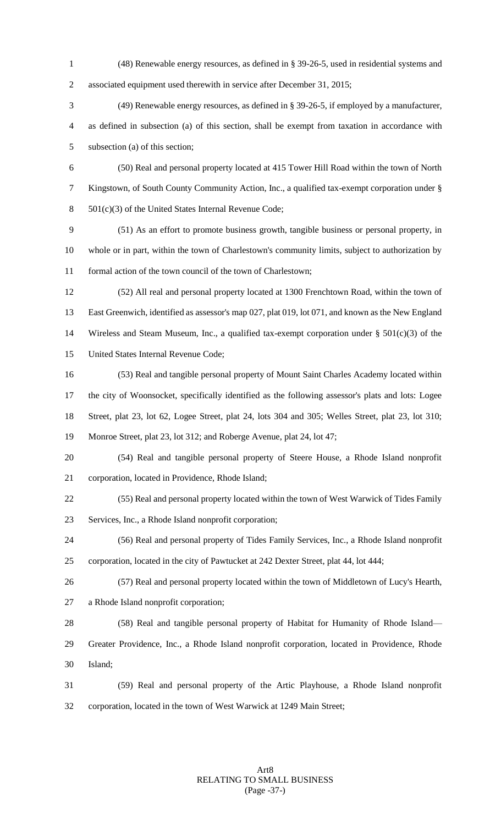- (48) Renewable energy resources, as defined in § 39-26-5, used in residential systems and associated equipment used therewith in service after December 31, 2015;
- (49) Renewable energy resources, as defined in § 39-26-5, if employed by a manufacturer, as defined in subsection (a) of this section, shall be exempt from taxation in accordance with subsection (a) of this section;
- (50) Real and personal property located at 415 Tower Hill Road within the town of North Kingstown, of South County Community Action, Inc., a qualified tax-exempt corporation under § 501(c)(3) of the United States Internal Revenue Code;
- (51) As an effort to promote business growth, tangible business or personal property, in whole or in part, within the town of Charlestown's community limits, subject to authorization by formal action of the town council of the town of Charlestown;
- (52) All real and personal property located at 1300 Frenchtown Road, within the town of East Greenwich, identified as assessor's map 027, plat 019, lot 071, and known as the New England Wireless and Steam Museum, Inc., a qualified tax-exempt corporation under § 501(c)(3) of the United States Internal Revenue Code;
- (53) Real and tangible personal property of Mount Saint Charles Academy located within the city of Woonsocket, specifically identified as the following assessor's plats and lots: Logee Street, plat 23, lot 62, Logee Street, plat 24, lots 304 and 305; Welles Street, plat 23, lot 310; Monroe Street, plat 23, lot 312; and Roberge Avenue, plat 24, lot 47;
- (54) Real and tangible personal property of Steere House, a Rhode Island nonprofit corporation, located in Providence, Rhode Island;
- (55) Real and personal property located within the town of West Warwick of Tides Family Services, Inc., a Rhode Island nonprofit corporation;
- (56) Real and personal property of Tides Family Services, Inc., a Rhode Island nonprofit corporation, located in the city of Pawtucket at 242 Dexter Street, plat 44, lot 444;
	-
- (57) Real and personal property located within the town of Middletown of Lucy's Hearth, a Rhode Island nonprofit corporation;
- (58) Real and tangible personal property of Habitat for Humanity of Rhode Island—
- Greater Providence, Inc., a Rhode Island nonprofit corporation, located in Providence, Rhode Island;
- (59) Real and personal property of the Artic Playhouse, a Rhode Island nonprofit corporation, located in the town of West Warwick at 1249 Main Street;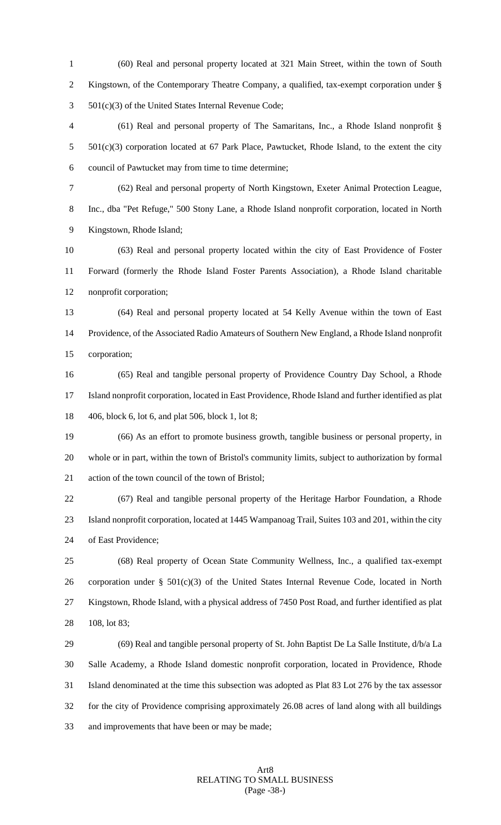(60) Real and personal property located at 321 Main Street, within the town of South Kingstown, of the Contemporary Theatre Company, a qualified, tax-exempt corporation under § 501(c)(3) of the United States Internal Revenue Code;

 (61) Real and personal property of The Samaritans, Inc., a Rhode Island nonprofit § 501(c)(3) corporation located at 67 Park Place, Pawtucket, Rhode Island, to the extent the city council of Pawtucket may from time to time determine;

 (62) Real and personal property of North Kingstown, Exeter Animal Protection League, Inc., dba "Pet Refuge," 500 Stony Lane, a Rhode Island nonprofit corporation, located in North Kingstown, Rhode Island;

 (63) Real and personal property located within the city of East Providence of Foster Forward (formerly the Rhode Island Foster Parents Association), a Rhode Island charitable nonprofit corporation;

 (64) Real and personal property located at 54 Kelly Avenue within the town of East Providence, of the Associated Radio Amateurs of Southern New England, a Rhode Island nonprofit corporation;

 (65) Real and tangible personal property of Providence Country Day School, a Rhode Island nonprofit corporation, located in East Providence, Rhode Island and further identified as plat 406, block 6, lot 6, and plat 506, block 1, lot 8;

 (66) As an effort to promote business growth, tangible business or personal property, in whole or in part, within the town of Bristol's community limits, subject to authorization by formal action of the town council of the town of Bristol;

 (67) Real and tangible personal property of the Heritage Harbor Foundation, a Rhode Island nonprofit corporation, located at 1445 Wampanoag Trail, Suites 103 and 201, within the city of East Providence;

 (68) Real property of Ocean State Community Wellness, Inc., a qualified tax-exempt corporation under § 501(c)(3) of the United States Internal Revenue Code, located in North Kingstown, Rhode Island, with a physical address of 7450 Post Road, and further identified as plat 108, lot 83;

 (69) Real and tangible personal property of St. John Baptist De La Salle Institute, d/b/a La Salle Academy, a Rhode Island domestic nonprofit corporation, located in Providence, Rhode Island denominated at the time this subsection was adopted as Plat 83 Lot 276 by the tax assessor for the city of Providence comprising approximately 26.08 acres of land along with all buildings and improvements that have been or may be made;

# Art8 RELATING TO SMALL BUSINESS (Page -38-)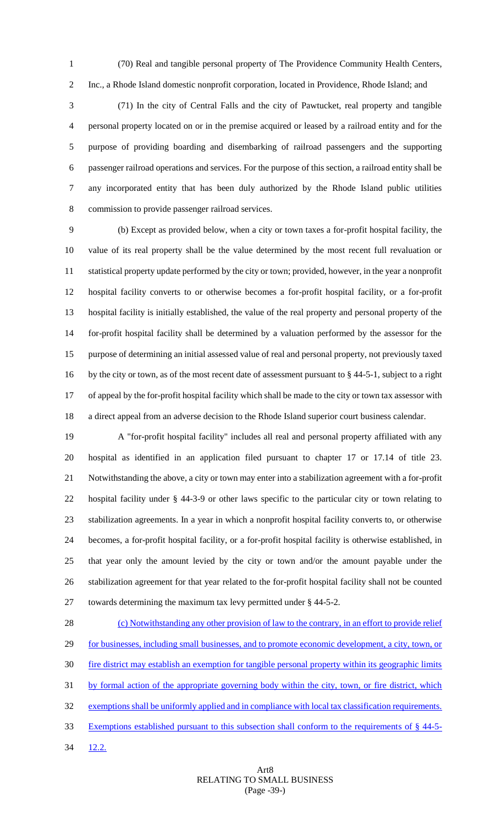(70) Real and tangible personal property of The Providence Community Health Centers, Inc., a Rhode Island domestic nonprofit corporation, located in Providence, Rhode Island; and

 (71) In the city of Central Falls and the city of Pawtucket, real property and tangible personal property located on or in the premise acquired or leased by a railroad entity and for the purpose of providing boarding and disembarking of railroad passengers and the supporting passenger railroad operations and services. For the purpose of this section, a railroad entity shall be any incorporated entity that has been duly authorized by the Rhode Island public utilities commission to provide passenger railroad services.

 (b) Except as provided below, when a city or town taxes a for-profit hospital facility, the value of its real property shall be the value determined by the most recent full revaluation or statistical property update performed by the city or town; provided, however, in the year a nonprofit hospital facility converts to or otherwise becomes a for-profit hospital facility, or a for-profit hospital facility is initially established, the value of the real property and personal property of the for-profit hospital facility shall be determined by a valuation performed by the assessor for the purpose of determining an initial assessed value of real and personal property, not previously taxed by the city or town, as of the most recent date of assessment pursuant to § 44-5-1, subject to a right of appeal by the for-profit hospital facility which shall be made to the city or town tax assessor with a direct appeal from an adverse decision to the Rhode Island superior court business calendar.

 A "for-profit hospital facility" includes all real and personal property affiliated with any hospital as identified in an application filed pursuant to chapter 17 or 17.14 of title 23. Notwithstanding the above, a city or town may enter into a stabilization agreement with a for-profit hospital facility under § 44-3-9 or other laws specific to the particular city or town relating to stabilization agreements. In a year in which a nonprofit hospital facility converts to, or otherwise becomes, a for-profit hospital facility, or a for-profit hospital facility is otherwise established, in that year only the amount levied by the city or town and/or the amount payable under the stabilization agreement for that year related to the for-profit hospital facility shall not be counted towards determining the maximum tax levy permitted under § 44-5-2.

 (c) Notwithstanding any other provision of law to the contrary, in an effort to provide relief 29 for businesses, including small businesses, and to promote economic development, a city, town, or fire district may establish an exemption for tangible personal property within its geographic limits 31 by formal action of the appropriate governing body within the city, town, or fire district, which exemptions shall be uniformly applied and in compliance with local tax classification requirements. Exemptions established pursuant to this subsection shall conform to the requirements of § 44-5- 34 12.2.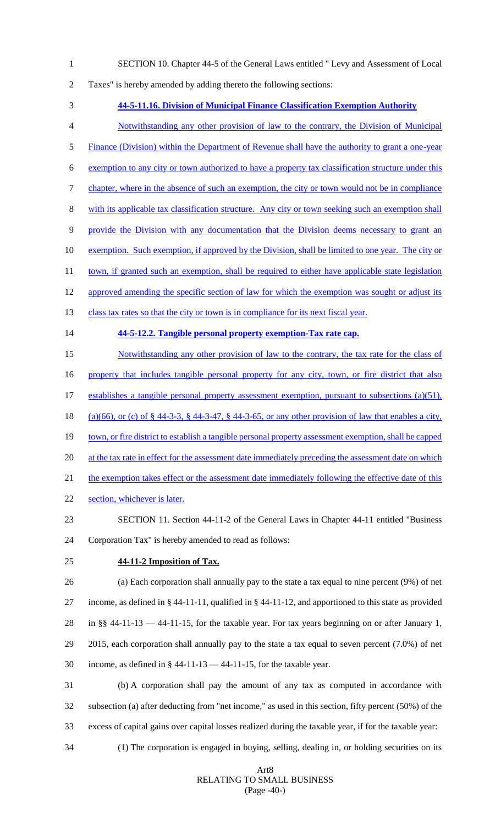1 SECTION 10. Chapter 44-5 of the General Laws entitled " Levy and Assessment of Local

2 Taxes" is hereby amended by adding thereto the following sections:

- 3 **44-5-11.16. Division of Municipal Finance Classification Exemption Authority**
- 4 Notwithstanding any other provision of law to the contrary, the Division of Municipal
- 5 Finance (Division) within the Department of Revenue shall have the authority to grant a one-year
- 6 exemption to any city or town authorized to have a property tax classification structure under this
- 7 chapter, where in the absence of such an exemption, the city or town would not be in compliance
- 8 with its applicable tax classification structure. Any city or town seeking such an exemption shall
- 9 provide the Division with any documentation that the Division deems necessary to grant an
- 10 exemption. Such exemption, if approved by the Division, shall be limited to one year. The city or
- 11 town, if granted such an exemption, shall be required to either have applicable state legislation
- 12 approved amending the specific section of law for which the exemption was sought or adjust its
- 13 class tax rates so that the city or town is in compliance for its next fiscal year.
- 

# 14 **44-5-12.2. Tangible personal property exemption-Tax rate cap.**

15 Notwithstanding any other provision of law to the contrary, the tax rate for the class of 16 property that includes tangible personal property for any city, town, or fire district that also 17 establishes a tangible personal property assessment exemption, pursuant to subsections (a)(51), 18 (a)(66), or (c) of § 44-3-3, § 44-3-47, § 44-3-65, or any other provision of law that enables a city, 19 town, or fire district to establish a tangible personal property assessment exemption, shall be capped 20 at the tax rate in effect for the assessment date immediately preceding the assessment date on which 21 the exemption takes effect or the assessment date immediately following the effective date of this 22 section, whichever is later. 23 SECTION 11. Section 44-11-2 of the General Laws in Chapter 44-11 entitled "Business

- 24 Corporation Tax" is hereby amended to read as follows:
- 

# 25 **44-11-2 Imposition of Tax.**

 (a) Each corporation shall annually pay to the state a tax equal to nine percent (9%) of net income, as defined in § 44-11-11, qualified in § 44-11-12, and apportioned to this state as provided in §§ 44-11-13 — 44-11-15, for the taxable year. For tax years beginning on or after January 1, 2015, each corporation shall annually pay to the state a tax equal to seven percent (7.0%) of net income, as defined in § 44-11-13 — 44-11-15, for the taxable year.

31 (b) A corporation shall pay the amount of any tax as computed in accordance with 32 subsection (a) after deducting from "net income," as used in this section, fifty percent (50%) of the 33 excess of capital gains over capital losses realized during the taxable year, if for the taxable year:

34 (1) The corporation is engaged in buying, selling, dealing in, or holding securities on its

### Art8 RELATING TO SMALL BUSINESS (Page -40-)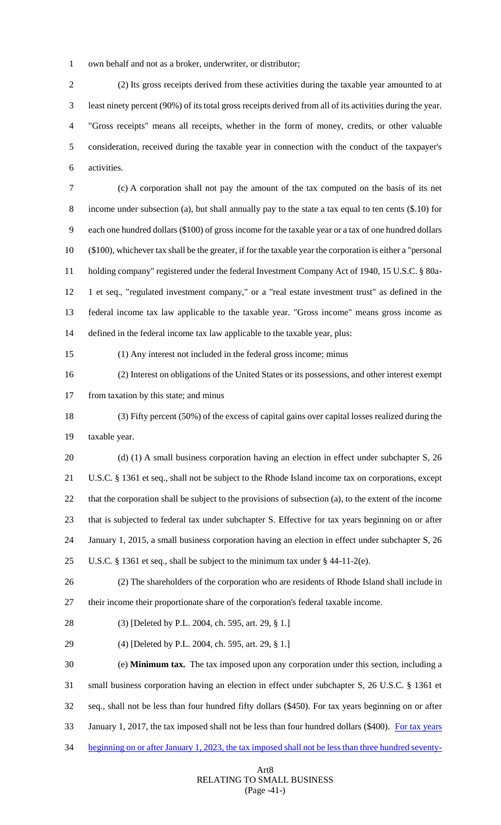own behalf and not as a broker, underwriter, or distributor;

 (2) Its gross receipts derived from these activities during the taxable year amounted to at least ninety percent (90%) of its total gross receipts derived from all of its activities during the year. "Gross receipts" means all receipts, whether in the form of money, credits, or other valuable consideration, received during the taxable year in connection with the conduct of the taxpayer's activities.

 (c) A corporation shall not pay the amount of the tax computed on the basis of its net income under subsection (a), but shall annually pay to the state a tax equal to ten cents (\$.10) for each one hundred dollars (\$100) of gross income for the taxable year or a tax of one hundred dollars (\$100), whichever tax shall be the greater, if for the taxable year the corporation is either a "personal holding company" registered under the federal Investment Company Act of 1940, 15 U.S.C. § 80a- 1 et seq., "regulated investment company," or a "real estate investment trust" as defined in the federal income tax law applicable to the taxable year. "Gross income" means gross income as defined in the federal income tax law applicable to the taxable year, plus:

(1) Any interest not included in the federal gross income; minus

(2) Interest on obligations of the United States or its possessions, and other interest exempt

17 from taxation by this state; and minus

 (3) Fifty percent (50%) of the excess of capital gains over capital losses realized during the taxable year.

20 (d) (1) A small business corporation having an election in effect under subchapter S, 26 U.S.C. § 1361 et seq., shall not be subject to the Rhode Island income tax on corporations, except that the corporation shall be subject to the provisions of subsection (a), to the extent of the income that is subjected to federal tax under subchapter S. Effective for tax years beginning on or after January 1, 2015, a small business corporation having an election in effect under subchapter S, 26 U.S.C. § 1361 et seq., shall be subject to the minimum tax under § 44-11-2(e).

 (2) The shareholders of the corporation who are residents of Rhode Island shall include in their income their proportionate share of the corporation's federal taxable income.

(3) [Deleted by P.L. 2004, ch. 595, art. 29, § 1.]

(4) [Deleted by P.L. 2004, ch. 595, art. 29, § 1.]

 (e) **Minimum tax.** The tax imposed upon any corporation under this section, including a small business corporation having an election in effect under subchapter S, 26 U.S.C. § 1361 et seq., shall not be less than four hundred fifty dollars (\$450). For tax years beginning on or after 33 January 1, 2017, the tax imposed shall not be less than four hundred dollars (\$400). For tax years beginning on or after January 1, 2023, the tax imposed shall not be less than three hundred seventy-

### Art8 RELATING TO SMALL BUSINESS (Page -41-)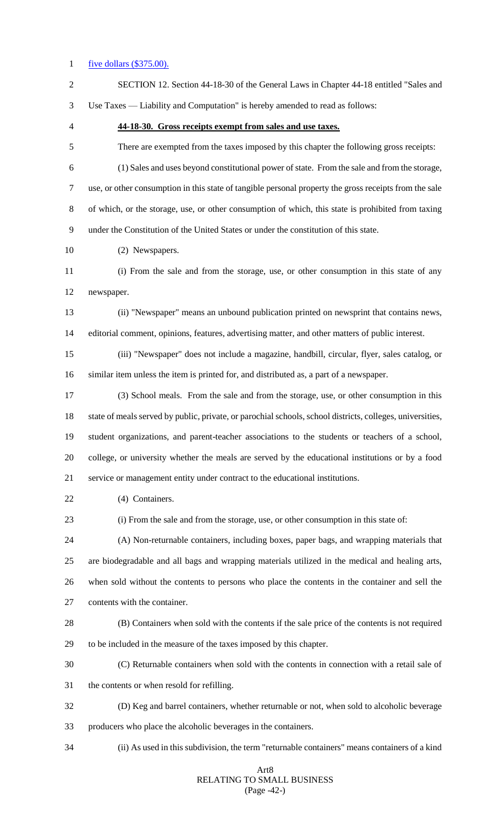# 1 five dollars (\$375.00).

| $\overline{2}$ | SECTION 12. Section 44-18-30 of the General Laws in Chapter 44-18 entitled "Sales and                     |
|----------------|-----------------------------------------------------------------------------------------------------------|
| 3              | Use Taxes — Liability and Computation" is hereby amended to read as follows:                              |
| $\overline{4}$ | 44-18-30. Gross receipts exempt from sales and use taxes.                                                 |
| 5              | There are exempted from the taxes imposed by this chapter the following gross receipts:                   |
| 6              | (1) Sales and uses beyond constitutional power of state. From the sale and from the storage,              |
| 7              | use, or other consumption in this state of tangible personal property the gross receipts from the sale    |
| 8              | of which, or the storage, use, or other consumption of which, this state is prohibited from taxing        |
| 9              | under the Constitution of the United States or under the constitution of this state.                      |
| 10             | (2) Newspapers.                                                                                           |
| 11             | (i) From the sale and from the storage, use, or other consumption in this state of any                    |
| 12             | newspaper.                                                                                                |
| 13             | (ii) "Newspaper" means an unbound publication printed on newsprint that contains news,                    |
| 14             | editorial comment, opinions, features, advertising matter, and other matters of public interest.          |
| 15             | (iii) "Newspaper" does not include a magazine, handbill, circular, flyer, sales catalog, or               |
| 16             | similar item unless the item is printed for, and distributed as, a part of a newspaper.                   |
| 17             | (3) School meals. From the sale and from the storage, use, or other consumption in this                   |
| 18             | state of meals served by public, private, or parochial schools, school districts, colleges, universities, |
| 19             | student organizations, and parent-teacher associations to the students or teachers of a school,           |
| 20             | college, or university whether the meals are served by the educational institutions or by a food          |
| 21             | service or management entity under contract to the educational institutions.                              |
| 22             | (4) Containers.                                                                                           |
| 23             | (i) From the sale and from the storage, use, or other consumption in this state of:                       |
| 24             | (A) Non-returnable containers, including boxes, paper bags, and wrapping materials that                   |
| 25             | are biodegradable and all bags and wrapping materials utilized in the medical and healing arts,           |
| 26             | when sold without the contents to persons who place the contents in the container and sell the            |
| 27             | contents with the container.                                                                              |
| 28             | (B) Containers when sold with the contents if the sale price of the contents is not required              |
| 29             | to be included in the measure of the taxes imposed by this chapter.                                       |
| 30             | (C) Returnable containers when sold with the contents in connection with a retail sale of                 |
| 31             | the contents or when resold for refilling.                                                                |
| 32             | (D) Keg and barrel containers, whether returnable or not, when sold to alcoholic beverage                 |
| 33             | producers who place the alcoholic beverages in the containers.                                            |
| 34             | (ii) As used in this subdivision, the term "returnable containers" means containers of a kind             |

# Art8 RELATING TO SMALL BUSINESS (Page -42-)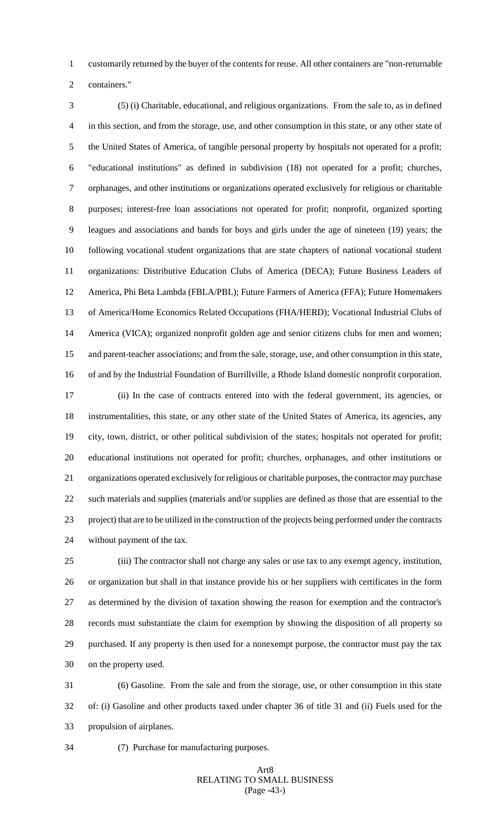customarily returned by the buyer of the contents for reuse. All other containers are "non-returnable

containers."

 (5) (i) Charitable, educational, and religious organizations. From the sale to, as in defined in this section, and from the storage, use, and other consumption in this state, or any other state of the United States of America, of tangible personal property by hospitals not operated for a profit; "educational institutions" as defined in subdivision (18) not operated for a profit; churches, orphanages, and other institutions or organizations operated exclusively for religious or charitable purposes; interest-free loan associations not operated for profit; nonprofit, organized sporting leagues and associations and bands for boys and girls under the age of nineteen (19) years; the following vocational student organizations that are state chapters of national vocational student organizations: Distributive Education Clubs of America (DECA); Future Business Leaders of America, Phi Beta Lambda (FBLA/PBL); Future Farmers of America (FFA); Future Homemakers of America/Home Economics Related Occupations (FHA/HERD); Vocational Industrial Clubs of America (VICA); organized nonprofit golden age and senior citizens clubs for men and women; and parent-teacher associations; and from the sale, storage, use, and other consumption in this state, of and by the Industrial Foundation of Burrillville, a Rhode Island domestic nonprofit corporation. (ii) In the case of contracts entered into with the federal government, its agencies, or instrumentalities, this state, or any other state of the United States of America, its agencies, any city, town, district, or other political subdivision of the states; hospitals not operated for profit; educational institutions not operated for profit; churches, orphanages, and other institutions or organizations operated exclusively for religious or charitable purposes, the contractor may purchase such materials and supplies (materials and/or supplies are defined as those that are essential to the project) that are to be utilized in the construction of the projects being performed under the contracts without payment of the tax.

 (iii) The contractor shall not charge any sales or use tax to any exempt agency, institution, or organization but shall in that instance provide his or her suppliers with certificates in the form as determined by the division of taxation showing the reason for exemption and the contractor's records must substantiate the claim for exemption by showing the disposition of all property so purchased. If any property is then used for a nonexempt purpose, the contractor must pay the tax on the property used.

 (6) Gasoline. From the sale and from the storage, use, or other consumption in this state of: (i) Gasoline and other products taxed under chapter 36 of title 31 and (ii) Fuels used for the propulsion of airplanes.

- 
- (7) Purchase for manufacturing purposes.

#### Art8 RELATING TO SMALL BUSINESS (Page -43-)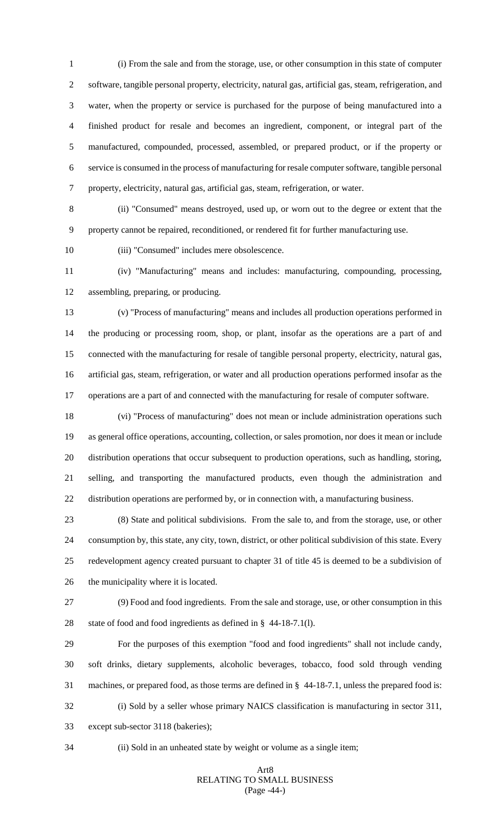(i) From the sale and from the storage, use, or other consumption in this state of computer software, tangible personal property, electricity, natural gas, artificial gas, steam, refrigeration, and water, when the property or service is purchased for the purpose of being manufactured into a finished product for resale and becomes an ingredient, component, or integral part of the manufactured, compounded, processed, assembled, or prepared product, or if the property or service is consumed in the process of manufacturing for resale computer software, tangible personal property, electricity, natural gas, artificial gas, steam, refrigeration, or water.

 (ii) "Consumed" means destroyed, used up, or worn out to the degree or extent that the property cannot be repaired, reconditioned, or rendered fit for further manufacturing use.

(iii) "Consumed" includes mere obsolescence.

 (iv) "Manufacturing" means and includes: manufacturing, compounding, processing, assembling, preparing, or producing.

 (v) "Process of manufacturing" means and includes all production operations performed in the producing or processing room, shop, or plant, insofar as the operations are a part of and connected with the manufacturing for resale of tangible personal property, electricity, natural gas, artificial gas, steam, refrigeration, or water and all production operations performed insofar as the operations are a part of and connected with the manufacturing for resale of computer software.

 (vi) "Process of manufacturing" does not mean or include administration operations such as general office operations, accounting, collection, or sales promotion, nor does it mean or include distribution operations that occur subsequent to production operations, such as handling, storing, selling, and transporting the manufactured products, even though the administration and distribution operations are performed by, or in connection with, a manufacturing business.

 (8) State and political subdivisions. From the sale to, and from the storage, use, or other consumption by, this state, any city, town, district, or other political subdivision of this state. Every redevelopment agency created pursuant to chapter 31 of title 45 is deemed to be a subdivision of the municipality where it is located.

 (9) Food and food ingredients. From the sale and storage, use, or other consumption in this 28 state of food and food ingredients as defined in § 44-18-7.1(1).

 For the purposes of this exemption "food and food ingredients" shall not include candy, soft drinks, dietary supplements, alcoholic beverages, tobacco, food sold through vending machines, or prepared food, as those terms are defined in § 44-18-7.1, unless the prepared food is: (i) Sold by a seller whose primary NAICS classification is manufacturing in sector 311,

except sub-sector 3118 (bakeries);

(ii) Sold in an unheated state by weight or volume as a single item;

#### Art8 RELATING TO SMALL BUSINESS (Page -44-)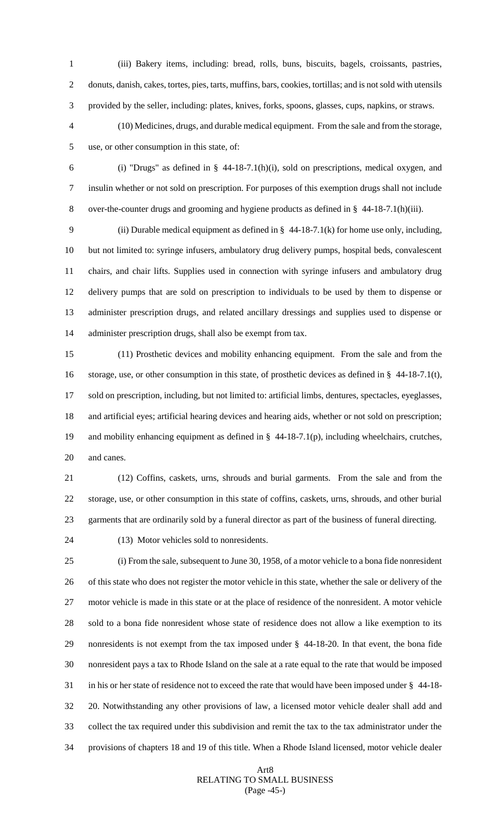(iii) Bakery items, including: bread, rolls, buns, biscuits, bagels, croissants, pastries, donuts, danish, cakes, tortes, pies, tarts, muffins, bars, cookies, tortillas; and is not sold with utensils provided by the seller, including: plates, knives, forks, spoons, glasses, cups, napkins, or straws.

 (10) Medicines, drugs, and durable medical equipment. From the sale and from the storage, use, or other consumption in this state, of:

 (i) "Drugs" as defined in § 44-18-7.1(h)(i), sold on prescriptions, medical oxygen, and insulin whether or not sold on prescription. For purposes of this exemption drugs shall not include over-the-counter drugs and grooming and hygiene products as defined in § 44-18-7.1(h)(iii).

 (ii) Durable medical equipment as defined in § 44-18-7.1(k) for home use only, including, but not limited to: syringe infusers, ambulatory drug delivery pumps, hospital beds, convalescent chairs, and chair lifts. Supplies used in connection with syringe infusers and ambulatory drug delivery pumps that are sold on prescription to individuals to be used by them to dispense or administer prescription drugs, and related ancillary dressings and supplies used to dispense or administer prescription drugs, shall also be exempt from tax.

 (11) Prosthetic devices and mobility enhancing equipment. From the sale and from the storage, use, or other consumption in this state, of prosthetic devices as defined in § 44-18-7.1(t), sold on prescription, including, but not limited to: artificial limbs, dentures, spectacles, eyeglasses, and artificial eyes; artificial hearing devices and hearing aids, whether or not sold on prescription; and mobility enhancing equipment as defined in § 44-18-7.1(p), including wheelchairs, crutches, and canes.

 (12) Coffins, caskets, urns, shrouds and burial garments. From the sale and from the storage, use, or other consumption in this state of coffins, caskets, urns, shrouds, and other burial garments that are ordinarily sold by a funeral director as part of the business of funeral directing.

(13) Motor vehicles sold to nonresidents.

 (i) From the sale, subsequent to June 30, 1958, of a motor vehicle to a bona fide nonresident of this state who does not register the motor vehicle in this state, whether the sale or delivery of the motor vehicle is made in this state or at the place of residence of the nonresident. A motor vehicle sold to a bona fide nonresident whose state of residence does not allow a like exemption to its nonresidents is not exempt from the tax imposed under § 44-18-20. In that event, the bona fide nonresident pays a tax to Rhode Island on the sale at a rate equal to the rate that would be imposed in his or her state of residence not to exceed the rate that would have been imposed under § 44-18- 20. Notwithstanding any other provisions of law, a licensed motor vehicle dealer shall add and collect the tax required under this subdivision and remit the tax to the tax administrator under the provisions of chapters 18 and 19 of this title. When a Rhode Island licensed, motor vehicle dealer

# Art8 RELATING TO SMALL BUSINESS (Page -45-)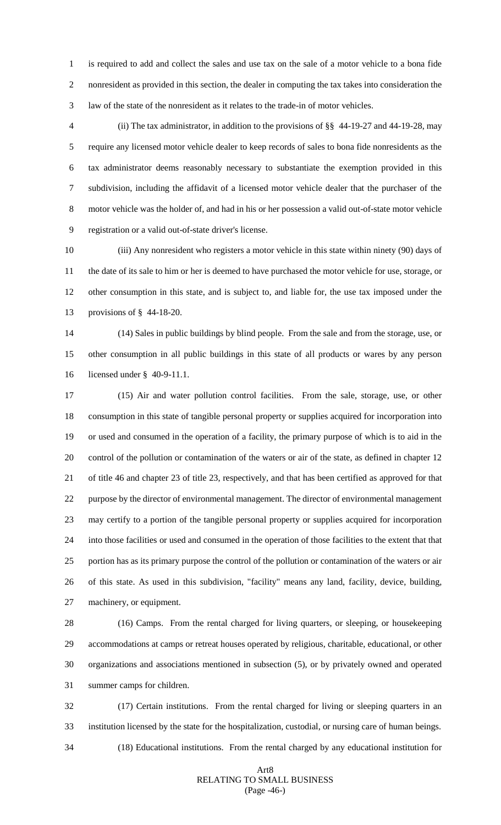is required to add and collect the sales and use tax on the sale of a motor vehicle to a bona fide nonresident as provided in this section, the dealer in computing the tax takes into consideration the law of the state of the nonresident as it relates to the trade-in of motor vehicles.

 (ii) The tax administrator, in addition to the provisions of §§ 44-19-27 and 44-19-28, may require any licensed motor vehicle dealer to keep records of sales to bona fide nonresidents as the tax administrator deems reasonably necessary to substantiate the exemption provided in this subdivision, including the affidavit of a licensed motor vehicle dealer that the purchaser of the motor vehicle was the holder of, and had in his or her possession a valid out-of-state motor vehicle registration or a valid out-of-state driver's license.

 (iii) Any nonresident who registers a motor vehicle in this state within ninety (90) days of the date of its sale to him or her is deemed to have purchased the motor vehicle for use, storage, or other consumption in this state, and is subject to, and liable for, the use tax imposed under the provisions of § 44-18-20.

 (14) Sales in public buildings by blind people. From the sale and from the storage, use, or other consumption in all public buildings in this state of all products or wares by any person licensed under § 40-9-11.1.

 (15) Air and water pollution control facilities. From the sale, storage, use, or other consumption in this state of tangible personal property or supplies acquired for incorporation into or used and consumed in the operation of a facility, the primary purpose of which is to aid in the control of the pollution or contamination of the waters or air of the state, as defined in chapter 12 of title 46 and chapter 23 of title 23, respectively, and that has been certified as approved for that purpose by the director of environmental management. The director of environmental management may certify to a portion of the tangible personal property or supplies acquired for incorporation into those facilities or used and consumed in the operation of those facilities to the extent that that portion has as its primary purpose the control of the pollution or contamination of the waters or air of this state. As used in this subdivision, "facility" means any land, facility, device, building, machinery, or equipment.

 (16) Camps. From the rental charged for living quarters, or sleeping, or housekeeping accommodations at camps or retreat houses operated by religious, charitable, educational, or other organizations and associations mentioned in subsection (5), or by privately owned and operated summer camps for children.

 (17) Certain institutions. From the rental charged for living or sleeping quarters in an institution licensed by the state for the hospitalization, custodial, or nursing care of human beings. (18) Educational institutions. From the rental charged by any educational institution for

### Art8 RELATING TO SMALL BUSINESS (Page -46-)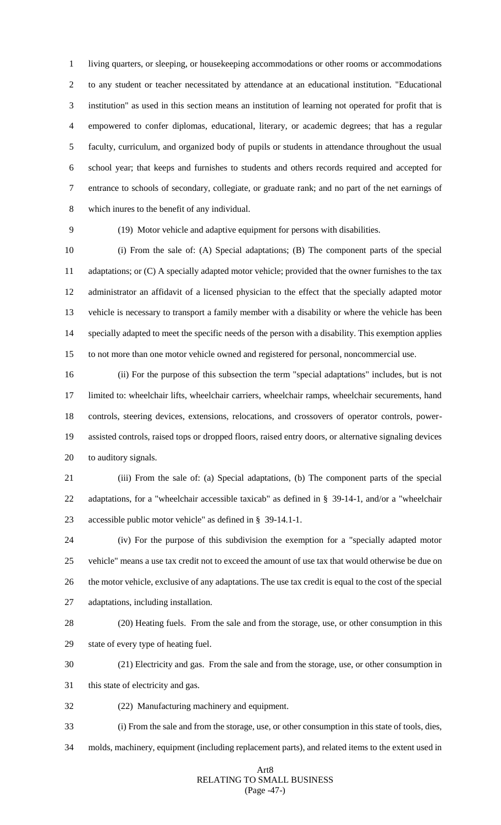living quarters, or sleeping, or housekeeping accommodations or other rooms or accommodations to any student or teacher necessitated by attendance at an educational institution. "Educational institution" as used in this section means an institution of learning not operated for profit that is empowered to confer diplomas, educational, literary, or academic degrees; that has a regular faculty, curriculum, and organized body of pupils or students in attendance throughout the usual school year; that keeps and furnishes to students and others records required and accepted for entrance to schools of secondary, collegiate, or graduate rank; and no part of the net earnings of which inures to the benefit of any individual.

(19) Motor vehicle and adaptive equipment for persons with disabilities.

 (i) From the sale of: (A) Special adaptations; (B) The component parts of the special 11 adaptations; or (C) A specially adapted motor vehicle; provided that the owner furnishes to the tax administrator an affidavit of a licensed physician to the effect that the specially adapted motor vehicle is necessary to transport a family member with a disability or where the vehicle has been specially adapted to meet the specific needs of the person with a disability. This exemption applies to not more than one motor vehicle owned and registered for personal, noncommercial use.

 (ii) For the purpose of this subsection the term "special adaptations" includes, but is not limited to: wheelchair lifts, wheelchair carriers, wheelchair ramps, wheelchair securements, hand controls, steering devices, extensions, relocations, and crossovers of operator controls, power- assisted controls, raised tops or dropped floors, raised entry doors, or alternative signaling devices to auditory signals.

 (iii) From the sale of: (a) Special adaptations, (b) The component parts of the special adaptations, for a "wheelchair accessible taxicab" as defined in § 39-14-1, and/or a "wheelchair accessible public motor vehicle" as defined in § 39-14.1-1.

 (iv) For the purpose of this subdivision the exemption for a "specially adapted motor vehicle" means a use tax credit not to exceed the amount of use tax that would otherwise be due on the motor vehicle, exclusive of any adaptations. The use tax credit is equal to the cost of the special adaptations, including installation.

 (20) Heating fuels. From the sale and from the storage, use, or other consumption in this state of every type of heating fuel.

(21) Electricity and gas. From the sale and from the storage, use, or other consumption in

this state of electricity and gas.

(22) Manufacturing machinery and equipment.

(i) From the sale and from the storage, use, or other consumption in this state of tools, dies,

molds, machinery, equipment (including replacement parts), and related items to the extent used in

#### Art8 RELATING TO SMALL BUSINESS (Page -47-)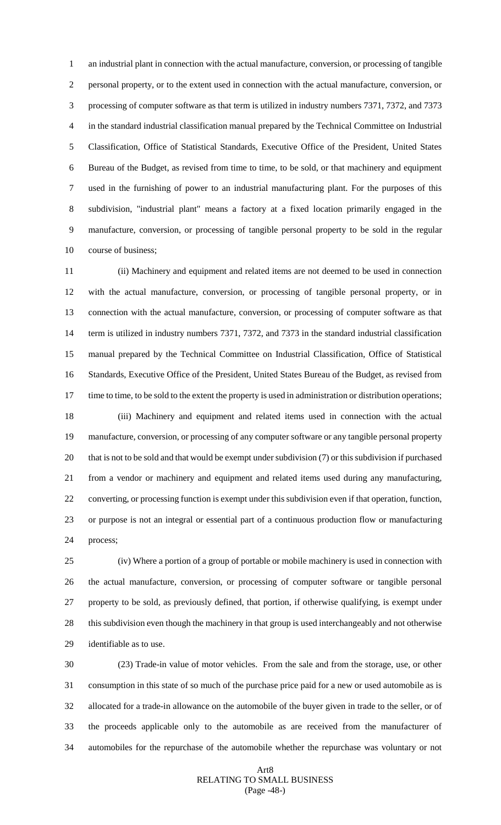an industrial plant in connection with the actual manufacture, conversion, or processing of tangible personal property, or to the extent used in connection with the actual manufacture, conversion, or processing of computer software as that term is utilized in industry numbers 7371, 7372, and 7373 in the standard industrial classification manual prepared by the Technical Committee on Industrial Classification, Office of Statistical Standards, Executive Office of the President, United States Bureau of the Budget, as revised from time to time, to be sold, or that machinery and equipment used in the furnishing of power to an industrial manufacturing plant. For the purposes of this subdivision, "industrial plant" means a factory at a fixed location primarily engaged in the manufacture, conversion, or processing of tangible personal property to be sold in the regular course of business;

 (ii) Machinery and equipment and related items are not deemed to be used in connection with the actual manufacture, conversion, or processing of tangible personal property, or in connection with the actual manufacture, conversion, or processing of computer software as that term is utilized in industry numbers 7371, 7372, and 7373 in the standard industrial classification manual prepared by the Technical Committee on Industrial Classification, Office of Statistical Standards, Executive Office of the President, United States Bureau of the Budget, as revised from time to time, to be sold to the extent the property is used in administration or distribution operations; (iii) Machinery and equipment and related items used in connection with the actual manufacture, conversion, or processing of any computer software or any tangible personal property that is not to be sold and that would be exempt under subdivision (7) or this subdivision if purchased from a vendor or machinery and equipment and related items used during any manufacturing, converting, or processing function is exempt under this subdivision even if that operation, function, or purpose is not an integral or essential part of a continuous production flow or manufacturing process;

 (iv) Where a portion of a group of portable or mobile machinery is used in connection with the actual manufacture, conversion, or processing of computer software or tangible personal property to be sold, as previously defined, that portion, if otherwise qualifying, is exempt under this subdivision even though the machinery in that group is used interchangeably and not otherwise identifiable as to use.

 (23) Trade-in value of motor vehicles. From the sale and from the storage, use, or other consumption in this state of so much of the purchase price paid for a new or used automobile as is allocated for a trade-in allowance on the automobile of the buyer given in trade to the seller, or of the proceeds applicable only to the automobile as are received from the manufacturer of automobiles for the repurchase of the automobile whether the repurchase was voluntary or not

#### Art8 RELATING TO SMALL BUSINESS (Page -48-)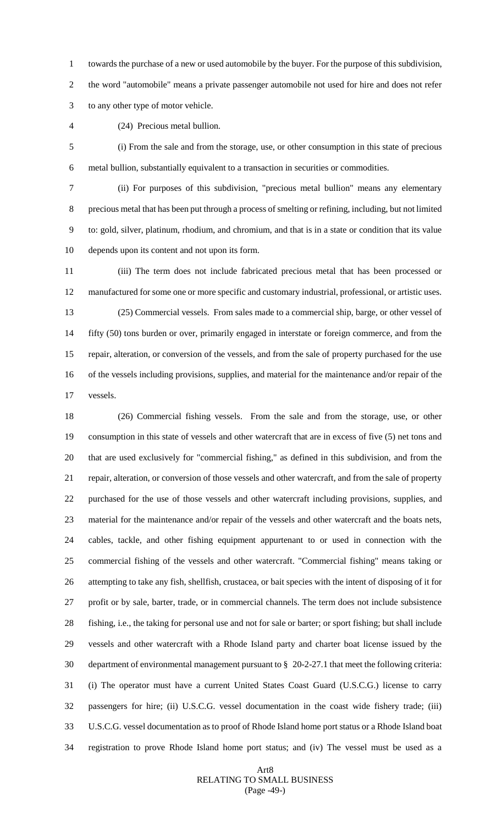towards the purchase of a new or used automobile by the buyer. For the purpose of this subdivision, the word "automobile" means a private passenger automobile not used for hire and does not refer to any other type of motor vehicle.

(24) Precious metal bullion.

 (i) From the sale and from the storage, use, or other consumption in this state of precious metal bullion, substantially equivalent to a transaction in securities or commodities.

 (ii) For purposes of this subdivision, "precious metal bullion" means any elementary precious metal that has been put through a process of smelting or refining, including, but not limited to: gold, silver, platinum, rhodium, and chromium, and that is in a state or condition that its value depends upon its content and not upon its form.

 (iii) The term does not include fabricated precious metal that has been processed or manufactured for some one or more specific and customary industrial, professional, or artistic uses. (25) Commercial vessels. From sales made to a commercial ship, barge, or other vessel of fifty (50) tons burden or over, primarily engaged in interstate or foreign commerce, and from the repair, alteration, or conversion of the vessels, and from the sale of property purchased for the use of the vessels including provisions, supplies, and material for the maintenance and/or repair of the vessels.

 (26) Commercial fishing vessels. From the sale and from the storage, use, or other consumption in this state of vessels and other watercraft that are in excess of five (5) net tons and that are used exclusively for "commercial fishing," as defined in this subdivision, and from the repair, alteration, or conversion of those vessels and other watercraft, and from the sale of property purchased for the use of those vessels and other watercraft including provisions, supplies, and material for the maintenance and/or repair of the vessels and other watercraft and the boats nets, cables, tackle, and other fishing equipment appurtenant to or used in connection with the commercial fishing of the vessels and other watercraft. "Commercial fishing" means taking or attempting to take any fish, shellfish, crustacea, or bait species with the intent of disposing of it for profit or by sale, barter, trade, or in commercial channels. The term does not include subsistence fishing, i.e., the taking for personal use and not for sale or barter; or sport fishing; but shall include vessels and other watercraft with a Rhode Island party and charter boat license issued by the department of environmental management pursuant to § 20-2-27.1 that meet the following criteria: (i) The operator must have a current United States Coast Guard (U.S.C.G.) license to carry passengers for hire; (ii) U.S.C.G. vessel documentation in the coast wide fishery trade; (iii) U.S.C.G. vessel documentation as to proof of Rhode Island home port status or a Rhode Island boat registration to prove Rhode Island home port status; and (iv) The vessel must be used as a

### Art8 RELATING TO SMALL BUSINESS (Page -49-)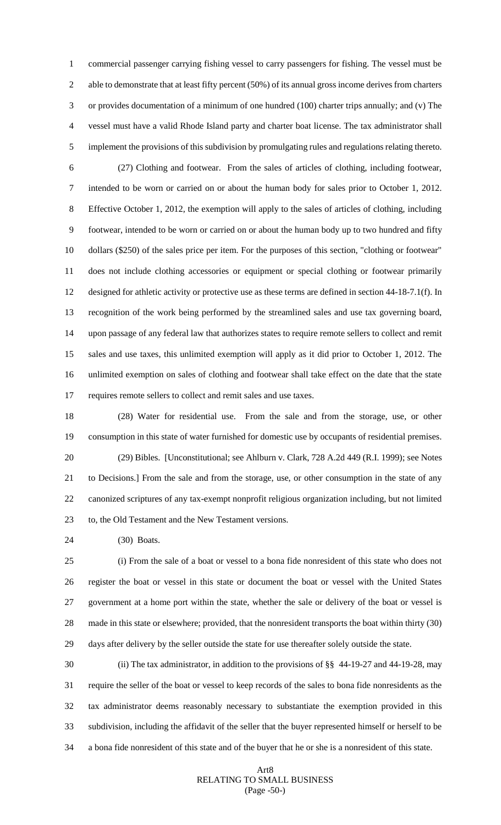commercial passenger carrying fishing vessel to carry passengers for fishing. The vessel must be able to demonstrate that at least fifty percent (50%) of its annual gross income derives from charters or provides documentation of a minimum of one hundred (100) charter trips annually; and (v) The vessel must have a valid Rhode Island party and charter boat license. The tax administrator shall implement the provisions of this subdivision by promulgating rules and regulations relating thereto.

 (27) Clothing and footwear. From the sales of articles of clothing, including footwear, intended to be worn or carried on or about the human body for sales prior to October 1, 2012. Effective October 1, 2012, the exemption will apply to the sales of articles of clothing, including footwear, intended to be worn or carried on or about the human body up to two hundred and fifty dollars (\$250) of the sales price per item. For the purposes of this section, "clothing or footwear" does not include clothing accessories or equipment or special clothing or footwear primarily designed for athletic activity or protective use as these terms are defined in section 44-18-7.1(f). In recognition of the work being performed by the streamlined sales and use tax governing board, upon passage of any federal law that authorizes states to require remote sellers to collect and remit sales and use taxes, this unlimited exemption will apply as it did prior to October 1, 2012. The unlimited exemption on sales of clothing and footwear shall take effect on the date that the state requires remote sellers to collect and remit sales and use taxes.

 (28) Water for residential use. From the sale and from the storage, use, or other consumption in this state of water furnished for domestic use by occupants of residential premises. (29) Bibles. [Unconstitutional; see Ahlburn v. Clark, 728 A.2d 449 (R.I. 1999); see Notes to Decisions.] From the sale and from the storage, use, or other consumption in the state of any canonized scriptures of any tax-exempt nonprofit religious organization including, but not limited to, the Old Testament and the New Testament versions.

(30) Boats.

 (i) From the sale of a boat or vessel to a bona fide nonresident of this state who does not register the boat or vessel in this state or document the boat or vessel with the United States government at a home port within the state, whether the sale or delivery of the boat or vessel is made in this state or elsewhere; provided, that the nonresident transports the boat within thirty (30) days after delivery by the seller outside the state for use thereafter solely outside the state.

 (ii) The tax administrator, in addition to the provisions of §§ 44-19-27 and 44-19-28, may require the seller of the boat or vessel to keep records of the sales to bona fide nonresidents as the tax administrator deems reasonably necessary to substantiate the exemption provided in this subdivision, including the affidavit of the seller that the buyer represented himself or herself to be a bona fide nonresident of this state and of the buyer that he or she is a nonresident of this state.

# Art8 RELATING TO SMALL BUSINESS (Page -50-)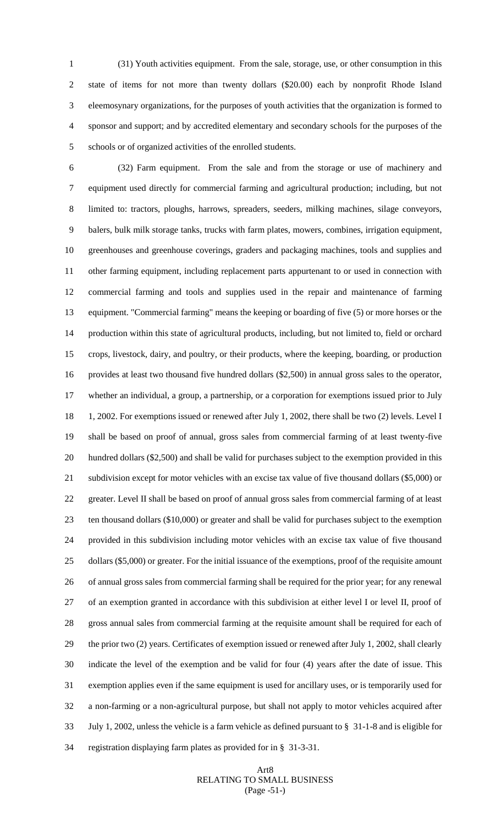(31) Youth activities equipment. From the sale, storage, use, or other consumption in this state of items for not more than twenty dollars (\$20.00) each by nonprofit Rhode Island eleemosynary organizations, for the purposes of youth activities that the organization is formed to sponsor and support; and by accredited elementary and secondary schools for the purposes of the schools or of organized activities of the enrolled students.

 (32) Farm equipment. From the sale and from the storage or use of machinery and equipment used directly for commercial farming and agricultural production; including, but not limited to: tractors, ploughs, harrows, spreaders, seeders, milking machines, silage conveyors, balers, bulk milk storage tanks, trucks with farm plates, mowers, combines, irrigation equipment, greenhouses and greenhouse coverings, graders and packaging machines, tools and supplies and other farming equipment, including replacement parts appurtenant to or used in connection with commercial farming and tools and supplies used in the repair and maintenance of farming equipment. "Commercial farming" means the keeping or boarding of five (5) or more horses or the production within this state of agricultural products, including, but not limited to, field or orchard crops, livestock, dairy, and poultry, or their products, where the keeping, boarding, or production provides at least two thousand five hundred dollars (\$2,500) in annual gross sales to the operator, whether an individual, a group, a partnership, or a corporation for exemptions issued prior to July 18 1, 2002. For exemptions issued or renewed after July 1, 2002, there shall be two (2) levels. Level I shall be based on proof of annual, gross sales from commercial farming of at least twenty-five hundred dollars (\$2,500) and shall be valid for purchases subject to the exemption provided in this subdivision except for motor vehicles with an excise tax value of five thousand dollars (\$5,000) or greater. Level II shall be based on proof of annual gross sales from commercial farming of at least ten thousand dollars (\$10,000) or greater and shall be valid for purchases subject to the exemption provided in this subdivision including motor vehicles with an excise tax value of five thousand dollars (\$5,000) or greater. For the initial issuance of the exemptions, proof of the requisite amount of annual gross sales from commercial farming shall be required for the prior year; for any renewal of an exemption granted in accordance with this subdivision at either level I or level II, proof of gross annual sales from commercial farming at the requisite amount shall be required for each of the prior two (2) years. Certificates of exemption issued or renewed after July 1, 2002, shall clearly indicate the level of the exemption and be valid for four (4) years after the date of issue. This exemption applies even if the same equipment is used for ancillary uses, or is temporarily used for a non-farming or a non-agricultural purpose, but shall not apply to motor vehicles acquired after July 1, 2002, unless the vehicle is a farm vehicle as defined pursuant to § 31-1-8 and is eligible for registration displaying farm plates as provided for in § 31-3-31.

### Art8 RELATING TO SMALL BUSINESS (Page -51-)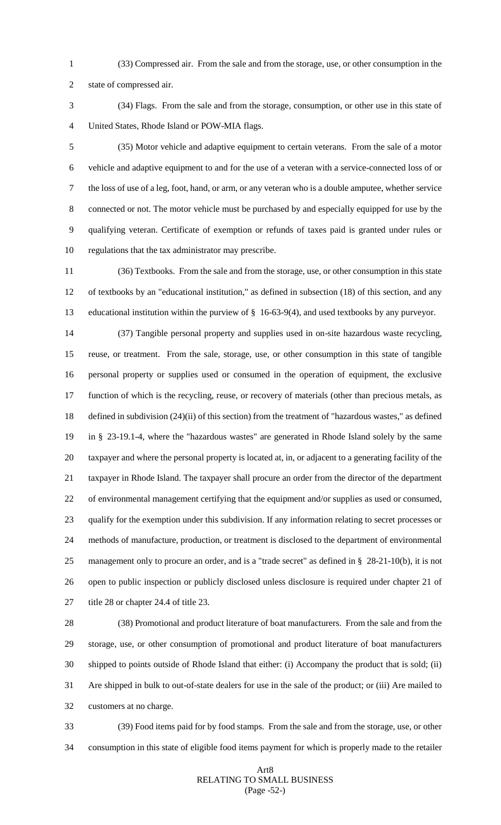(33) Compressed air. From the sale and from the storage, use, or other consumption in the state of compressed air.

 (34) Flags. From the sale and from the storage, consumption, or other use in this state of United States, Rhode Island or POW-MIA flags.

 (35) Motor vehicle and adaptive equipment to certain veterans. From the sale of a motor vehicle and adaptive equipment to and for the use of a veteran with a service-connected loss of or the loss of use of a leg, foot, hand, or arm, or any veteran who is a double amputee, whether service connected or not. The motor vehicle must be purchased by and especially equipped for use by the qualifying veteran. Certificate of exemption or refunds of taxes paid is granted under rules or regulations that the tax administrator may prescribe.

 (36) Textbooks. From the sale and from the storage, use, or other consumption in this state of textbooks by an "educational institution," as defined in subsection (18) of this section, and any educational institution within the purview of § 16-63-9(4), and used textbooks by any purveyor.

 (37) Tangible personal property and supplies used in on-site hazardous waste recycling, reuse, or treatment. From the sale, storage, use, or other consumption in this state of tangible personal property or supplies used or consumed in the operation of equipment, the exclusive function of which is the recycling, reuse, or recovery of materials (other than precious metals, as defined in subdivision (24)(ii) of this section) from the treatment of "hazardous wastes," as defined in § 23-19.1-4, where the "hazardous wastes" are generated in Rhode Island solely by the same taxpayer and where the personal property is located at, in, or adjacent to a generating facility of the taxpayer in Rhode Island. The taxpayer shall procure an order from the director of the department of environmental management certifying that the equipment and/or supplies as used or consumed, qualify for the exemption under this subdivision. If any information relating to secret processes or methods of manufacture, production, or treatment is disclosed to the department of environmental management only to procure an order, and is a "trade secret" as defined in § 28-21-10(b), it is not open to public inspection or publicly disclosed unless disclosure is required under chapter 21 of 27 title 28 or chapter 24.4 of title 23.

 (38) Promotional and product literature of boat manufacturers. From the sale and from the storage, use, or other consumption of promotional and product literature of boat manufacturers shipped to points outside of Rhode Island that either: (i) Accompany the product that is sold; (ii) Are shipped in bulk to out-of-state dealers for use in the sale of the product; or (iii) Are mailed to customers at no charge.

 (39) Food items paid for by food stamps. From the sale and from the storage, use, or other consumption in this state of eligible food items payment for which is properly made to the retailer

# Art8 RELATING TO SMALL BUSINESS (Page -52-)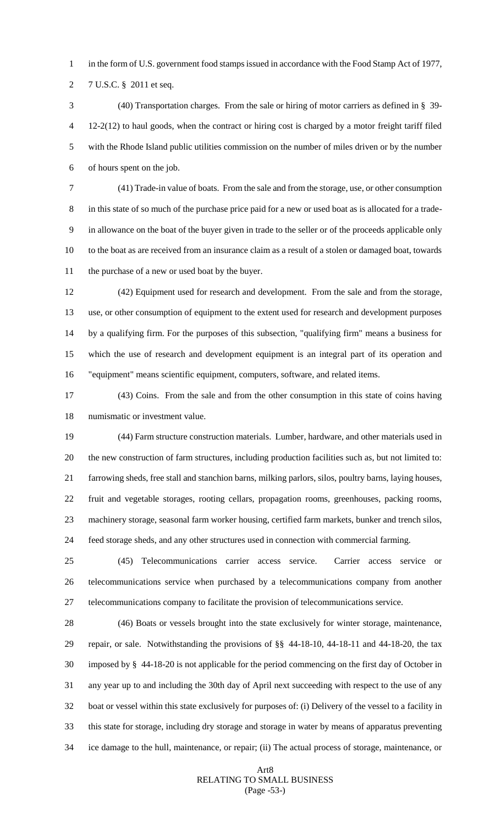in the form of U.S. government food stamps issued in accordance with the Food Stamp Act of 1977,

7 U.S.C. § 2011 et seq.

 (40) Transportation charges. From the sale or hiring of motor carriers as defined in § 39- 12-2(12) to haul goods, when the contract or hiring cost is charged by a motor freight tariff filed with the Rhode Island public utilities commission on the number of miles driven or by the number of hours spent on the job.

 (41) Trade-in value of boats. From the sale and from the storage, use, or other consumption in this state of so much of the purchase price paid for a new or used boat as is allocated for a trade- in allowance on the boat of the buyer given in trade to the seller or of the proceeds applicable only to the boat as are received from an insurance claim as a result of a stolen or damaged boat, towards the purchase of a new or used boat by the buyer.

 (42) Equipment used for research and development. From the sale and from the storage, use, or other consumption of equipment to the extent used for research and development purposes by a qualifying firm. For the purposes of this subsection, "qualifying firm" means a business for which the use of research and development equipment is an integral part of its operation and "equipment" means scientific equipment, computers, software, and related items.

 (43) Coins. From the sale and from the other consumption in this state of coins having numismatic or investment value.

 (44) Farm structure construction materials. Lumber, hardware, and other materials used in the new construction of farm structures, including production facilities such as, but not limited to: farrowing sheds, free stall and stanchion barns, milking parlors, silos, poultry barns, laying houses, fruit and vegetable storages, rooting cellars, propagation rooms, greenhouses, packing rooms, machinery storage, seasonal farm worker housing, certified farm markets, bunker and trench silos, feed storage sheds, and any other structures used in connection with commercial farming.

 (45) Telecommunications carrier access service. Carrier access service or telecommunications service when purchased by a telecommunications company from another telecommunications company to facilitate the provision of telecommunications service.

 (46) Boats or vessels brought into the state exclusively for winter storage, maintenance, repair, or sale. Notwithstanding the provisions of §§ 44-18-10, 44-18-11 and 44-18-20, the tax imposed by § 44-18-20 is not applicable for the period commencing on the first day of October in any year up to and including the 30th day of April next succeeding with respect to the use of any boat or vessel within this state exclusively for purposes of: (i) Delivery of the vessel to a facility in this state for storage, including dry storage and storage in water by means of apparatus preventing ice damage to the hull, maintenance, or repair; (ii) The actual process of storage, maintenance, or

### Art8 RELATING TO SMALL BUSINESS (Page -53-)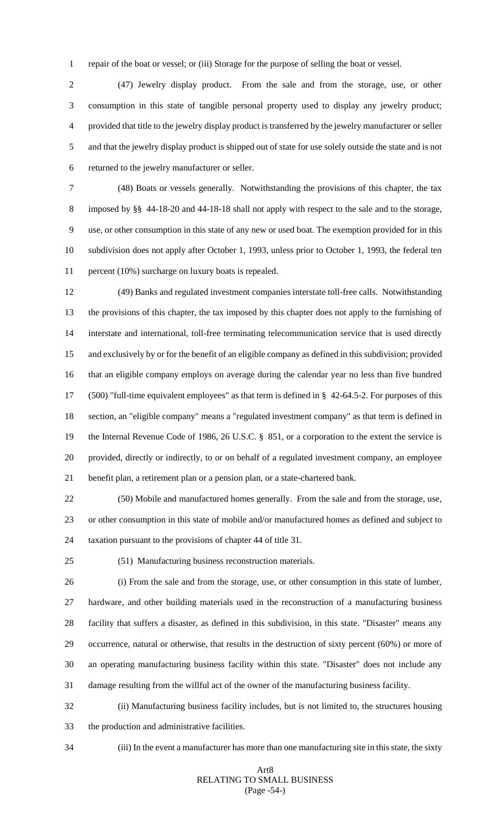repair of the boat or vessel; or (iii) Storage for the purpose of selling the boat or vessel.

 (47) Jewelry display product. From the sale and from the storage, use, or other consumption in this state of tangible personal property used to display any jewelry product; provided that title to the jewelry display product is transferred by the jewelry manufacturer or seller and that the jewelry display product is shipped out of state for use solely outside the state and is not returned to the jewelry manufacturer or seller.

 (48) Boats or vessels generally. Notwithstanding the provisions of this chapter, the tax imposed by §§ 44-18-20 and 44-18-18 shall not apply with respect to the sale and to the storage, use, or other consumption in this state of any new or used boat. The exemption provided for in this subdivision does not apply after October 1, 1993, unless prior to October 1, 1993, the federal ten 11 percent (10%) surcharge on luxury boats is repealed.

 (49) Banks and regulated investment companies interstate toll-free calls. Notwithstanding the provisions of this chapter, the tax imposed by this chapter does not apply to the furnishing of interstate and international, toll-free terminating telecommunication service that is used directly and exclusively by or for the benefit of an eligible company as defined in this subdivision; provided that an eligible company employs on average during the calendar year no less than five hundred (500) "full-time equivalent employees" as that term is defined in § 42-64.5-2. For purposes of this section, an "eligible company" means a "regulated investment company" as that term is defined in the Internal Revenue Code of 1986, 26 U.S.C. § 851, or a corporation to the extent the service is provided, directly or indirectly, to or on behalf of a regulated investment company, an employee benefit plan, a retirement plan or a pension plan, or a state-chartered bank.

 (50) Mobile and manufactured homes generally. From the sale and from the storage, use, or other consumption in this state of mobile and/or manufactured homes as defined and subject to taxation pursuant to the provisions of chapter 44 of title 31.

(51) Manufacturing business reconstruction materials.

 (i) From the sale and from the storage, use, or other consumption in this state of lumber, hardware, and other building materials used in the reconstruction of a manufacturing business facility that suffers a disaster, as defined in this subdivision, in this state. "Disaster" means any occurrence, natural or otherwise, that results in the destruction of sixty percent (60%) or more of an operating manufacturing business facility within this state. "Disaster" does not include any damage resulting from the willful act of the owner of the manufacturing business facility.

 (ii) Manufacturing business facility includes, but is not limited to, the structures housing the production and administrative facilities.

(iii) In the event a manufacturer has more than one manufacturing site in this state, the sixty

### Art8 RELATING TO SMALL BUSINESS (Page -54-)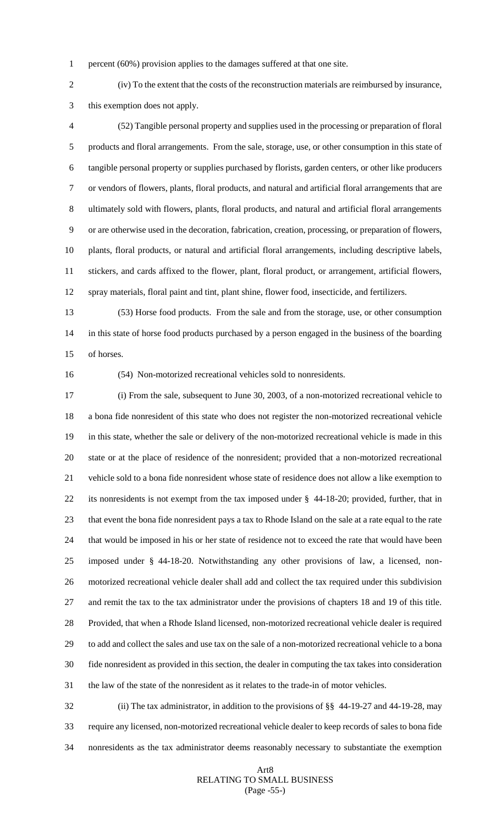percent (60%) provision applies to the damages suffered at that one site.

 (iv) To the extent that the costs of the reconstruction materials are reimbursed by insurance, this exemption does not apply.

 (52) Tangible personal property and supplies used in the processing or preparation of floral products and floral arrangements. From the sale, storage, use, or other consumption in this state of tangible personal property or supplies purchased by florists, garden centers, or other like producers or vendors of flowers, plants, floral products, and natural and artificial floral arrangements that are ultimately sold with flowers, plants, floral products, and natural and artificial floral arrangements or are otherwise used in the decoration, fabrication, creation, processing, or preparation of flowers, plants, floral products, or natural and artificial floral arrangements, including descriptive labels, stickers, and cards affixed to the flower, plant, floral product, or arrangement, artificial flowers, spray materials, floral paint and tint, plant shine, flower food, insecticide, and fertilizers.

 (53) Horse food products. From the sale and from the storage, use, or other consumption in this state of horse food products purchased by a person engaged in the business of the boarding of horses.

(54) Non-motorized recreational vehicles sold to nonresidents.

 (i) From the sale, subsequent to June 30, 2003, of a non-motorized recreational vehicle to a bona fide nonresident of this state who does not register the non-motorized recreational vehicle in this state, whether the sale or delivery of the non-motorized recreational vehicle is made in this state or at the place of residence of the nonresident; provided that a non-motorized recreational vehicle sold to a bona fide nonresident whose state of residence does not allow a like exemption to its nonresidents is not exempt from the tax imposed under § 44-18-20; provided, further, that in that event the bona fide nonresident pays a tax to Rhode Island on the sale at a rate equal to the rate that would be imposed in his or her state of residence not to exceed the rate that would have been imposed under § 44-18-20. Notwithstanding any other provisions of law, a licensed, non- motorized recreational vehicle dealer shall add and collect the tax required under this subdivision and remit the tax to the tax administrator under the provisions of chapters 18 and 19 of this title. Provided, that when a Rhode Island licensed, non-motorized recreational vehicle dealer is required to add and collect the sales and use tax on the sale of a non-motorized recreational vehicle to a bona fide nonresident as provided in this section, the dealer in computing the tax takes into consideration the law of the state of the nonresident as it relates to the trade-in of motor vehicles.

 (ii) The tax administrator, in addition to the provisions of §§ 44-19-27 and 44-19-28, may require any licensed, non-motorized recreational vehicle dealer to keep records of sales to bona fide nonresidents as the tax administrator deems reasonably necessary to substantiate the exemption

# Art8 RELATING TO SMALL BUSINESS (Page -55-)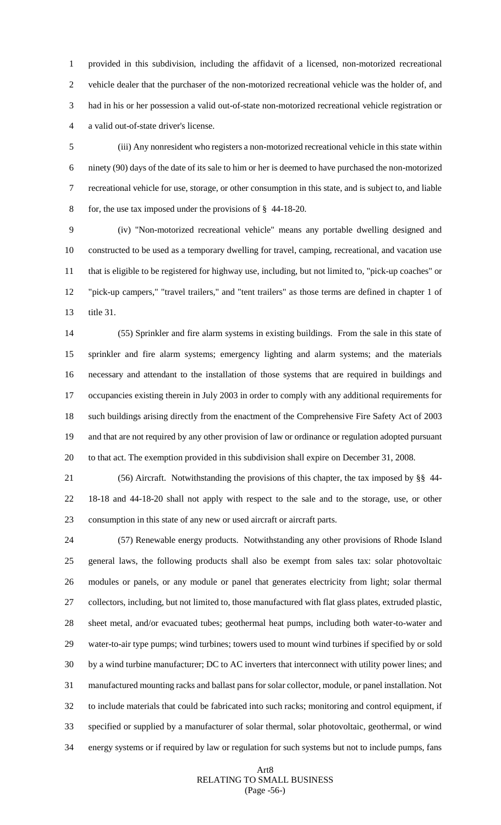provided in this subdivision, including the affidavit of a licensed, non-motorized recreational vehicle dealer that the purchaser of the non-motorized recreational vehicle was the holder of, and had in his or her possession a valid out-of-state non-motorized recreational vehicle registration or a valid out-of-state driver's license.

 (iii) Any nonresident who registers a non-motorized recreational vehicle in this state within ninety (90) days of the date of its sale to him or her is deemed to have purchased the non-motorized recreational vehicle for use, storage, or other consumption in this state, and is subject to, and liable for, the use tax imposed under the provisions of § 44-18-20.

 (iv) "Non-motorized recreational vehicle" means any portable dwelling designed and constructed to be used as a temporary dwelling for travel, camping, recreational, and vacation use that is eligible to be registered for highway use, including, but not limited to, "pick-up coaches" or "pick-up campers," "travel trailers," and "tent trailers" as those terms are defined in chapter 1 of title 31.

 (55) Sprinkler and fire alarm systems in existing buildings. From the sale in this state of sprinkler and fire alarm systems; emergency lighting and alarm systems; and the materials necessary and attendant to the installation of those systems that are required in buildings and occupancies existing therein in July 2003 in order to comply with any additional requirements for such buildings arising directly from the enactment of the Comprehensive Fire Safety Act of 2003 and that are not required by any other provision of law or ordinance or regulation adopted pursuant to that act. The exemption provided in this subdivision shall expire on December 31, 2008.

 (56) Aircraft. Notwithstanding the provisions of this chapter, the tax imposed by §§ 44- 18-18 and 44-18-20 shall not apply with respect to the sale and to the storage, use, or other consumption in this state of any new or used aircraft or aircraft parts.

 (57) Renewable energy products. Notwithstanding any other provisions of Rhode Island general laws, the following products shall also be exempt from sales tax: solar photovoltaic modules or panels, or any module or panel that generates electricity from light; solar thermal collectors, including, but not limited to, those manufactured with flat glass plates, extruded plastic, sheet metal, and/or evacuated tubes; geothermal heat pumps, including both water-to-water and water-to-air type pumps; wind turbines; towers used to mount wind turbines if specified by or sold by a wind turbine manufacturer; DC to AC inverters that interconnect with utility power lines; and manufactured mounting racks and ballast pans for solar collector, module, or panel installation. Not to include materials that could be fabricated into such racks; monitoring and control equipment, if specified or supplied by a manufacturer of solar thermal, solar photovoltaic, geothermal, or wind energy systems or if required by law or regulation for such systems but not to include pumps, fans

# Art8 RELATING TO SMALL BUSINESS (Page -56-)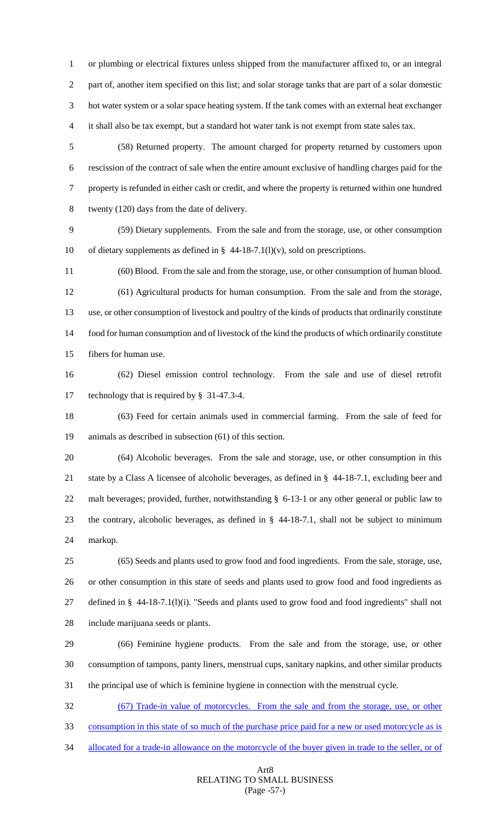or plumbing or electrical fixtures unless shipped from the manufacturer affixed to, or an integral part of, another item specified on this list; and solar storage tanks that are part of a solar domestic hot water system or a solar space heating system. If the tank comes with an external heat exchanger it shall also be tax exempt, but a standard hot water tank is not exempt from state sales tax.

 (58) Returned property. The amount charged for property returned by customers upon rescission of the contract of sale when the entire amount exclusive of handling charges paid for the property is refunded in either cash or credit, and where the property is returned within one hundred twenty (120) days from the date of delivery.

 (59) Dietary supplements. From the sale and from the storage, use, or other consumption 10 of dietary supplements as defined in  $\S$  44-18-7.1(l)(v), sold on prescriptions.

 (60) Blood. From the sale and from the storage, use, or other consumption of human blood. (61) Agricultural products for human consumption. From the sale and from the storage, use, or other consumption of livestock and poultry of the kinds of products that ordinarily constitute food for human consumption and of livestock of the kind the products of which ordinarily constitute fibers for human use.

 (62) Diesel emission control technology. From the sale and use of diesel retrofit technology that is required by § 31-47.3-4.

 (63) Feed for certain animals used in commercial farming. From the sale of feed for animals as described in subsection (61) of this section.

 (64) Alcoholic beverages. From the sale and storage, use, or other consumption in this state by a Class A licensee of alcoholic beverages, as defined in § 44-18-7.1, excluding beer and malt beverages; provided, further, notwithstanding § 6-13-1 or any other general or public law to the contrary, alcoholic beverages, as defined in § 44-18-7.1, shall not be subject to minimum markup.

 (65) Seeds and plants used to grow food and food ingredients. From the sale, storage, use, or other consumption in this state of seeds and plants used to grow food and food ingredients as defined in § 44-18-7.1(l)(i). "Seeds and plants used to grow food and food ingredients" shall not include marijuana seeds or plants.

 (66) Feminine hygiene products. From the sale and from the storage, use, or other consumption of tampons, panty liners, menstrual cups, sanitary napkins, and other similar products the principal use of which is feminine hygiene in connection with the menstrual cycle.

(67) Trade-in value of motorcycles. From the sale and from the storage, use, or other

consumption in this state of so much of the purchase price paid for a new or used motorcycle as is

34 allocated for a trade-in allowance on the motorcycle of the buyer given in trade to the seller, or of

### Art8 RELATING TO SMALL BUSINESS (Page -57-)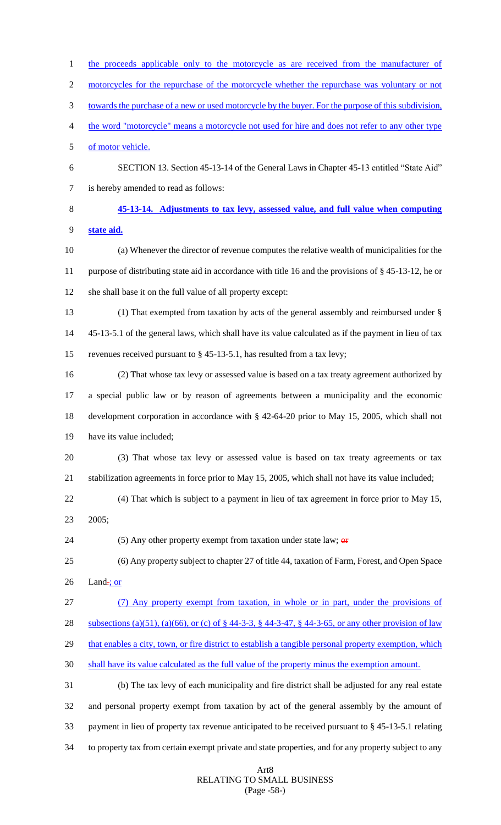1 the proceeds applicable only to the motorcycle as are received from the manufacturer of 2 motorcycles for the repurchase of the motorcycle whether the repurchase was voluntary or not towards the purchase of a new or used motorcycle by the buyer. For the purpose of this subdivision, the word "motorcycle" means a motorcycle not used for hire and does not refer to any other type of motor vehicle. SECTION 13. Section 45-13-14 of the General Laws in Chapter 45-13 entitled "State Aid" is hereby amended to read as follows: **45-13-14. Adjustments to tax levy, assessed value, and full value when computing state aid.** (a) Whenever the director of revenue computes the relative wealth of municipalities for the purpose of distributing state aid in accordance with title 16 and the provisions of § 45-13-12, he or she shall base it on the full value of all property except: (1) That exempted from taxation by acts of the general assembly and reimbursed under § 45-13-5.1 of the general laws, which shall have its value calculated as if the payment in lieu of tax revenues received pursuant to § 45-13-5.1, has resulted from a tax levy; (2) That whose tax levy or assessed value is based on a tax treaty agreement authorized by a special public law or by reason of agreements between a municipality and the economic development corporation in accordance with § 42-64-20 prior to May 15, 2005, which shall not have its value included; (3) That whose tax levy or assessed value is based on tax treaty agreements or tax stabilization agreements in force prior to May 15, 2005, which shall not have its value included; (4) That which is subject to a payment in lieu of tax agreement in force prior to May 15, 2005; 24 (5) Any other property exempt from taxation under state law; or (6) Any property subject to chapter 27 of title 44, taxation of Farm, Forest, and Open Space Land $\div$ ; or (7) Any property exempt from taxation, in whole or in part, under the provisions of subsections (a)(51), (a)(66), or (c) of § 44-3-3, § 44-3-47, § 44-3-65, or any other provision of law 29 that enables a city, town, or fire district to establish a tangible personal property exemption, which shall have its value calculated as the full value of the property minus the exemption amount. (b) The tax levy of each municipality and fire district shall be adjusted for any real estate and personal property exempt from taxation by act of the general assembly by the amount of payment in lieu of property tax revenue anticipated to be received pursuant to § 45-13-5.1 relating to property tax from certain exempt private and state properties, and for any property subject to any

#### Art8 RELATING TO SMALL BUSINESS (Page -58-)